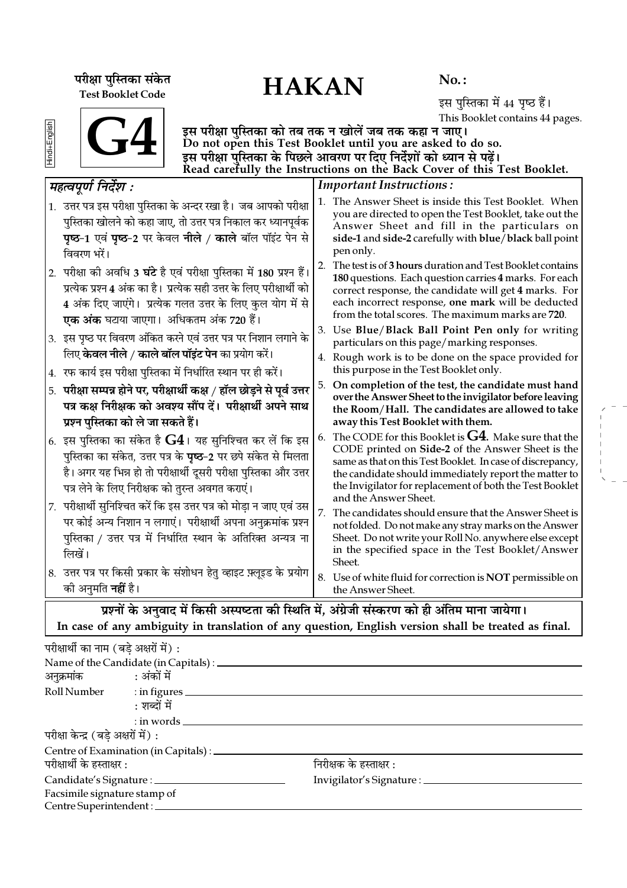HAKAN **¬⁄ˡÊÊ ¬ÈÁSÃ∑§Ê '¥∑§Ã** Test Booklet Code

 $No.$ :

इस पुस्तिका में 44 पृष्ठ हैं। This Booklet contains 44 pages.

 $\overline{\textbf{G4}}$ 

इस परीक्षा पुस्तिका को तब तक न खोलें जब तक कहा न जाए। Do not open this Test Booklet until you are asked to do so. इस परीक्षा पस्तिका के पिछले आवरण पर दिए निर्देशों को ध्यान से पढें। Read carefully the Instructions on the Back Cover of this Test Booklet.

### Important Instructions : 1. The Answer Sheet is inside this Test Booklet. When you are directed to open the Test Booklet, take out the Answer Sheet and fill in the particulars on side-1 and side-2 carefully with blue/black ball point pen only. 2. The test is of 3 hours duration and Test Booklet contains 180 questions. Each question carries 4 marks. For each correct response, the candidate will get 4 marks. For each incorrect response, one mark will be deducted from the total scores. The maximum marks are 720. 3. Use Blue/Black Ball Point Pen only for writing particulars on this page/marking responses. 4. Rough work is to be done on the space provided for this purpose in the Test Booklet only. 5. On completion of the test, the candidate must hand over the Answer Sheet to the invigilator before leaving the Room/Hall. The candidates are allowed to take away this Test Booklet with them. 6. The CODE for this Booklet is  $G4$ . Make sure that the CODE printed on Side-2 of the Answer Sheet is the same as that on this Test Booklet. In case of discrepancy, the candidate should immediately report the matter to the Invigilator for replacement of both the Test Booklet and the Answer Sheet. 7. The candidates should ensure that the Answer Sheet is not folded. Do not make any stray marks on the Answer Sheet. Do not write your Roll No. anywhere else except in the specified space in the Test Booklet/Answer Sheet. 8. Use of white fluid for correction is NOT permissible on the Answer Sheet. *◊"àfl¬Íáʸ ÁŸŒ¸‡Ê —* 1. उत्तर पत्र इस परीक्षा पुस्तिका के अन्दर रखा है। जब आपको परीक्षा पुस्तिका खोलने को कहा जाए, तो उत्तर पत्र निकाल कर ध्यानपूर्वक **पृष्ठ-1 एवं पृष्ठ-2 पर केवल नीले / काले बॉल पॉइंट पेन से** विवरण भरें। 2. परीक्षा की अवधि 3 **घंटे** है एवं परीक्षा पुस्तिका में 180 प्रश्न हैं। प्रत्येक प्रश्न 4 अंक का है। प्रत्येक सही उत्तर के लिए परीक्षार्थी को 4 अंक दिए जाएंगे। प्रत्येक गलत उत्तर के लिए कुल योग में से **एक अंक** घटाया जाएगा। अधिकतम अंक 720 हैं। 3. इस पृष्ठ पर विवरण अंकित करने एवं उत्तर पत्र पर निशान लगाने के िलए **केवल नीले / काले बॉल पॉइंट पेन** का प्रयोग करें। 4. *रफ कार्य इस परीक्षा पुस्तिका में निर्धारित स्थान पर ही करें*। 5. परीक्षा सम्पन्न होने पर, परीक्षार्थी कक्ष / हॉल छोड़ने से पूर्व <del>उ</del>त्तर पत्र कक्ष निरीक्षक को अवश्य सौंप दें। परीक्षार्थी अपने साथ **प्रश्न पुस्तिका को ले जा सकते हैं।** 6. इस पुस्तिका का संकेत है  ${\bf G4}$ । यह सुनिश्चित कर लें कि इस <u>पु</u>स्तिका का संकेत, उत्तर पत्र के **पृष्ठ−2** पर छपे संकेत से मिलता है। अगर यह भिन्न हो तो परीक्षार्थी दूसरी परीक्षा पुस्तिका और उत्तर पत्र लेने के लिए निरीक्षक को तुरन्त अवगत कराएं। 7. परीक्षार्थी सुनिश्चित करें कि इस उत्तर पत्र को मोडा न जाए एवं उस पर कोई अन्य निशान न लगाएं। परीक्षार्थी अपना अनुक्रमांक प्रश्न पस्तिका / उत्तर पत्र में निर्धारित स्थान के अतिरिक्त अन्यत्र ना  $\overrightarrow{m}$ यें । 8. उत्तर पत्र पर किसी प्रकार के संशोधन हेतु व्हाइट फ़्लूइड के प्रयोग ेकी अनुमति **नहीं** है।

प्रश्नों के अनुवाद में किसी अस्पष्टता की स्थिति में, अंग्रेजी संस्करण को ही अंतिम माना जायेगा। In case of any ambiguity in translation of any question, English version shall be treated as final.

| परीक्षार्थी का नाम (बड़े अक्षरों में) : |                                                  |                                   |  |
|-----------------------------------------|--------------------------------------------------|-----------------------------------|--|
|                                         | Name of the Candidate (in Capitals) : __________ |                                   |  |
| अनुक्रमांक : अंकों में                  |                                                  |                                   |  |
|                                         | Roll Number : in figures                         |                                   |  |
|                                         | : शब्दों में                                     |                                   |  |
|                                         | $:$ in words $\_\_$                              |                                   |  |
| परीक्षा केन्द्र (बड़े अक्षरों में) :    |                                                  |                                   |  |
|                                         | Centre of Examination (in Capitals) : _________  |                                   |  |
| परीक्षार्थी के हस्ताक्षर :              |                                                  | निरीक्षक के हस्ताक्षर :           |  |
|                                         | Candidate's Signature : ____________             | Invigilator's Signature : _______ |  |
| Facsimile signature stamp of            |                                                  |                                   |  |
| Centre Superintendent : ____            |                                                  |                                   |  |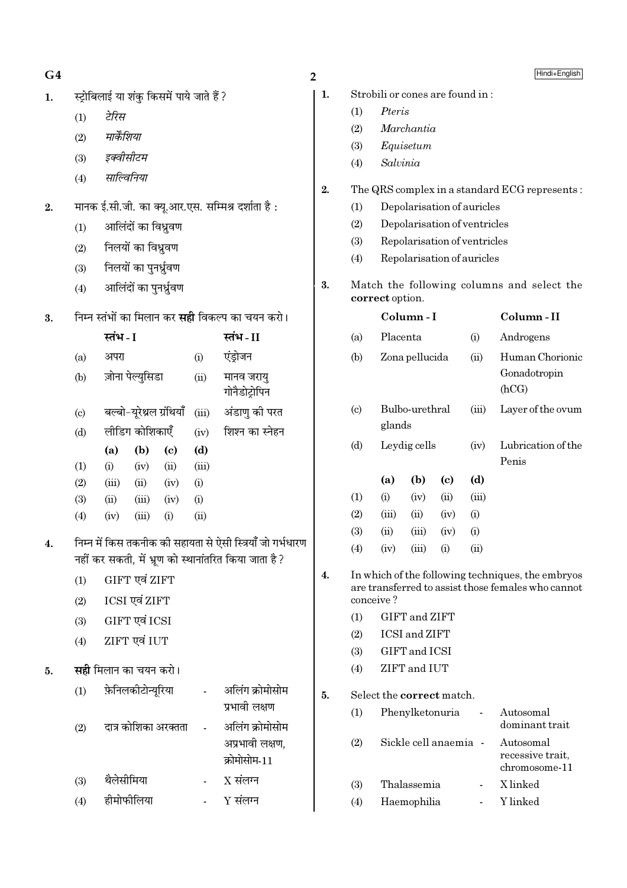# $G<sub>4</sub>$

- स्ट्रोबिलाई या शंकु किसमें पाये जाते हैं ?  $\mathbf{1}$ .
	- टेरिस  $(1)$
	- मार्केशिया  $(2)$
	- इक्वीसीटम  $(3)$
	- साल्विनिया  $(4)$
- मानक ई.सी.जी. का क्यू.आर.एस. सम्मिश्र दर्शाता है:  $2.$ 
	- आलिंदों का विध्रुवण  $(1)$
	- निलयों का विध्रुवण  $(2)$
	- निलयों का पुनर्ध्रुवण  $(3)$
	- आलिंदों का पुनर्ध्रुवण  $(4)$
- $3.$ निम्न स्तंभों का मिलान कर **सही** विकल्प का चयन करो।

|     | स्तंभ - I |                          |          |       | स्तंभ - II                  |
|-----|-----------|--------------------------|----------|-------|-----------------------------|
| (a) | अपरा      |                          |          | (i)   | एंड्रोजन                    |
| (b) |           | ज़ोना पेल्युसिडा         |          | (ii)  | मानव जरायु<br>गोनैडोट्रोपिन |
| (c) |           | बल्बो-यूरेथ्रल ग्रंथियाँ |          | (iii) | अंडाणु की परत               |
| (d) |           | लीडिंग कोशिकाएँ          |          | (iv)  | शिश्न का स्नेहन             |
|     | (a)       | (b)                      | (c)      | (d)   |                             |
| (1) | (i)       | (iv)                     | (ii)     | (iii) |                             |
| (2) | (iii)     | (ii)                     | (iv)     | (i)   |                             |
| (3) | (ii)      | (iii)                    | (iv)     | (i)   |                             |
| (4) | (iv)      | (iii)                    | $\rm(i)$ | (ii)  |                             |

- निम्न में किस तकनीक की सहायता से ऐसी स्त्रियाँ जो गर्भधारण  $\overline{4}$ . नहीं कर सकती, में भ्रूण को स्थानांतरित किया जाता है ?
	- GIFT एवं ZIFT  $(1)$
	- ICSI एवं ZIFT  $(2)$
	- GIFT एवं ICSI  $(3)$
	- ZIFT एवं IUT  $(4)$
- सही मिलान का चयन करो। 5.

| (1) | फ़ेनिलकीटोन्यूरिया   | अलिंग क्रोमोसोम<br>प्रभावी लक्षण   |
|-----|----------------------|------------------------------------|
| (2) | दात्र कोशिका अरक्तता | अलिंग क्रोमोसोम<br>अप्रभावी लक्षण, |
| (3) | थैलेसीमिया           | क्रोमोसोम-11<br>$X$ संलग्न         |
| (4) | हीमोफीलिया           | $Y$ संलग्न                         |

- $\overline{2}$ 
	- $\mathbf{1}$ . Strobili or cones are found in:
		- $(1)$ Pteris
		- $(2)$ Marchantia
		- Equisetum  $(3)$
		- Salvinia  $(4)$
	- $2.$ The QRS complex in a standard ECG represents:
		- Depolarisation of auricles  $(1)$
		- $(2)$ Depolarisation of ventricles
		- $(3)$ Repolarisation of ventricles
		- Repolarisation of auricles  $(4)$
	- $3.$ Match the following columns and select the correct option.

|    |                                                                                                                      |                           | Column-I                    | Column-II |       |                                                |  |  |  |  |
|----|----------------------------------------------------------------------------------------------------------------------|---------------------------|-----------------------------|-----------|-------|------------------------------------------------|--|--|--|--|
|    | (a)                                                                                                                  | Placenta                  |                             |           | (i)   | Androgens                                      |  |  |  |  |
|    | (b)                                                                                                                  |                           | Zona pellucida              |           |       | Human Chorionic<br>Gonadotropin<br>(hCG)       |  |  |  |  |
|    | (c)                                                                                                                  | glands                    | Bulbo-urethral              |           | (iii) | Layer of the ovum                              |  |  |  |  |
|    | (d)                                                                                                                  |                           | Leydig cells                |           |       | Lubrication of the<br>Penis                    |  |  |  |  |
|    |                                                                                                                      | (a)                       | (b)                         | (c)       | (d)   |                                                |  |  |  |  |
|    | (1)                                                                                                                  | (i)                       | (iv)                        | (ii)      | (iii) |                                                |  |  |  |  |
|    | (2)                                                                                                                  | (iii)                     | (ii)                        | (iv)      | (i)   |                                                |  |  |  |  |
|    | (3)                                                                                                                  | (ii)                      | (iii)                       | (iv)      | (i)   |                                                |  |  |  |  |
|    | (4)                                                                                                                  | (iv)                      | (iii)                       | (i)       | (ii)  |                                                |  |  |  |  |
| 4. | In which of the following techniques, the embryos<br>are transferred to assist those females who cannot<br>conceive? |                           |                             |           |       |                                                |  |  |  |  |
|    | (1)                                                                                                                  |                           | GIFT and ZIFT               |           |       |                                                |  |  |  |  |
|    | (2)                                                                                                                  |                           | <b>ICSI</b> and <b>ZIFT</b> |           |       |                                                |  |  |  |  |
|    | (3)                                                                                                                  |                           | GIFT and ICSI               |           |       |                                                |  |  |  |  |
|    | (4)                                                                                                                  |                           | ZIFT and IUT                |           |       |                                                |  |  |  |  |
| 5. |                                                                                                                      | Select the correct match. |                             |           |       |                                                |  |  |  |  |
|    | (1)                                                                                                                  |                           | Phenylketonuria             |           |       | Autosomal<br>dominant trait                    |  |  |  |  |
|    | (2)                                                                                                                  |                           | Sickle cell anaemia         |           |       | Autosomal<br>recessive trait,<br>chromosome-11 |  |  |  |  |
|    | (3)                                                                                                                  |                           | Thalassemia                 |           |       | X linked                                       |  |  |  |  |

 $(3)$ Y linked  $(4)$ Haemophilia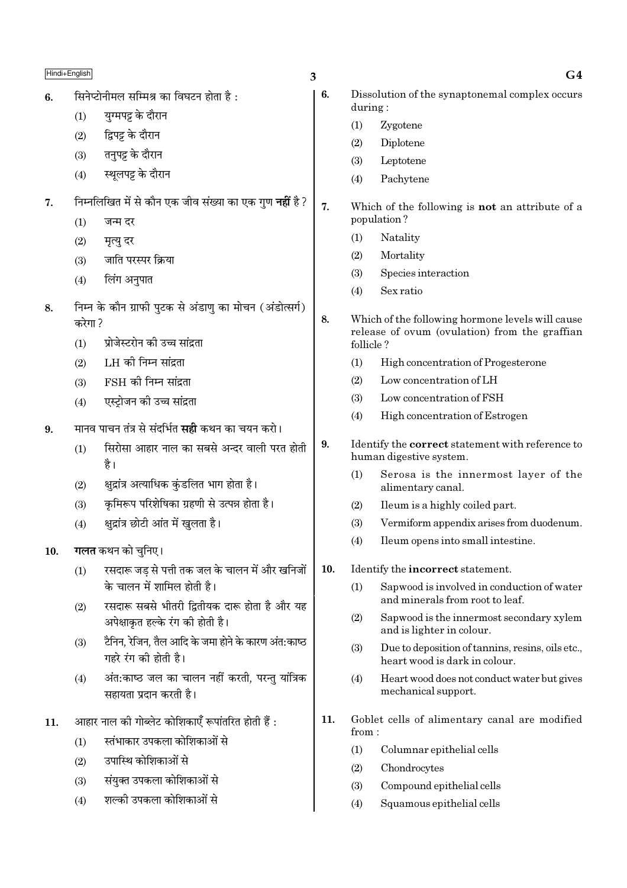|     | Hindi+English |                                                                             | 3   |                | G4                                                                                 |
|-----|---------------|-----------------------------------------------------------------------------|-----|----------------|------------------------------------------------------------------------------------|
| 6.  |               | सिनेप्टोनीमल सम्मिश्र का विघटन होता है:                                     | 6.  |                | Dissolution of the synaptonemal complex occurs                                     |
|     | (1)           | युग्मपट्ट के दौरान                                                          |     | during:<br>(1) | Zygotene                                                                           |
|     | (2)           | द्विपट्ट के दौरान                                                           |     | (2)            | Diplotene                                                                          |
|     | (3)           | तनुपट्ट के दौरान                                                            |     | (3)            | Leptotene                                                                          |
|     | (4)           | स्थूलपट्ट के दौरान                                                          |     | (4)            | Pachytene                                                                          |
| 7.  |               | निम्नलिखित में से कौन एक जीव संख्या का एक गुण <b>नहीं</b> है?               | 7.  |                | Which of the following is not an attribute of a                                    |
|     | (1)           | जन्म दर                                                                     |     |                | population?                                                                        |
|     | (2)           | मृत्यु दर                                                                   |     | (1)            | Natality                                                                           |
|     | (3)           | जाति परस्पर क्रिया                                                          |     | (2)            | Mortality                                                                          |
|     | (4)           | लिंग अनुपात                                                                 |     | (3)            | Species interaction                                                                |
|     |               |                                                                             |     | (4)            | Sex ratio                                                                          |
| 8.  | करेगा ?       | निम्न के कौन ग्राफी पुटक से अंडाणु का मोचन (अंडोत्सर्ग)                     | 8.  |                | Which of the following hormone levels will cause                                   |
|     | (1)           | प्रोजेस्टरोन की उच्च सांद्रता                                               |     | follicle?      | release of ovum (ovulation) from the graffian                                      |
|     | (2)           | LH की निम्न सांद्रता                                                        |     | (1)            | High concentration of Progesterone                                                 |
|     | (3)           | $FSH$ की निम्न सांद्रता                                                     |     | (2)            | Low concentration of LH                                                            |
|     | (4)           | एस्ट्रोजन की उच्च सांद्रता                                                  |     | (3)            | Low concentration of FSH                                                           |
| 9.  |               | मानव पाचन तंत्र से संदर्भित <b>सही</b> कथन का चयन करो।                      |     | (4)            | High concentration of Estrogen                                                     |
|     | (1)           | सिरोसा आहार नाल का सबसे अन्दर वाली परत होती<br>है ।                         | 9.  |                | Identify the <b>correct</b> statement with reference to<br>human digestive system. |
|     | (2)           | क्षुद्रांत्र अत्याधिक कुंडलित भाग होता है।                                  |     | (1)            | Serosa is the innermost layer of the<br>alimentary canal.                          |
|     | (3)           | कृमिरूप परिशेषिका ग्रहणी से उत्पन्न होता है।                                |     | (2)            | Ileum is a highly coiled part.                                                     |
|     | (4)           | क्षुद्रांत्र छोटी आंत में खुलता है।                                         |     | (3)            | Vermiform appendix arises from duodenum.                                           |
| 10. |               | गलत कथन को चुनिए।                                                           |     | (4)            | Ileum opens into small intestine.                                                  |
|     | (1)           | रसदारू जड़ से पत्ती तक जल के चालन में और खनिजों                             | 10. |                | Identify the incorrect statement.                                                  |
|     | (2)           | के चालन में शामिल होती है।<br>रसदारू सबसे भीतरी द्वितीयक दारू होता है और यह |     | (1)            | Sapwood is involved in conduction of water<br>and minerals from root to leaf.      |
|     |               | अपेक्षाकृत हल्के रंग की होती है।                                            |     | (2)            | Sapwood is the innermost secondary xylem<br>and is lighter in colour.              |
|     | (3)           | टैनिन, रेजिन, तैल आदि के जमा होने के कारण अंत:काष्ठ<br>गहरे रंग की होती है। |     | (3)            | Due to deposition of tannins, resins, oils etc.,<br>heart wood is dark in colour.  |
|     | (4)           | अंत:काष्ठ जल का चालन नहीं करती, परन्तु यांत्रिक<br>सहायता प्रदान करती है।   |     | (4)            | Heart wood does not conduct water but gives<br>mechanical support.                 |
| 11. |               | आहार नाल की गोब्लेट कोशिकाएँ रूपांतरित होती हैं :                           | 11. |                | Goblet cells of alimentary canal are modified                                      |
|     | (1)           | स्तंभाकार उपकला कोशिकाओं से                                                 |     | from:          |                                                                                    |
|     | (2)           | उपास्थि कोशिकाओं से                                                         |     | (1)            | Columnar epithelial cells                                                          |
|     | (3)           | संयुक्त उपकला कोशिकाओं से                                                   |     | (2)            | Chondrocytes                                                                       |
|     | (4)           | शल्की उपकला कोशिकाओं से                                                     |     | (3)<br>(4)     | Compound epithelial cells<br>Squamous epithelial cells                             |
|     |               |                                                                             |     |                |                                                                                    |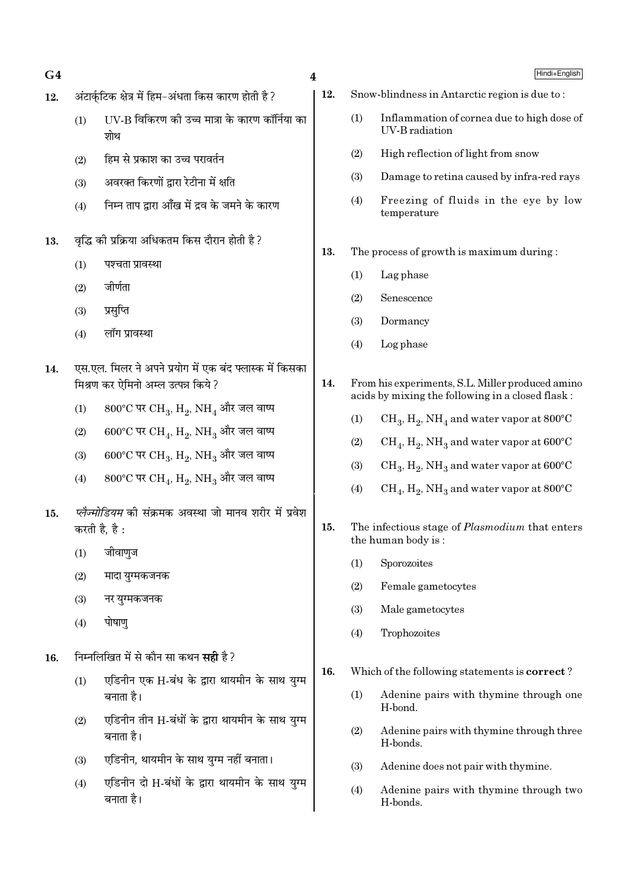- $G4$  and  $G4$
- $12.$  अंटार्कटिक क्षेत्र में हिम−अंधता किस कारण होती है ?
	- (1) UV-B विकिरण को उच्च मात्रा के कारण कॉर्निया का श्रोध
	- $(2)$  हिम से प्रकाश का उच्च परावर्तन
	- $(3)$  अवरक्त किरणों द्वारा रेटीना में क्षति
	- $(4)$  निम्न ताप द्वारा आँख में द्रव के जमने के कारण
- 13. वृद्धि की प्रक्रिया अधिकतम किस दौरान होती है ?
	- $(1)$  पश्चता प्रावस्था
	- $(2)$  जीर्णता
	- (3) प्रसप्ति
	- $(4)$  लॉग प्रावस्था
- 14. ⊙एस.एल. मिलर ने अपने प्रयोग में एक बंद फ्लास्क में किसका <u>मिश्रण कर ऐमिनो अम्ल उत्पन्न किये ?</u>
	- $(1)$   $-$  800°C पर CH<sub>3</sub>, H<sub>2</sub>, NH<sub>4</sub> और जल वाष्प
	- (2) 600°C पर  $\rm CH_{4}$ ,  $\rm H_{2}$ ,  $\rm NH_{3}$  और जल वाष्प
	- (3)  $600^{\circ}$ C पर  $\rm CH_{3}$ ,  $\rm H_{2}$ ,  $\rm NH_{3}$  और जल वाष्प
	- (4)  $800^{\circ}$ C पर CH<sub>4</sub>, H<sub>2</sub>, NH<sub>3</sub> और जल वाष्प
- 15. *प्लैज्मोडियम* की संक्रमक अवस्था जो मानव शरीर में प्रवेश करती है, है:
	- $(1)$  जीवाणुज
	- $(2)$  मादा युग्मकजनक
	- $(3)$  नर युग्मकजनक
	- $(4)$  पोषाण
- 16. निम्नलिखित में से कौन सा कथन **सद्दी** है ?
	- $(1)$  एडिनीन एक H-बंध के द्वारा थायमीन के साथ युग्म बनाता है।
	- (2) एडिनीन तीन H-बंधों के द्वारा थायमीन के साथ युग्म बनाता है।
	- (3) एडिनीन, थायमीन के साथ यग्म नहीं बनाता।
	- $(4)$  एडिनीन दो H-बंधों के द्वारा थायमीन के साथ यग्म बनाता है।
- 12. Snow-blindness in Antarctic region is due to :
	- (1) Inflammation of cornea due to high dose of UV-B radiation
	- (2) High reflection of light from snow
	- (3) Damage to retina caused by infra-red rays
	- (4) Freezing of fluids in the eye by low temperature
- 13. The process of growth is maximum during :
	- (1) Lag phase
	- (2) Senescence
	- (3) Dormancy
	- (4) Log phase
- 14. From his experiments, S.L. Miller produced amino acids by mixing the following in a closed flask :
	- (1)  $\mathrm{CH}_3, \mathrm{H}_2, \mathrm{NH}_4$  and water vapor at 800°C
	- (2)  $\rm CH_4, H_2, NH_3$  and water vapor at 600°C
	- (3)  $\mathrm{CH}_3, \mathrm{H}_2, \mathrm{NH}_3$  and water vapor at 600°C
	- (4)  $\rm CH_4, H_2, NH_3$  and water vapor at 800°C
- 15. The infectious stage of Plasmodium that enters the human body is :
	- (1) Sporozoites
	- (2) Female gametocytes
	- (3) Male gametocytes
	- (4) Trophozoites
- 16. Which of the following statements is correct ?
	- (1) Adenine pairs with thymine through one H-bond.
	- (2) Adenine pairs with thymine through three H-bonds.
	- (3) Adenine does not pair with thymine.
	- (4) Adenine pairs with thymine through two H-bonds.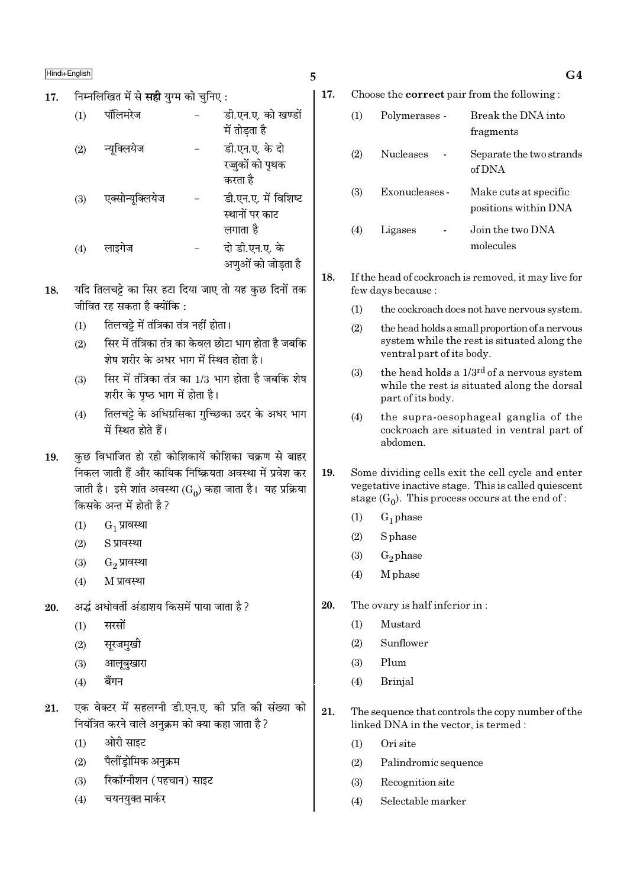निम्नलिखित में से **सही** यग्म को चनिए : 17.

| (1) | पॉलिमरेज         | डी.एन.ए. को खण्डों<br>में तोडता है                 |
|-----|------------------|----------------------------------------------------|
| (2) | न्यूक्लियेज      | डी.एन.ए. के दो<br>रज्जुकों को पृथक<br>करता है      |
| (3) | एक्सोन्यूक्लियेज | डी.एन.ए. में विशिष्ट<br>स्थानों पर काट<br>लगाता है |
| (4) | लाइगेज           | दो डी.एन.ए. के<br>अणुओं को जोडता है                |

- यदि तिलचट्टे का सिर हटा दिया जाए तो यह कुछ दिनों तक 18. जीवित रह सकता है क्योंकि :
	- तिलचट्टे में तंत्रिका तंत्र नहीं होता।  $(1)$
	- सिर में तंत्रिका तंत्र का केवल छोटा भाग होता है जबकि  $(2)$ शेष शरीर के अधर भाग में स्थित होता है।
	- सिर में तंत्रिका तंत्र का 1/3 भाग होता है जबकि शेष  $(3)$ शरीर के पष्ठ भाग में होता है।
	- तिलचट्टे के अधिग्रसिका गुच्छिका उदर के अधर भाग  $(4)$ में स्थित होते हैं।
- कुछ विभाजित हो रही कोशिकायें कोशिका चक्रण से बाहर 19. निकल जाती हैं और कायिक निष्क्रियता अवस्था में प्रवेश कर जाती है। इसे शांत अवस्था (Go) कहा जाता है। यह प्रक्रिया किसके अन्त में होती है ?
	- $G_1$  प्रावस्था  $(1)$
	- $(2)$ S प्रावस्था
	- $(3)$  $G_2$  प्रावस्था
	- $(4)$ M प्रावस्था
- अर्द्ध अधोवर्ती अंडाशय किसमें पाया जाता है ? 20.
	- सरसों  $(1)$
	- $(2)$ सुरजमुखी
	- आलुबखारा  $(3)$
	- बैंगन  $(4)$
- एक वेक्टर में सहलग्नी डी.एन.ए. की प्रति की संख्या को 21. नियंत्रित करने वाले अनुक्रम को क्या कहा जाता है ?
	- ओरी साइट  $(1)$
	- पैलींड़ोमिक अनुक्रम  $(2)$
	- रिकॉग्नीशन (पहचान) साइट  $(3)$
	- चयनयुक्त मार्कर  $(4)$

17. Choose the **correct** pair from the following:

5

| (1) | Polymerases -    | Break the DNA into<br>fragments               |
|-----|------------------|-----------------------------------------------|
| (2) | <b>Nucleases</b> | Separate the two strands<br>of DNA            |
| (3) | Exonucleases -   | Make cuts at specific<br>positions within DNA |
| (4) | Ligases          | Join the two DNA<br>molecules                 |

- 18. If the head of cockroach is removed, it may live for few days because:
	- the cockroach does not have nervous system.  $(1)$
	- $(2)$ the head holds a small proportion of a nervous system while the rest is situated along the ventral part of its body.
	- the head holds a  $1/3^{rd}$  of a nervous system  $(3)$ while the rest is situated along the dorsal part of its body.
	- the supra-oesophageal ganglia of the  $(4)$ cockroach are situated in ventral part of ahdomen
- 19. Some dividing cells exit the cell cycle and enter vegetative inactive stage. This is called quiescent stage  $(G_0)$ . This process occurs at the end of:
	- $(1)$  $G_1$  phase
	- S phase  $(2)$
	- $G_2$ phase  $(3)$
	- $(4)$ M phase
- 20. The ovary is half inferior in:
	- $(1)$ Mustard
	- Sunflower  $(2)$
	- $(3)$ Plum
	- **Brinjal**  $(4)$
- 21. The sequence that controls the copy number of the linked DNA in the vector, is termed :
	- $(1)$ Ori site
	- $(2)$ Palindromic sequence
	- $(3)$ Recognition site
	- Selectable marker  $(4)$

 $G<sub>4</sub>$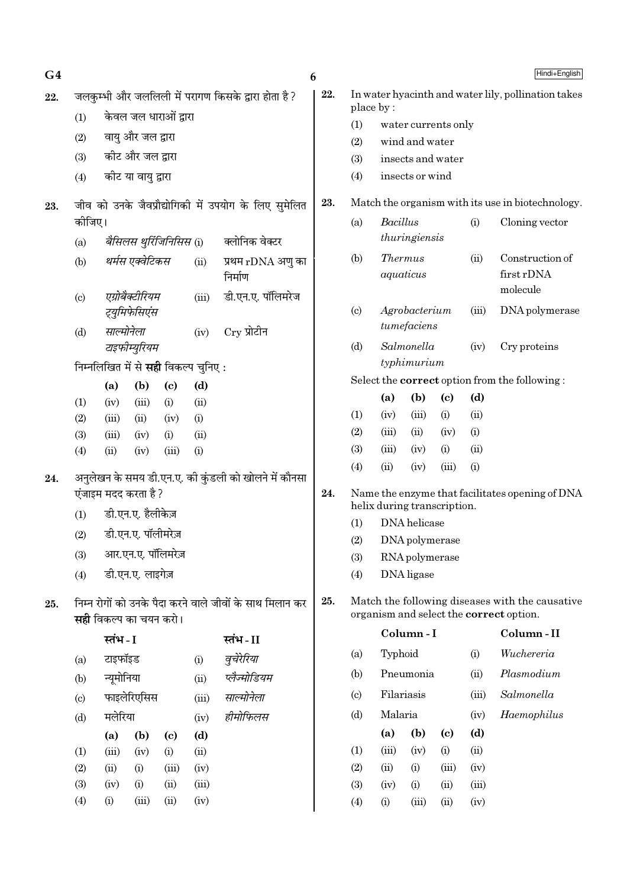| G4  |                            |                |                                  |                                            |             |                                                          | Hindi+English<br>6 |                                                     |                                     |                                                                     |                            |                                           |                                                                                            |
|-----|----------------------------|----------------|----------------------------------|--------------------------------------------|-------------|----------------------------------------------------------|--------------------|-----------------------------------------------------|-------------------------------------|---------------------------------------------------------------------|----------------------------|-------------------------------------------|--------------------------------------------------------------------------------------------|
| 22. |                            |                |                                  |                                            |             | जलकुम्भी और जललिली में परागण किसके द्वारा होता है ?      | 22.                | In water hyacinth and water lily, pollination takes |                                     |                                                                     |                            |                                           |                                                                                            |
|     | (1)                        |                |                                  | केवल जल धाराओं द्वारा                      |             |                                                          |                    |                                                     | place by:                           | water currents only                                                 |                            |                                           |                                                                                            |
|     | (2)                        |                | वायु और जल द्वारा                |                                            |             |                                                          |                    | (1)<br>(2)                                          |                                     |                                                                     |                            |                                           |                                                                                            |
|     | कीट और जल द्वारा<br>(3)    |                |                                  |                                            |             |                                                          |                    | (3)                                                 | wind and water<br>insects and water |                                                                     |                            |                                           |                                                                                            |
|     | (4)                        |                | कीट या वायु द्वारा               |                                            |             |                                                          |                    | (4)                                                 |                                     | insects or wind                                                     |                            |                                           |                                                                                            |
| 23. |                            |                |                                  |                                            |             | जीव को उनके जैवप्रौद्योगिकी में उपयोग के लिए सुमेलित     | 23.                |                                                     |                                     |                                                                     |                            |                                           | Match the organism with its use in biotechnology.                                          |
|     | कोजिए।                     |                |                                  |                                            |             |                                                          |                    | (a)                                                 | Bacillus                            |                                                                     |                            | (i)                                       | Cloning vector                                                                             |
|     | (a)                        |                |                                  | बैसिलस थुर्रिजिनिसिस (i)                   |             | क्लोनिक वेक्टर                                           |                    |                                                     |                                     | thuringiensis                                                       |                            |                                           |                                                                                            |
|     | (b)                        |                | थर्मस एक्वेटिकस                  |                                            | (ii)        | प्रथम rDNA अणु का<br>निर्माण                             |                    | (b)                                                 |                                     | <b>Thermus</b><br>aquaticus                                         |                            | Construction of<br>first rDNA<br>molecule |                                                                                            |
|     | $\left( \mathrm{c}\right)$ |                | एग्रोबैक्टीरियम<br>ट्युमिफेसिएंस |                                            | (iii)       | डी.एन.ए. पॉलिमरेज                                        |                    | $\left( \mathrm{c}\right)$                          |                                     | Agrobacterium                                                       |                            | (iii)                                     | DNA polymerase                                                                             |
|     | (d)                        | साल्मोनेला     |                                  |                                            | (iv)        | $Cry$ प्रोटीन                                            |                    |                                                     |                                     | tumefaciens                                                         |                            |                                           |                                                                                            |
|     |                            | टाइफीम्युरियम  |                                  |                                            |             |                                                          | Salmonella<br>(d)  |                                                     |                                     |                                                                     | (iv)                       | Cry proteins                              |                                                                                            |
|     |                            |                |                                  | निम्नलिखित में से <b>सही</b> विकल्प चुनिए: |             |                                                          |                    |                                                     |                                     | typhimurium<br>Select the <b>correct</b> option from the following: |                            |                                           |                                                                                            |
|     |                            | (a)            | (b)                              | $\left( \mathrm{e}\right)$                 | (d)         |                                                          |                    |                                                     | (a)                                 | (b)                                                                 | $\left( \mathrm{c}\right)$ | (d)                                       |                                                                                            |
|     | (1)                        | (iv)           | (iii)                            | (i)                                        | (ii)        |                                                          |                    | (1)                                                 | (iv)                                | (iii)                                                               | (i)                        | (ii)                                      |                                                                                            |
|     | (2)<br>(3)                 | (iii)<br>(iii) | (ii)<br>(iv)                     | (iv)<br>(i)                                | (i)<br>(ii) |                                                          |                    | (2)                                                 | (iii)                               | (ii)                                                                | (iv)                       | (i)                                       |                                                                                            |
|     | (4)                        | (ii)           | (iv)                             | (iii)                                      | (i)         |                                                          |                    | (3)                                                 | (iii)                               | (iv)                                                                | (i)                        | (ii)                                      |                                                                                            |
|     |                            |                |                                  |                                            |             |                                                          |                    | (4)                                                 | (ii)                                | (iv)                                                                | (iii)                      | (i)                                       |                                                                                            |
| 24. |                            |                | एंजाइम मदद करता है ?             |                                            |             | अनुलेखन के समय डी.एन.ए. की कुंडली को खोलने में कौनसा     | 24.                | Name the enzyme that facilitates opening of DNA     |                                     |                                                                     |                            |                                           |                                                                                            |
|     | (1)                        |                | डी.एन.ए. हैलीकेज़                |                                            |             |                                                          |                    | helix during transcription.                         |                                     |                                                                     |                            |                                           |                                                                                            |
|     | (2)                        |                | डी.एन.ए. पॉलीमरेज़               |                                            |             |                                                          |                    | DNA helicase<br>(1)                                 |                                     |                                                                     |                            |                                           |                                                                                            |
|     | (3)                        |                |                                  | आर.एन.ए. पॉलिमरेज़                         |             |                                                          |                    | (2)                                                 |                                     | DNA polymerase                                                      |                            |                                           |                                                                                            |
|     |                            |                | डी.एन.ए. लाइगेज़                 |                                            |             |                                                          |                    | (3)                                                 |                                     | RNA polymerase<br>DNA ligase                                        |                            |                                           |                                                                                            |
|     | (4)                        |                |                                  |                                            |             |                                                          |                    | (4)                                                 |                                     |                                                                     |                            |                                           |                                                                                            |
| 25. |                            |                | सही विकल्प का चयन करो।           |                                            |             | निम्न रोगों को उनके पैदा करने वाले जीवों के साथ मिलान कर | 25.                |                                                     |                                     |                                                                     |                            |                                           | Match the following diseases with the causative<br>organism and select the correct option. |
|     |                            | स्तंभ - I      |                                  |                                            |             | स्तंभ-II                                                 |                    |                                                     |                                     | Column-I                                                            |                            |                                           | Column-II                                                                                  |
|     | (a)                        | टाइफॉइड        |                                  |                                            | (i)         | वुचेरेरिया                                               |                    | (a)                                                 | Typhoid                             |                                                                     |                            | (i)                                       | Wuchereria                                                                                 |
|     | (b)                        | न्यूमोनिया     |                                  |                                            | (ii)        | प्लैज्मोडियम                                             |                    | (b)                                                 |                                     | Pneumonia                                                           |                            | (ii)                                      | Plasmodium                                                                                 |
|     | (c)                        |                | फाइलेरिएसिस                      |                                            | (iii)       | साल्मोनेला                                               |                    | (c)                                                 |                                     | Filariasis<br>(iii)                                                 |                            |                                           | Salmonella                                                                                 |
|     | (d)                        | मलेरिया        |                                  |                                            | (iv)        | हीमोफिलस                                                 |                    | (d)                                                 | Malaria                             |                                                                     |                            | (iv)                                      | Haemophilus                                                                                |
|     |                            | (a)            | (b)                              | (c)                                        | (d)         |                                                          |                    |                                                     | (a)                                 | (b)                                                                 | (c)                        | (d)                                       |                                                                                            |
|     | (1)                        | (iii)          | (iv)                             | (i)                                        | (ii)        |                                                          |                    | (1)                                                 | (iii)                               | (iv)                                                                | (i)                        | (ii)                                      |                                                                                            |
|     | (2)                        | (ii)           | (i)                              | (iii)                                      | (iv)        |                                                          |                    | (2)                                                 | (ii)                                | (i)                                                                 | (iii)                      | (iv)                                      |                                                                                            |
|     | (3)                        | (iv)           | (i)                              | (ii)                                       | (iii)       |                                                          |                    | (3)                                                 | (iv)                                | (i)                                                                 | (ii)                       | (iii)                                     |                                                                                            |
|     | (4)                        | (i)            | (iii)                            | (ii)                                       | (iv)        |                                                          |                    | (4)                                                 | (i)                                 | (iii)                                                               | (ii)                       | (iv)                                      |                                                                                            |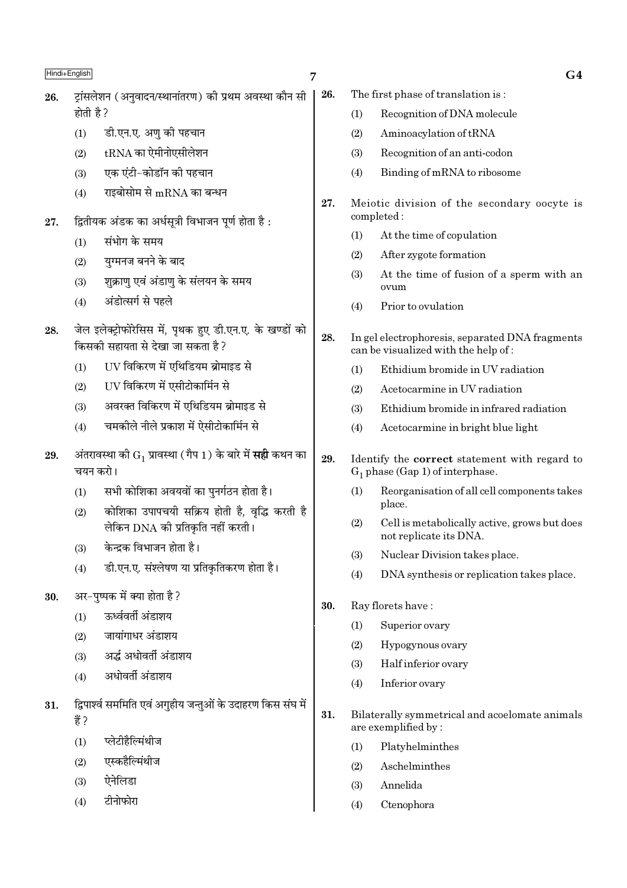| Hindi+English |           | 7                                                                                            |     |            | G <sub>4</sub>                                                                         |
|---------------|-----------|----------------------------------------------------------------------------------------------|-----|------------|----------------------------------------------------------------------------------------|
| 26.           |           | ट्रांसलेशन (अनुवादन/स्थानांतरण) की प्रथम अवस्था कौन सी                                       | 26. |            | The first phase of translation is:                                                     |
|               | होती है ? |                                                                                              |     | (1)        | Recognition of DNA molecule                                                            |
|               | (1)       | डी.एन.ए. अणु की पहचान                                                                        |     | (2)        | Aminoacylation of tRNA                                                                 |
|               | (2)       | $tRNA$ का ऐमीनोएसीलेशन                                                                       |     | (3)        | Recognition of an anti-codon                                                           |
|               | (3)       | एक एंटी-कोडॉन की पहचान                                                                       |     | (4)        | Binding of mRNA to ribosome                                                            |
|               | (4)       | राइबोसोम से $mRNA$ का बन्धन                                                                  |     |            |                                                                                        |
| 27.           |           | द्वितीयक अंडक का अर्धसूत्री विभाजन पूर्ण होता है:                                            | 27. |            | Meiotic division of the secondary oocyte is<br>completed:                              |
|               | (1)       | संभोग के समय                                                                                 |     | (1)        | At the time of copulation                                                              |
|               | (2)       | युग्मनज बनने के बाद                                                                          |     | (2)        | After zygote formation                                                                 |
|               | (3)       | शुक्राणु एवं अंडाणु के संलयन के समय                                                          |     | (3)        | At the time of fusion of a sperm with an<br>ovum                                       |
|               | (4)       | अंडोत्सर्ग से पहले                                                                           |     | (4)        | Prior to ovulation                                                                     |
| 28.           |           | जेल इलेक्ट्रोफोरेसिस में, पृथक हुए डी.एन.ए. के खण्डों को<br>किसकी सहायता से देखा जा सकता है? | 28. |            | In gel electrophoresis, separated DNA fragments<br>can be visualized with the help of: |
|               | (1)       | UV विकिरण में एथिडियम ब्रोमाइड से                                                            |     | (1)        | Ethidium bromide in UV radiation                                                       |
|               | (2)       | UV विकिरण में एसीटोकार्मिन से                                                                |     | (2)        | Acetocarmine in UV radiation                                                           |
|               | (3)       | अवरक्त विकिरण में एथिडियम ब्रोमाइड से                                                        |     | (3)        | Ethidium bromide in infrared radiation                                                 |
|               | (4)       | चमकोले नीले प्रकाश में ऐसीटोकार्मिन से                                                       |     | (4)        | Acetocarmine in bright blue light                                                      |
| 29.           | चयन करो।  | अंतरावस्था को $\mathrm{G}_1$ प्रावस्था (गैप 1) के बारे में <b>सही</b> कथन का                 | 29. |            | Identify the correct statement with regard to<br>$G_1$ phase (Gap 1) of interphase.    |
|               | (1)       | सभी कोशिका अवयवों का पुनर्गठन होता है।                                                       |     | (1)        | Reorganisation of all cell components takes                                            |
|               | (2)       | कोशिका उपापचयी सक्रिय होती है, वृद्धि करती है<br>लेकिन DNA की प्रतिकृति नहीं करती।           |     | (2)        | place.<br>Cell is metabolically active, grows but does                                 |
|               | (3)       | केन्द्रक विभाजन होता है।                                                                     |     |            | not replicate its DNA.<br>Nuclear Division takes place.                                |
|               | (4)       | डी.एन.ए. संश्लेषण या प्रतिकृतिकरण होता है।                                                   |     | (3)<br>(4) | DNA synthesis or replication takes place.                                              |
|               |           |                                                                                              |     |            |                                                                                        |
| 30.           |           | अर-पुष्पक में क्या होता है?<br>ऊर्ध्ववर्ती अंडाशय                                            | 30. |            | Ray florets have:                                                                      |
|               | (1)       |                                                                                              |     | (1)        | Superior ovary                                                                         |
|               | (2)       | जायांगाधर अंडाशय                                                                             |     | (2)        | Hypogynous ovary                                                                       |
|               | (3)       | अर्द्ध अधोवर्ती अंडाशय                                                                       |     | (3)        | Half inferior ovary                                                                    |
|               | (4)       | अधोवर्ती अंडाशय                                                                              |     | (4)        | Inferior ovary                                                                         |
| 31.           | हैं ?     | द्विपार्श्व सममिति एवं अगुहीय जन्तुओं के उदाहरण किस संघ में                                  | 31. |            | Bilaterally symmetrical and acoelomate animals<br>are exemplified by:                  |
|               | (1)       | प्लेटीहैल्मिंथीज                                                                             |     | (1)        | Platyhelminthes                                                                        |
|               | (2)       | एस्कहैल्मिंथीज                                                                               |     | (2)        | Aschelminthes                                                                          |
|               | (3)       | ऐनेलिडा                                                                                      |     | (3)        | Annelida                                                                               |
|               | (4)       | टीनोफोरा                                                                                     |     | (4)        | Ctenophora                                                                             |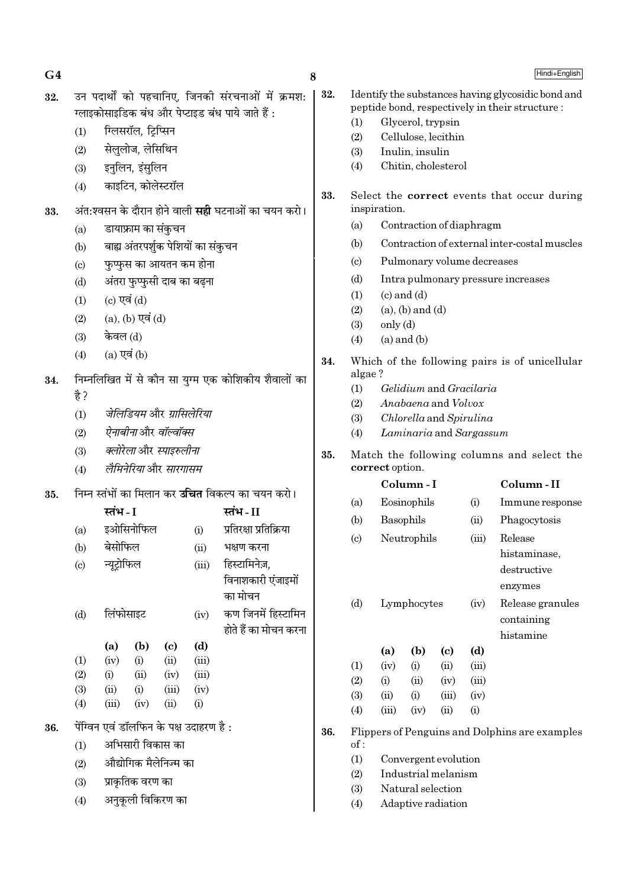| 32. | उन पदार्थों को पहचानिए, जिनकी संरचनाओं में क्रमश:<br>ग्लाइकोसाइडिक बंध और पेप्टाइड बंध पाये जाते हैं :<br>ग्लिसरॉल, ट्रिप्सिन<br>(1)<br>सेलुलोज, लेसिथिन<br>(2)<br>इनुलिन, इंसुलिन<br>(3) |                                                                                                                                                                                                                                                                                                                                                                                                                                                   |                                   |                                                                                                                                                    |                                      |                                                                                                                                                                                                                                                                                                           |            | Identify the substances having glycosidic bond and<br>peptide bond, respectively in their structure :<br>Glycerol, trypsin<br>(1)<br>Cellulose, lecithin<br>(2)<br>Inulin, insulin<br>(3)<br>Chitin, cholesterol<br>(4)                                                                                                                                                                                                                                                                                                                                                                                                                         |                                     |                                                                  |                                                             |                                      |                                                |
|-----|-------------------------------------------------------------------------------------------------------------------------------------------------------------------------------------------|---------------------------------------------------------------------------------------------------------------------------------------------------------------------------------------------------------------------------------------------------------------------------------------------------------------------------------------------------------------------------------------------------------------------------------------------------|-----------------------------------|----------------------------------------------------------------------------------------------------------------------------------------------------|--------------------------------------|-----------------------------------------------------------------------------------------------------------------------------------------------------------------------------------------------------------------------------------------------------------------------------------------------------------|------------|-------------------------------------------------------------------------------------------------------------------------------------------------------------------------------------------------------------------------------------------------------------------------------------------------------------------------------------------------------------------------------------------------------------------------------------------------------------------------------------------------------------------------------------------------------------------------------------------------------------------------------------------------|-------------------------------------|------------------------------------------------------------------|-------------------------------------------------------------|--------------------------------------|------------------------------------------------|
| 33. | (4)<br>(a)<br>(b)<br>$\left( \mathrm{c}\right)$<br>(d)<br>(1)<br>(2)<br>(3)                                                                                                               | काइटिन, कोलेस्टरॉल<br>अंत:श्वसन के दौरान होने वाली <b>सही</b> घटनाओं का चयन करो।<br>डायाफ्राम का संकुचन<br>बाह्य अंतरपर्शुक पेशियों का संकुचन<br>फुप्फुस का आयतन कम होना<br>अंतरा फुप्फुसी दाब का बढ़ना<br>(c) एवं $(d)$<br>$(a)$ , $(b)$ एवं $(d)$<br>केवल (d)<br>$(a)$ एवं $(b)$<br>निम्नलिखित में से कौन सा युग्म एक कोशिकीय शैवालों का<br>जेलिडियम और ग्रासिलेरिया<br>ऐनाबीनाओर वॉल्वॉक्स<br>क्लोरेला और स्पाइरुलीना<br>लैमिनेरिया और सारगासम |                                   |                                                                                                                                                    |                                      |                                                                                                                                                                                                                                                                                                           | 33.        | Select the <b>correct</b> events that occur during<br>inspiration.<br>Contraction of diaphragm<br>(a)<br>Contraction of external inter-costal muscles<br>(b)<br>Pulmonary volume decreases<br>$\left( \mathrm{c}\right)$<br>Intra pulmonary pressure increases<br>(d)<br>$(c)$ and $(d)$<br>(1)<br>(2)<br>$(a)$ , $(b)$ and $(d)$<br>only (d)<br>(3)<br>$(a)$ and $(b)$<br>(4)<br>Which of the following pairs is of unicellular<br>algae?<br>Gelidium and Gracilaria<br>(1)<br>Anabaena and Volvox<br>(2)<br>Chlorella and Spirulina<br>(3)<br>Laminaria and Sargassum<br>(4)<br>Match the following columns and select the<br>correct option. |                                     |                                                                  |                                                             |                                      |                                                |
| 34. | (4)<br>है ?<br>(1)<br>(2)<br>(3)<br>(4)                                                                                                                                                   |                                                                                                                                                                                                                                                                                                                                                                                                                                                   |                                   |                                                                                                                                                    |                                      |                                                                                                                                                                                                                                                                                                           | 34.<br>35. |                                                                                                                                                                                                                                                                                                                                                                                                                                                                                                                                                                                                                                                 |                                     |                                                                  |                                                             |                                      |                                                |
| 35. | (a)<br>(b)<br>(c)<br>(d)                                                                                                                                                                  | निम्न स्तंभों का मिलान कर <b>उचित</b> विकल्प का चयन करो।<br>स्तंभ - I<br>इओसिनोफिल<br>(i)<br>बेसोफिल<br>(ii)<br>न्यूट्रोफिल<br>(iii)<br>लिंफोसाइट<br>(iv)                                                                                                                                                                                                                                                                                         |                                   | स्तंभ-II<br>प्रतिरक्षा प्रतिक्रिया<br>भक्षण करना<br>हिस्टामिनेज़,<br>विनाशकारी एंजाइमों<br>का मोचन<br>कण जिनमें हिस्टामिन<br>होते हैं का मोचन करना |                                      | Column-II<br>Column-I<br>Eosinophils<br>(a)<br>(i)<br>Immune response<br>Basophils<br>Phagocytosis<br>(b)<br>(ii)<br>Release<br>Neutrophils<br>$\left( \mathrm{c}\right)$<br>(iii)<br>histaminase,<br>destructive<br>enzymes<br>(d)<br>Lymphocytes<br>Release granules<br>(iv)<br>containing<br>histamine |            |                                                                                                                                                                                                                                                                                                                                                                                                                                                                                                                                                                                                                                                 |                                     |                                                                  |                                                             |                                      |                                                |
|     | (1)<br>(2)<br>(3)<br>(4)                                                                                                                                                                  | (a)<br>(iv)<br>(i)<br>(ii)<br>(iii)                                                                                                                                                                                                                                                                                                                                                                                                               | (b)<br>(i)<br>(ii)<br>(i)<br>(iv) | (c)<br>(ii)<br>(iv)<br>(iii)<br>(ii)                                                                                                               | (d)<br>(iii)<br>(iii)<br>(iv)<br>(i) |                                                                                                                                                                                                                                                                                                           |            | (1)<br>(2)<br>(3)<br>(4)                                                                                                                                                                                                                                                                                                                                                                                                                                                                                                                                                                                                                        | (a)<br>(iv)<br>(i)<br>(ii)<br>(iii) | (b)<br>(i)<br>(ii)<br>(i)<br>(iv)                                | $\left( \mathrm{e}\right)$<br>(ii)<br>(iv)<br>(iii)<br>(ii) | (d)<br>(iii)<br>(iii)<br>(iv)<br>(i) |                                                |
| 36. | (1)<br>(2)<br>(3)                                                                                                                                                                         | पेंग्विन एवं डॉलफिन के पक्ष उदाहरण है :<br>अभिसारी विकास का<br>औद्योगिक मैलेनिज्म का<br>प्राकृतिक वरण का                                                                                                                                                                                                                                                                                                                                          |                                   |                                                                                                                                                    |                                      |                                                                                                                                                                                                                                                                                                           | 36.        | of:<br>(1)<br>(2)<br>(3)                                                                                                                                                                                                                                                                                                                                                                                                                                                                                                                                                                                                                        |                                     | Convergent evolution<br>Industrial melanism<br>Natural selection |                                                             |                                      | Flippers of Penguins and Dolphins are examples |

8

अनुकूली विकिरण का  $(4)$ 

 $G<sub>4</sub>$ 

 $(3)$  $(4)$ Adaptive radiation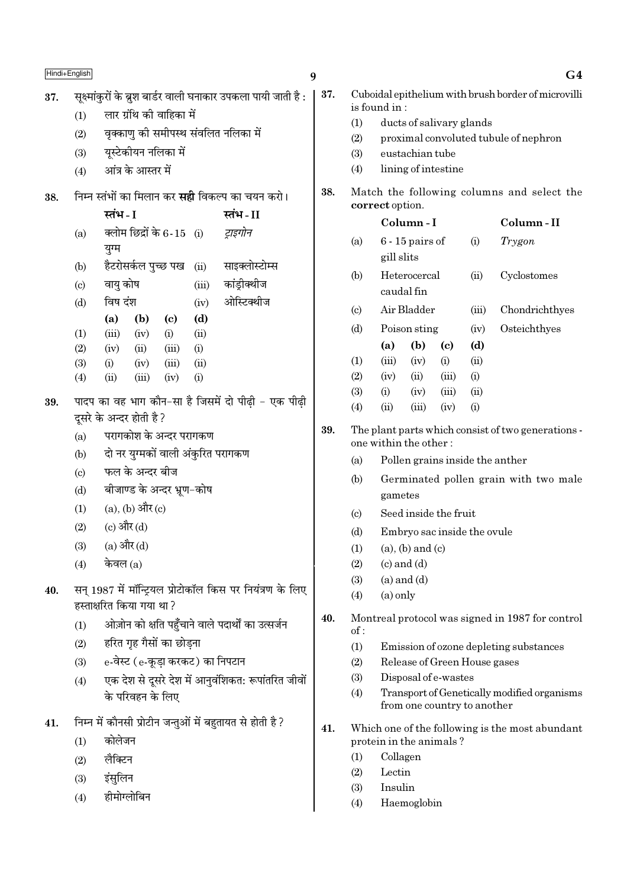Hindi+English सक्ष्मांकरों के ब्रश बार्डर वाली घनाकार उपकला पायी जाती है : 37. लार ग्रंथि की वाहिका में  $(1)$ वक्काण की समीपस्थ संवलित नलिका में  $(2)$ यस्टेकीयन नलिका में  $(3)$ आंत्र के आस्तर में  $(4)$ निम्न स्तंभों का मिलान कर **सद्दी** विकल्प का चयन करो। 38. स्तंभ - I स्तंभ - II क्लोम छिद्रों के 6-15 (i) टाइगोन  $(a)$ युग्म हैटरोसर्कल पुच्छ पख साइक्लोस्टोम्स  $(b)$  $(ii)$ वाय कोष कांडीक्थीज  $(c)$  $(iii)$ ओस्टिक्थीज विष दंश  $(d)$  $(iv)$  $(a)$  $(b)$  $(c)$  $(d)$  $(iii)$  $(1)$  $(iv)$  $(i)$  $(ii)$  $(2)$  $(iv)$  $(ii)$  $(iii)$  $(i)$  $(3)$  $(i)$  $(iv)$  $(iii)$  $(ii)$  $(4)$  $(iii)$  $(iv)$  $(i)$  $(ii)$ पादप का वह भाग कौन-सा है जिसमें दो पीढी - एक पीढी 39. दसरे के अन्दर होती है ? परागकोश के अन्दर परागकण  $(a)$ दो नर युग्मकों वाली अंकुरित परागकण  $(b)$ फल के अन्दर बीज  $(c)$ बीजाण्ड के अन्दर भ्रूण-कोष  $(d)$  $(a)$ ,  $(b)$  और  $(c)$  $(1)$ (c) और (d)  $(2)$  $(a)$  और  $(d)$  $(3)$ केवल  $(a)$  $(4)$ सन् 1987 में मॉन्ट्यिल प्रोटोकॉल किस पर नियंत्रण के लिए  $40.$ हस्ताक्षरित किया गया था? ओज़ोन को क्षति पहुँचाने वाले पदार्थों का उत्सर्जन  $(1)$ हरित गृह गैसों का छोडना  $(2)$ e-वेस्ट (e-कूड़ा करकट) का निपटान  $(3)$ एक देश से दूसरे देश में आनुवंशिकत: रूपांतरित जीवों  $(4)$ के परिवहन के लिए निम्न में कौनसी प्रोटीन जन्तुओं में बहुतायत से होती है ?  $41.$ कोलेजन  $(1)$ लैक्टिन  $(2)$ इंसलिन  $(3)$ हीमोग्लोबिन  $(4)$ 

 $G<sub>4</sub>$ Cuboidal epithelium with brush border of microvilli is found in:  $(1)$ ducts of salivary glands proximal convoluted tubule of nephron  $(2)$  $(3)$ eustachian tube lining of intestine  $(4)$ Match the following columns and select the correct option. Column-I Column-II  $6 - 15$  pairs of Trygon  $(a)$  $(i)$ gill slits Heterocercal  $(b)$  $(ii)$ Cyclostomes caudal fin Air Bladder Chondrichthyes  $(c)$  $(iii)$ 

 $(iv)$ 

Osteichthyes

 $(b)$  $(a)$  $(d)$ (c)  $(1)$  $(iii)$  $(iv)$  $(i)$  $(ii)$  $(2)$  $(iv)$  $(ii)$  $(iii)$  $(i)$  $(3)$  $(iii)$  $(ii)$  $(i)$  $(iv)$  $(4)$  $(ii)$  $(iii)$  $(iv)$  $(i)$ The plant parts which consist of two generations -

39. one within the other:

- Pollen grains inside the anther  $(a)$
- $(b)$ Germinated pollen grain with two male gametes
- Seed inside the fruit  $(c)$

Poison sting

- Embryo sac inside the ovule  $(d)$
- $(a)$ ,  $(b)$  and  $(c)$  $(1)$
- $(2)$  $(c)$  and  $(d)$

 $\boldsymbol{q}$ 

37.

38.

 $(d)$ 

- $(a)$  and  $(d)$  $(3)$
- $(4)$  $(a)$  only
- 40. Montreal protocol was signed in 1987 for control  $of:$ 
	- $(1)$ Emission of ozone depleting substances
	- $(2)$ Release of Green House gases
	- Disposal of e-wastes  $(3)$
	- Transport of Genetically modified organisms  $(4)$ from one country to another
- 41. Which one of the following is the most abundant protein in the animals?
	- $(1)$ Collagen
	- $(2)$ Lectin
	- $(3)$ Insulin
	- $(4)$ Haemoglobin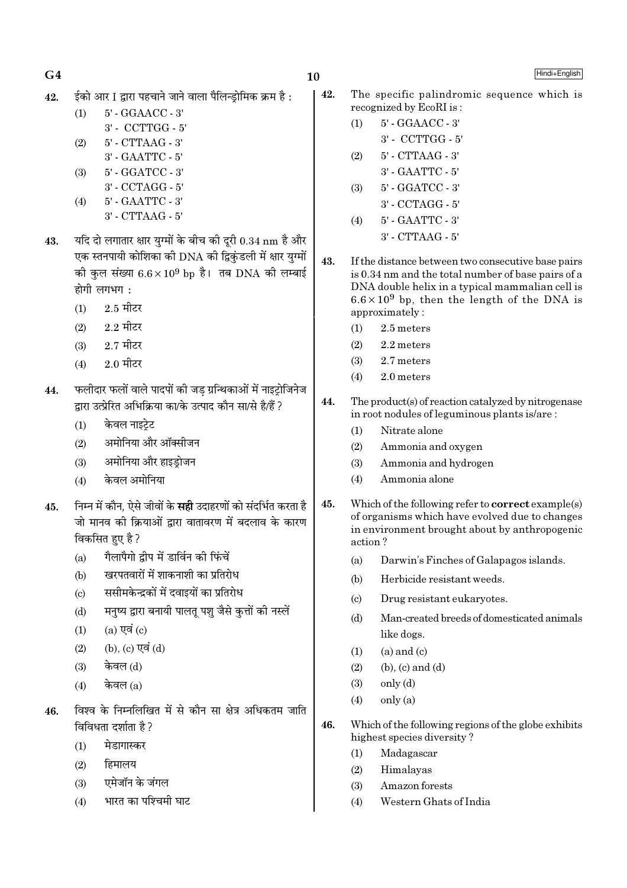- 
- $42.$   $\,$  ईको आर I द्वारा पहचाने जाने वाला पैलिन्डोमिक क्रम है :

(1) 5' - GGAACC - 3'

- 3' CCTTGG 5'
- (2) 5' CTTAAG 3'
- 3' GAATTC 5' (3) 5' - GGATCC - 3'
- 3' CCTAGG 5'
- (4) 5' GAATTC 3'
	- 3' CTTAAG 5'
- $43.$  यदि दो लगातार क्षार युग्मों के बीच की दूरी  $0.34 \text{ nm}$  है और एक स्तनपायी कोशिका की DNA की द्विकंडली में क्षार युग्मों की कुल संख्या  $6.6 \times 10^9$  bp है। तब DNA की लम्बाई  $\vec{E}$ होगी लगभग:
	- $(1)$  2.5 मीटर
	- $(2)$  2.2 मीटर
	- $(3)$  2.7 मीटर
	- $(4)$  2.0 मीटर
- $44.$  फलीदार फलों वाले पादपों की जड ग्रन्थिकाओं में नाइट़ोजिनेज द्वारा उत्प्रेरित अभिक्रिया का/के उत्पाद कौन सा/से है/हैं ?
	- $(1)$  केवल नाइटे़ट
	- (2) अमोनिया और ऑक्सीजन
	- $(3)$  अमोनिया और हाइडोजन
	- $(4)$  केवल अमोनिया
- 45. निम्न में कौन, ऐसे जीवों के **सही** उदाहरणों को संदर्भित करता है जो मानव की क्रियाओं द्वारा वातावरण में बदलाव के कारण विकसित हए है ?
	- (a) गैलापैगो द्वीप में डार्विन की फिंचें
	- (b) खरपतवारों में शाकनाशी का प्रतिरोध
	- (c) ससीमकेन्द्रकों में दवाइयों का प्रतिरोध
	- (d) मनुष्य द्वारा बनायी पालत पश जैसे कृत्तों की नस्लें
	- $(1)$   $(a)$  एवं  $(c)$
	- $(2)$   $(b)$ ,  $(c)$   $\nabla \vec{a}$   $(d)$
	- $(3)$  केवल $(d)$
	- $(4)$  केवल  $(a)$
- $46.$  विश्व के निम्नलिखित में से कौन सा क्षेत्र अधिकतम जाति विविधता दर्शाता है ?
	- $(1)$  मेडागास्कर
	- $(2)$  हिमालय
	- (3) एमेजॉन के जंगल
	- $(4)$  भारत का पश्चिमी घाट
- 42. The specific palindromic sequence which is recognized by EcoRI is :
	- (1) 5' GGAACC 3'
		- 3' CCTTGG 5'
	- (2) 5' CTTAAG 3' 3' - GAATTC - 5'
	- (3) 5' GGATCC 3'
		- 3' CCTAGG 5'
	- (4) 5' GAATTC 3' 3' - CTTAAG - 5'
- 43. If the distance between two consecutive base pairs is 0.34 nm and the total number of base pairs of a DNA double helix in a typical mammalian cell is  $6.6 \times 10^9$  bp, then the length of the DNA is approximately :
	- (1) 2.5 meters
	- $(2)$  2.2 meters
	- (3) 2.7 meters
	- (4) 2.0 meters
- 44. The product(s) of reaction catalyzed by nitrogenase in root nodules of leguminous plants is/are :
	- (1) Nitrate alone
	- (2) Ammonia and oxygen
	- (3) Ammonia and hydrogen
	- (4) Ammonia alone
- 45. Which of the following refer to correct example(s) of organisms which have evolved due to changes in environment brought about by anthropogenic action ?
	- (a) Darwin's Finches of Galapagos islands.
	- (b) Herbicide resistant weeds.
	- (c) Drug resistant eukaryotes.
	- (d) Man-created breeds of domesticated animals like dogs.
	- $(1)$   $(a)$  and  $(c)$
	- $(2)$  (b),  $(c)$  and  $(d)$
	- (3) only (d)
	- $(4)$  only  $(a)$
- 46. Which of the following regions of the globe exhibits highest species diversity ?
	- (1) Madagascar
	- (2) Himalayas
	- (3) Amazon forests
	- (4) Western Ghats of India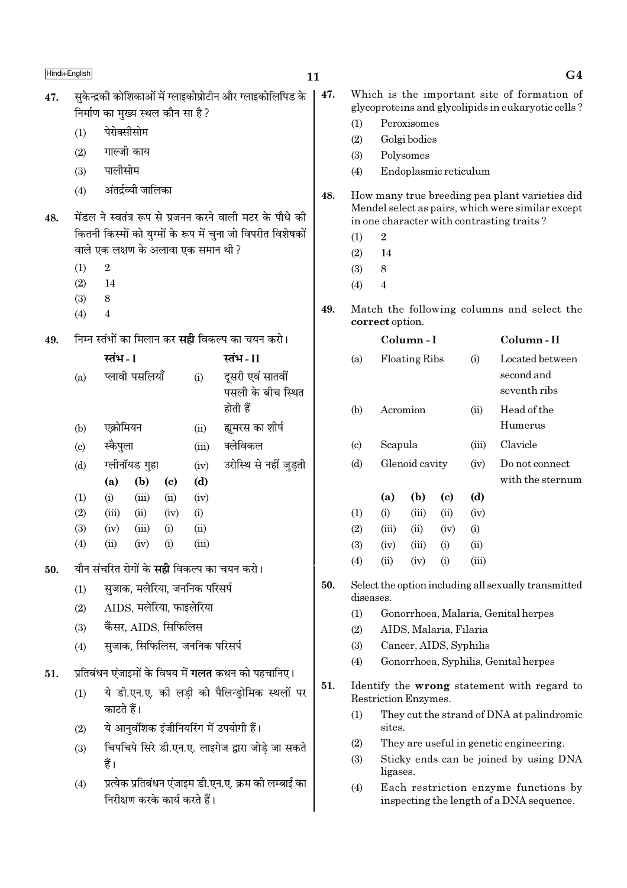|     | Hindi+English              |                             |                                     |                            |       |                                                             | 11  |                             |                      |                        |      |                       | G <sub>4</sub>                                                                                      |
|-----|----------------------------|-----------------------------|-------------------------------------|----------------------------|-------|-------------------------------------------------------------|-----|-----------------------------|----------------------|------------------------|------|-----------------------|-----------------------------------------------------------------------------------------------------|
| 47. |                            |                             | निर्माण का मुख्य स्थल कौन सा है?    |                            |       | सुकेन्द्रकी कोशिकाओं में ग्लाइकोप्रोटीन और ग्लाइकोलिपिड के  | 47. |                             |                      |                        |      |                       | Which is the important site of formation of<br>glycoproteins and glycolipids in eukaryotic cells?   |
|     | (1)                        |                             |                                     |                            |       |                                                             |     | (1)                         |                      | Peroxisomes            |      |                       |                                                                                                     |
|     |                            | पेरोक्सीसोम<br>गाल्जी काय   |                                     |                            |       |                                                             | (2) |                             | Golgi bodies         |                        |      |                       |                                                                                                     |
|     | (2)                        |                             |                                     |                            |       |                                                             |     | (3)                         |                      | Polysomes              |      |                       |                                                                                                     |
|     | (3)                        | पालीसोम                     |                                     |                            |       |                                                             |     | (4)                         |                      |                        |      | Endoplasmic reticulum |                                                                                                     |
|     | (4)                        |                             | अंतर्द्रव्यी जालिका                 |                            |       |                                                             | 48. |                             |                      |                        |      |                       | How many true breeding pea plant varieties did<br>Mendel select as pairs, which were similar except |
| 48. |                            |                             |                                     |                            |       | मेंडल ने स्वतंत्र रूप से प्रजनन करने वाली मटर के पौधे की    |     |                             |                      |                        |      |                       | in one character with contrasting traits?                                                           |
|     |                            |                             |                                     |                            |       | कितनी किस्मों को युग्मों के रूप में चुना जो विपरीत विशेषकों |     | (1)                         | $\sqrt{2}$           |                        |      |                       |                                                                                                     |
|     |                            |                             | वाले एक लक्षण के अलावा एक समान थी ? |                            |       |                                                             |     | (2)                         | 14                   |                        |      |                       |                                                                                                     |
|     | (1)                        | $\boldsymbol{2}$            |                                     |                            |       |                                                             |     | (3)                         | $\,8\,$              |                        |      |                       |                                                                                                     |
|     | (2)                        | 14                          |                                     |                            |       |                                                             |     | (4)                         | $\overline{4}$       |                        |      |                       |                                                                                                     |
|     | (3)<br>(4)                 | $\,8\,$<br>$\boldsymbol{4}$ |                                     |                            |       |                                                             |     |                             | correct option.      |                        |      |                       | Match the following columns and select the                                                          |
| 49. |                            |                             |                                     |                            |       | निम्न स्तंभों का मिलान कर <b>सही</b> विकल्प का चयन करो।     |     |                             |                      | Column-I               |      |                       | Column-II                                                                                           |
|     |                            | स्तंभ - I                   |                                     |                            |       | स्तंभ - II                                                  |     | (a)                         |                      | Floating Ribs          | (i)  | Located between       |                                                                                                     |
|     | (a)                        |                             | प्लावी पसलियाँ                      |                            | (i)   | दूसरी एवं सातवीं<br>पसली के बीच स्थित                       |     |                             |                      |                        |      |                       | second and<br>seventh ribs                                                                          |
|     |                            |                             |                                     |                            |       | होती हैं                                                    |     | (b)                         |                      | Acromion               |      | (ii)                  | Head of the                                                                                         |
|     | (b)                        | एक्रोमियन                   |                                     |                            | (ii)  | ह्यूमरस का शीर्ष                                            |     |                             |                      |                        |      |                       | Humerus                                                                                             |
|     | $\left( \mathrm{c}\right)$ | स्कैपुला                    |                                     |                            | (iii) | क्लेविकल                                                    |     | $\left( \mathrm{c} \right)$ | Scapula              |                        |      | (iii)                 | Clavicle                                                                                            |
|     | (d)                        |                             | ग्लीनॉयड गुहा                       |                            | (iv)  | उरोस्थि से नहीं जुड़ती                                      |     | (d)                         | Glenoid cavity       |                        | (iv) | Do not connect        |                                                                                                     |
|     |                            | (a)                         | (b)                                 | $\left( \mathrm{c}\right)$ | (d)   |                                                             |     |                             |                      |                        |      |                       | with the sternum                                                                                    |
|     | (1)                        | (i)                         | (iii)                               | (ii)                       | (iv)  |                                                             |     |                             | (a)                  | (b)                    | (c)  | (d)                   |                                                                                                     |
|     | (2)                        | (iii)                       | (ii)                                | (iv)                       | (i)   |                                                             |     | (1)                         | (i)                  | (iii)                  | (ii) | (iv)                  |                                                                                                     |
|     | (3)                        | (iv)                        | (iii)                               | (i)                        | (ii)  |                                                             |     | (2)                         | (iii)                | (ii)                   | (iv) | (i)                   |                                                                                                     |
|     | (4)                        | (ii)                        | (iv)                                | (i)                        | (iii) |                                                             |     | (3)                         | (iv)                 | (iii)                  | (i)  | (ii)                  |                                                                                                     |
| 50. |                            |                             |                                     |                            |       | यौन संचरित रोगों के <b>सही</b> विकल्प का चयन करो।           |     | (4)                         | (ii)                 | (iv)                   | (i)  | (iii)                 |                                                                                                     |
|     | (1)                        |                             | सुजाक, मलेरिया, जननिक परिसर्प       |                            |       |                                                             | 50. |                             | diseases.            |                        |      |                       | Select the option including all sexually transmitted                                                |
|     | (2)                        |                             | AIDS, मलेरिया, फाइलेरिया            |                            |       |                                                             |     | (1)                         |                      |                        |      |                       | Gonorrhoea, Malaria, Genital herpes                                                                 |
|     | (3)                        |                             | कैंसर, AIDS, सिफिलिस                |                            |       |                                                             |     | (2)                         |                      | AIDS, Malaria, Filaria |      |                       |                                                                                                     |
|     | (4)                        |                             | सुजाक, सिफिलिस, जननिक परिसर्प       |                            |       |                                                             |     | (3)                         |                      | Cancer, AIDS, Syphilis |      |                       |                                                                                                     |
|     |                            |                             |                                     |                            |       |                                                             |     | (4)                         |                      |                        |      |                       | Gonorrhoea, Syphilis, Genital herpes                                                                |
| 51. |                            |                             |                                     |                            |       | प्रतिबंधन एंजाइमों के विषय में <b>गलत</b> कथन को पहचानिए।   | 51. |                             |                      |                        |      |                       | Identify the wrong statement with regard to                                                         |
|     | (1)                        | काटते हैं।                  |                                     |                            |       | ये डी.एन.ए. की लड़ी को पैलिन्ड्रोमिक स्थलों पर              |     | (1)                         | Restriction Enzymes. |                        |      |                       | They cut the strand of DNA at palindromic                                                           |
|     | (2)                        |                             |                                     |                            |       | ये आनुवंशिक इंजीनियरिंग में उपयोगी हैं।                     |     |                             | sites.               |                        |      |                       |                                                                                                     |
|     | (3)                        |                             |                                     |                            |       | चिपचिपे सिरे डी.एन.ए. लाइगेज द्वारा जोड़े जा सकते           |     | (2)                         |                      |                        |      |                       | They are useful in genetic engineering.                                                             |
|     |                            | हैं।                        |                                     |                            |       |                                                             |     | (3)                         | ligases.             |                        |      |                       | Sticky ends can be joined by using DNA                                                              |
|     | (4)                        |                             | निरीक्षण करके कार्य करते हैं।       |                            |       | प्रत्येक प्रतिबंधन एंजाइम डी.एन.ए. क्रम की लम्बाई का        |     | (4)                         |                      |                        |      |                       | Each restriction enzyme functions by<br>inspecting the length of a DNA sequence.                    |
|     |                            |                             |                                     |                            |       |                                                             |     |                             |                      |                        |      |                       |                                                                                                     |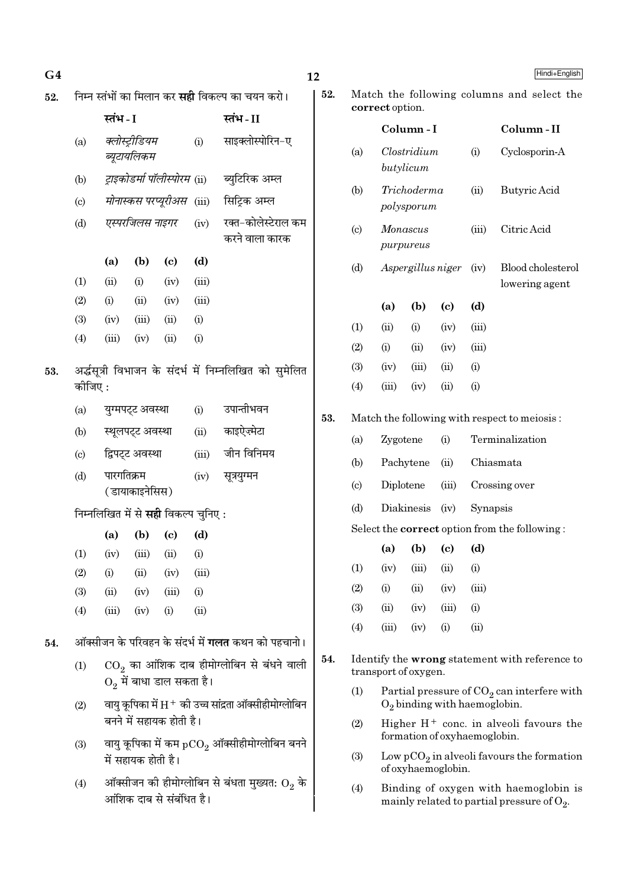| G <sub>4</sub> |         |            |                               |                                             |       | 12                                                        |                |
|----------------|---------|------------|-------------------------------|---------------------------------------------|-------|-----------------------------------------------------------|----------------|
| 52.            |         |            |                               |                                             |       | निम्न स्तंभों का मिलान कर <b>सही</b> विकल्प का चयन करो।   | $\bf{5}$       |
|                |         | स्तंभ - I  |                               |                                             |       | स्तंभ-II                                                  |                |
|                | (a)     |            | क्लोस्ट्रीडियम<br>ब्यूटायलिकम |                                             | (i)   | साइक्लोस्पोरिन-ए                                          |                |
|                | (b)     |            |                               |                                             |       | ट्राइकोडर्मा पॉलीस्पोरम (ii) ब्युटिरिक अम्ल               |                |
|                | (c)     |            |                               | मोनास्कस परप्यूरीअस (iii)                   |       | सिट्रिक अम्ल                                              |                |
|                | (d)     |            | एस्परजिलस नाइगर               |                                             | (iv)  | रक्त-कोलेस्टेराल कम<br>करने वाला कारक                     |                |
|                |         | (a)        | (b)                           | (c)                                         | (d)   |                                                           |                |
|                | (1)     | (ii)       | (i)                           | (iv)                                        | (iii) |                                                           |                |
|                | (2)     | (i)        | (ii)                          | (iv)                                        | (iii) |                                                           |                |
|                | (3)     | (iv)       | (iii)                         | (ii)                                        | (i)   |                                                           |                |
|                | (4)     | (iii)      | (iv)                          | (ii)                                        | (i)   |                                                           |                |
| 53.            | कोजिए : |            |                               |                                             |       | अर्द्धसूत्री विभाजन के संदर्भ में निम्नलिखित को सुमेलित   |                |
|                | (a)     |            | युग्मपट्ट अवस्था              |                                             | (i)   | उपान्तीभवन                                                | 5 <sub>o</sub> |
|                | (b)     |            | स्थूलपट्ट अवस्था              |                                             | (ii)  | काइऐज़्मेटा                                               |                |
|                | (c)     |            | द्विपट्ट अवस्था               |                                             | (iii) | जीन विनिमय                                                |                |
|                | (d)     | पारगतिक्रम | ( डायाकाइनेसिस)               |                                             | (iv)  | सूत्रयुग्मन                                               |                |
|                |         |            |                               | निम्नलिखित में से <b>सही</b> विकल्प चुनिए : |       |                                                           |                |
|                |         | (a)        | (b)                           | $\left( \mathrm{c}\right)$                  | (d)   |                                                           |                |
|                | (1)     | (iv)       | (iii)                         | (ii)                                        | (i)   |                                                           |                |
|                | (2)     | (i)        | (ii)                          | (iv)                                        | (iii) |                                                           |                |
|                | (3)     | (ii)       | (iv)                          | (iii)                                       | (i)   |                                                           |                |
|                | (4)     | (iii)      | (iv)                          | (i)                                         | (ii)  |                                                           |                |
| 54.            |         |            |                               |                                             |       | ऑक्सीजन के परिवहन के संदर्भ में <b>गलत</b> कथन को पहचानो। |                |
|                | (1)     |            |                               | $\mathrm{O}_{2}$ में बाधा डाल सकता है।      |       | $\mathrm{CO}_2$ का आंशिक दाब हीमोग्लोबिन से बंधने वाली    | 5.             |
|                | (2)     |            |                               | बनने में सहायक होती है।                     |       | वायु कूपिका में H $^+$ की उच्च सांद्रता ऑक्सीहीमोग्लोबिन  |                |
|                | (3)     |            | में सहायक होती है।            |                                             |       | वायु कूपिका में कम $\rm{pCO}_{2}$ ऑक्सीहीमोग्लोबिन बनने   |                |
|                | (4)     |            |                               | आंशिक दाब से संबंधित है।                    |       | ऑक्सीजन की हीमोग्लोबिन से बंधता मुख्यत: $\mathrm{O}_2$ के |                |

| 2. | correct option.            | Match the following columns and select the |                           |                                 |          |                                                      |
|----|----------------------------|--------------------------------------------|---------------------------|---------------------------------|----------|------------------------------------------------------|
|    |                            |                                            | Column - I                |                                 |          | Column-II                                            |
|    | (a)                        | butylicum                                  | Clostridium               |                                 | (i)      | Cyclosporin-A                                        |
|    | (b)                        |                                            | Trichoderma<br>polysporum |                                 | (ii)     | Butyric Acid                                         |
|    | $\left( \mathrm{c}\right)$ | Monascus<br>purpureus                      |                           |                                 | (iii)    | Citric Acid                                          |
|    | (d)                        |                                            | Aspergillus niger         |                                 | (iv)     | Blood cholesterol<br>lowering agent                  |
|    |                            | (a)                                        | (b)                       | (c)                             | (d)      |                                                      |
|    | (1)                        | (ii)                                       | (i)                       | (iv)                            | (iii)    |                                                      |
|    | (2)                        | (i)                                        | (ii)                      | (iv)                            | (iii)    |                                                      |
|    | (3)                        | (iv)                                       | (iii)                     | (ii)                            | (i)      |                                                      |
|    | (4)                        | (iii)                                      | (iv)                      | (ii)                            | (i)      |                                                      |
| 3. |                            |                                            |                           |                                 |          | Match the following with respect to meiosis:         |
|    | (a)                        | Zygotene                                   |                           | (i)                             |          | Terminalization                                      |
|    | (b)                        | Pachytene                                  |                           | (ii)                            |          | Chiasmata                                            |
|    | $\left( \mathrm{c}\right)$ | Diplotene                                  |                           | (iii)                           |          | Crossing over                                        |
|    | (d)                        | Diakinesis                                 |                           | (iv)                            | Synapsis |                                                      |
|    |                            |                                            |                           |                                 |          | Select the <b>correct</b> option from the following: |
|    |                            | (a)                                        | (b)                       | $\left( \mathrm{c}\right)$      | (d)      |                                                      |
|    | (1)                        | (iv)                                       | (iii)                     | (ii)                            | (i)      |                                                      |
|    | (2)                        | (i)                                        | (ii)                      | (iv)                            | (iii)    |                                                      |
|    | (3)                        | (ii)                                       | (iv)                      | (iii)                           | (i)      |                                                      |
|    | (4)                        | (iii)                                      | (iv)                      | (i)                             | (ii)     |                                                      |
| 4. |                            | transport of oxygen.                       |                           |                                 |          | Identify the wrong statement with reference to       |
|    | (1)                        |                                            |                           | $O_2$ binding with haemoglobin. |          | Partial pressure of $CO2$ can interfere with         |
|    | (2)                        |                                            |                           | formation of oxyhaemoglobin.    |          | Higher $H^+$ conc. in alveoli favours the            |
|    | /0ነ                        |                                            |                           |                                 |          | $m n C$ in object for any the fermetian              |

- $\operatorname{Low} \operatorname{pCO}_2$  in alveoli favours the formation of oxyhaemoglobin.  $(3)$
- Binding of oxygen with haemoglobin is<br>mainly related to partial pressure of  $\mathrm{O}_2.$  $(4)$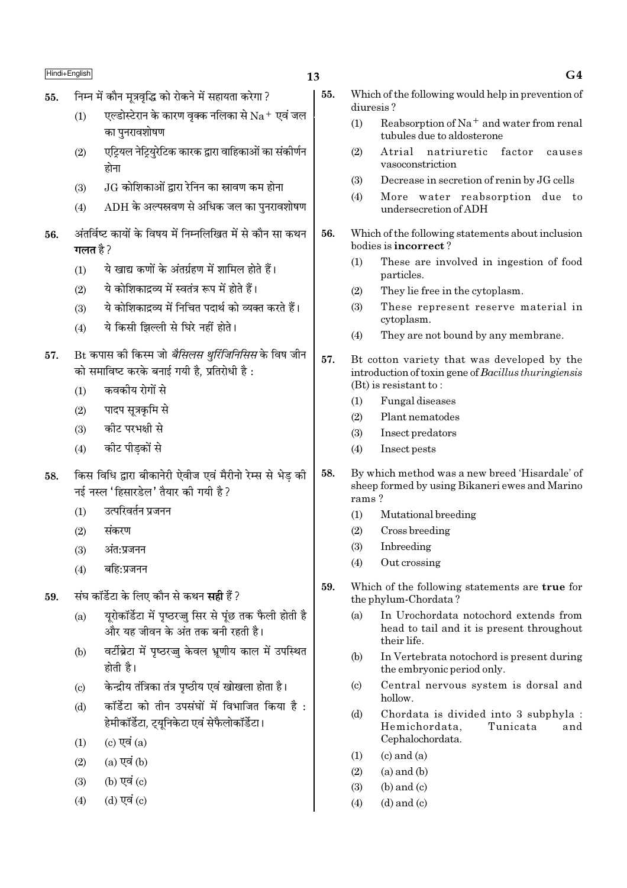### निम्न में कौन मूत्रवृद्धि को रोकने में सहायता करेगा ? 55.

- एल्डोस्टेरान के कारण वृक्क नलिका से  $\rm Na^+$  एवं जल  $(1)$ का पुनरावशोषण
- एटियल नेट्रियरेटिक कारक द्वारा वाहिकाओं का संकीर्णन  $(2)$ होना
- .JG कोशिकाओं द्वारा रेनिन का स्रावण कम होना  $(3)$
- $ADH$  के अल्पस्रवण से अधिक जल का पुनरावशोषण  $(4)$
- अंतर्विष्ट कायों के विषय में निम्नलिखित में से कौन सा कथन 56. गलत है  $\overline{2}$ 
	- ये खाद्य कणों के अंतर्ग्रहण में शामिल होते हैं।  $(1)$
	- ये कोशिकाद्रव्य में स्वतंत्र रूप में होते हैं।  $(2)$
	- ये कोशिकाद्रव्य में निचित पदार्थ को व्यक्त करते हैं।  $(3)$
	- ये किसी झिल्ली से घिरे नहीं होते।  $(4)$
- Bt कपास की किस्म जो *बैसिलस थरिंजिनिसिस* के विष जीन 57. को समाविष्ट करके बनाई गयी है. प्रतिरोधी है:
	- कवकीय रोगों से  $(1)$
	- पादप सूत्रकृमि से  $(2)$
	- कोट परभक्षी से  $(3)$
	- कीट पीडकों से  $(4)$
- किस विधि द्वारा बीकानेरी ऐवीज एवं मैरीनो रेम्स से भेड की 58. नई नस्ल 'हिसारडेल' तैयार की गयी है ?
	- उत्परिवर्तन प्रजनन  $(1)$
	- संकरण  $(2)$
	- $(3)$ अंत:प्रजनन
	- $(4)$ बहि:प्रजनन
- संघ कॉर्डेटा के लिए कौन से कथन **सही** हैं ? 59
	- यरोकॉर्डेटा में पृष्ठरज्जू सिर से पूंछ तक फैली होती है  $(a)$ और यह जीवन के अंत तक बनी रहती है।
	- वर्टीब्रेटा में पृष्ठरज्जु केवल भ्रूणीय काल में उपस्थित  $(b)$ होती है।
	- केन्द्रीय तंत्रिका तंत्र पष्ठीय एवं खोखला होता है।  $\left( \text{c} \right)$
	- कॉर्डेटा को तीन उपसंघों में विभाजित किया है :  $(d)$ हेमीकॉर्डेटा, ट्यूनिकेटा एवं सेफैलोकॉर्डेटा।
	- (c) एवं  $(a)$  $(1)$
	- $(a)$  एवं  $(b)$  $(2)$
	- (b) एवं (c)  $(3)$
	- (d) एवं (c)  $(4)$
- $55.$ Which of the following would help in prevention of diuresis?
	- Reabsorption of  $Na^+$  and water from renal  $(1)$ tubules due to aldosterone
	- $(2)$ Atrial natriuretic factor causes vasoconstriction
	- $(3)$ Decrease in secretion of renin by JG cells
	- $(4)$ More water reabsorption due to undersecretion of ADH
- 56. Which of the following statements about inclusion bodies is **incorrect**?
	- These are involved in ingestion of food  $(1)$ particles.
	- They lie free in the cytoplasm.  $(2)$
	- These represent reserve material in  $(3)$ cvtoplasm.
	- $(4)$ They are not bound by any membrane.
- 57. Bt cotton variety that was developed by the introduction of toxin gene of Bacillus thuringiensis  $(Bt)$  is resistant to:
	- $(1)$ Fungal diseases
	- Plant nematodes  $(2)$
	- $(3)$ Insect predators
	- Insect pests  $(4)$
- By which method was a new breed 'Hisardale' of 58. sheep formed by using Bikaneri ewes and Marino rams?
	- $(1)$ Mutational breeding
	- Cross breeding  $(2)$
	- $(3)$ Inbreeding
	- $(4)$ Out crossing
- 59. Which of the following statements are true for the phylum-Chordata?
	- $(a)$ In Urochordata notochord extends from head to tail and it is present throughout their life.
	- In Vertebrata notochord is present during  $(h)$ the embryonic period only.
	- $\left( \mathrm{c}\right)$ Central nervous system is dorsal and  $h$ ollow
	- $(d)$ Chordata is divided into 3 subphyla : Hemichordata, Tunicata and Cephalochordata.
	- $(1)$  $(c)$  and  $(a)$
	- $(2)$  $(a)$  and  $(b)$
	- $(b)$  and  $(c)$  $(3)$
	- $(4)$  $(d)$  and  $(c)$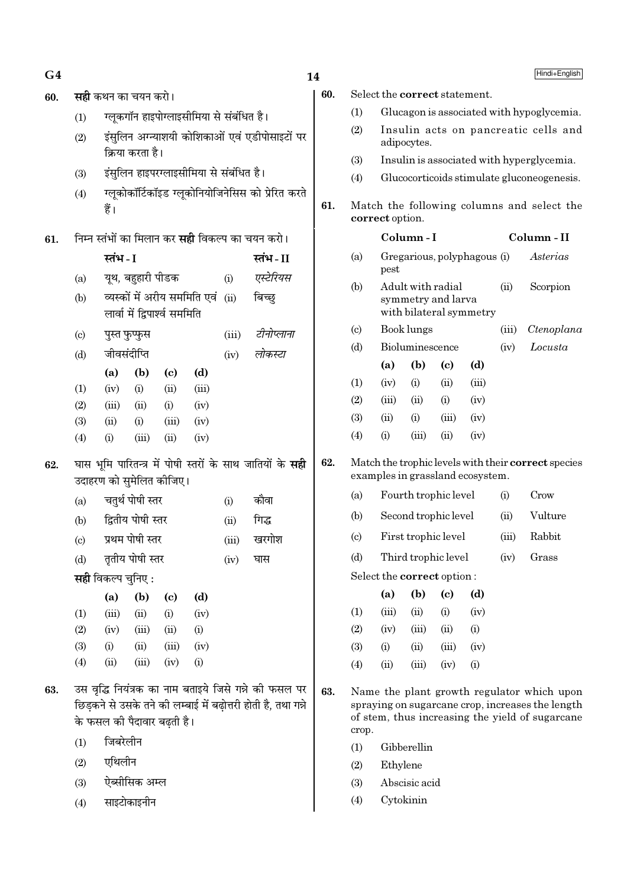| G4  |                            |                             |                   |                               |                                          |       |                                                                                                                         | 14  |                                                               |                            |                 |                                         |                                  |       | Hindi+English                                                                                                                                     |
|-----|----------------------------|-----------------------------|-------------------|-------------------------------|------------------------------------------|-------|-------------------------------------------------------------------------------------------------------------------------|-----|---------------------------------------------------------------|----------------------------|-----------------|-----------------------------------------|----------------------------------|-------|---------------------------------------------------------------------------------------------------------------------------------------------------|
| 60. |                            | <b>सही</b> कथन का चयन करो।  |                   |                               |                                          |       |                                                                                                                         | 60. |                                                               |                            |                 |                                         | Select the correct statement.    |       |                                                                                                                                                   |
|     | (1)                        |                             |                   |                               | ग्लूकगॉन हाइपोग्लाइसीमिया से संबंधित है। |       |                                                                                                                         |     | (1)                                                           |                            |                 |                                         |                                  |       | Glucagon is associated with hypoglycemia.                                                                                                         |
|     | (2)                        |                             | क्रिया करता है।   |                               |                                          |       | इंसुलिन अग्न्याशयी कोशिकाओं एवं एडीपोसाइटों पर                                                                          |     | (2)                                                           |                            | adipocytes.     |                                         |                                  |       | Insulin acts on pancreatic cells and                                                                                                              |
|     |                            |                             |                   |                               |                                          |       |                                                                                                                         |     | (3)                                                           |                            |                 |                                         |                                  |       | Insulin is associated with hyperglycemia.                                                                                                         |
|     | (3)                        |                             |                   |                               | इंसुलिन हाइपरग्लाइसीमिया से संबंधित है।  |       |                                                                                                                         |     | (4)                                                           |                            |                 |                                         |                                  |       | Glucocorticoids stimulate gluconeogenesis.                                                                                                        |
|     | (4)                        | हैं।                        |                   |                               |                                          |       | ग्लूकोकॉर्टिकॉइड ग्लूकोनियोजिनेसिस को प्रेरित करते                                                                      | 61. | Match the following columns and select the<br>correct option. |                            |                 |                                         |                                  |       |                                                                                                                                                   |
| 61. |                            |                             |                   |                               |                                          |       | निम्न स्तंभों का मिलान कर <b>सही</b> विकल्प का चयन करो।                                                                 |     |                                                               |                            | Column-I        |                                         |                                  |       | Column - II                                                                                                                                       |
|     |                            | स्तंभ - I                   |                   |                               |                                          |       | स्तंभ-II                                                                                                                |     | (a)                                                           |                            |                 |                                         | Gregarious, polyphagous (i)      |       | Asterias                                                                                                                                          |
|     | (a)                        |                             | यूथ, बहुहारी पीडक |                               |                                          | (i)   | एस्टेरियस                                                                                                               |     |                                                               | pest                       |                 |                                         |                                  |       |                                                                                                                                                   |
|     | (b)                        |                             |                   | लार्वा में द्विपार्श्व सममिति | व्यस्कों में अरीय सममिति एवं             | (ii)  | बिच्छ्                                                                                                                  |     | (b)                                                           |                            |                 | Adult with radial<br>symmetry and larva | with bilateral symmetry          | (ii)  | Scorpion                                                                                                                                          |
|     | $\left( \circ \right)$     |                             | पुस्त फुप्फुस     |                               |                                          | (iii) | टीनोप्लाना                                                                                                              |     | $\left( \mathrm{c} \right)$                                   |                            | Book lungs      |                                         |                                  | (iii) | Ctenoplana                                                                                                                                        |
|     | (d)                        | जीवसंदीप्ति                 |                   |                               |                                          | (iv)  | लोकस्टा                                                                                                                 |     | (d)                                                           |                            | Bioluminescence |                                         |                                  | (iv)  | Locusta                                                                                                                                           |
|     |                            | (a)                         | (b)               | $\left( \mathbf{c} \right)$   | (d)                                      |       |                                                                                                                         |     |                                                               | (a)                        | (b)             | $\left( \mathrm{c}\right)$              | (d)                              |       |                                                                                                                                                   |
|     | (1)                        | (iv)                        | (i)               | (ii)                          | (iii)                                    |       |                                                                                                                         |     | (1)                                                           | (iv)                       | (i)             | (ii)                                    | (iii)                            |       |                                                                                                                                                   |
|     | (2)                        | (iii)                       | (ii)              | (i)                           | (iv)                                     |       |                                                                                                                         |     | (2)                                                           | (iii)                      | (ii)            | (i)                                     | (iv)                             |       |                                                                                                                                                   |
|     | (3)                        | (ii)                        | (i)               | (iii)                         | (iv)                                     |       |                                                                                                                         |     | (3)                                                           | (ii)                       | (i)             | (iii)                                   | (iv)                             |       |                                                                                                                                                   |
|     | (4)                        | (i)                         | (iii)             | (ii)                          | (iv)                                     |       |                                                                                                                         |     | (4)                                                           | (i)                        | (iii)           | (ii)                                    | (iv)                             |       |                                                                                                                                                   |
| 62. |                            | उदाहरण को सुमेलित कीजिए।    |                   |                               |                                          |       | घास भूमि पारितन्त्र में पोषी स्तरों के साथ जातियों के <b>सही</b>                                                        | 62. |                                                               |                            |                 |                                         | examples in grassland ecosystem. |       | Match the trophic levels with their correct species                                                                                               |
|     | (a)                        |                             | चतुर्थ पोषी स्तर  |                               |                                          | (i)   | कौवा                                                                                                                    |     | (a)                                                           |                            |                 | Fourth trophic level                    |                                  | (i)   | Crow                                                                                                                                              |
|     | (b)                        |                             | द्वितीय पोषी स्तर |                               |                                          | (ii)  | गिद्ध                                                                                                                   |     | (b)                                                           |                            |                 | Second trophic level                    |                                  | (ii)  | Vulture                                                                                                                                           |
|     | $\left( \mathrm{c}\right)$ |                             | प्रथम पोषी स्तर   |                               |                                          | (iii) | खरगोश                                                                                                                   |     | $\left( \mathrm{c}\right)$                                    |                            |                 | First trophic level                     |                                  | (iii) | Rabbit                                                                                                                                            |
|     | (d)                        |                             | तृतीय पोषी स्तर   |                               |                                          | (iv)  | घास                                                                                                                     |     | (d)                                                           |                            |                 | Third trophic level                     |                                  | (iv)  | Grass                                                                                                                                             |
|     |                            | <b>सही</b> विकल्प चुनिए :   |                   |                               |                                          |       |                                                                                                                         |     |                                                               | Select the correct option: |                 |                                         |                                  |       |                                                                                                                                                   |
|     |                            | (a)                         | (b)               | $\left( \mathbf{c} \right)$   | (d)                                      |       |                                                                                                                         |     |                                                               | (a)                        | (b)             | $\left( \mathbf{c} \right)$             | (d)                              |       |                                                                                                                                                   |
|     | (1)                        | (iii)                       | (ii)              | (i)                           | (iv)                                     |       |                                                                                                                         |     | (1)                                                           | (iii)                      | (ii)            | (i)                                     | (iv)                             |       |                                                                                                                                                   |
|     | (2)                        | (iv)                        | (iii)             | (ii)                          | (i)                                      |       |                                                                                                                         |     | (2)                                                           | (iv)                       | (iii)           | (ii)                                    | (i)                              |       |                                                                                                                                                   |
|     | (3)                        | (i)                         | (ii)              | (iii)                         | (iv)                                     |       |                                                                                                                         |     | (3)                                                           | (i)                        | (ii)            | (iii)                                   | (iv)                             |       |                                                                                                                                                   |
|     | (4)                        | (ii)                        | (iii)             | (iv)                          | (i)                                      |       |                                                                                                                         |     | (4)                                                           | (ii)                       | (iii)           | (iv)                                    | (i)                              |       |                                                                                                                                                   |
| 63. |                            | के फसल की पैदावार बढ़ती है। |                   |                               |                                          |       | उस वृद्धि नियंत्रक का नाम बताइये जिसे गन्ने की फसल पर<br>छिड़कने से उसके तने की लम्बाई में बढ़ोत्तरी होती है, तथा गन्ने | 63. | crop.                                                         |                            |                 |                                         |                                  |       | Name the plant growth regulator which upon<br>spraying on sugarcane crop, increases the length<br>of stem, thus increasing the yield of sugarcane |
|     | (1)                        | जिबरेलीन                    |                   |                               |                                          |       |                                                                                                                         |     | (1)                                                           |                            | Gibberellin     |                                         |                                  |       |                                                                                                                                                   |
|     | (2)                        | एथिलीन                      |                   |                               |                                          |       |                                                                                                                         |     | (2)                                                           | Ethylene                   |                 |                                         |                                  |       |                                                                                                                                                   |
|     | (3)                        |                             | ऐब्सीसिक अम्ल     |                               |                                          |       |                                                                                                                         |     | (3)                                                           |                            | Abscisic acid   |                                         |                                  |       |                                                                                                                                                   |
|     | (4)                        |                             | साइटोकाइनीन       |                               |                                          |       |                                                                                                                         |     | (4)                                                           |                            | Cytokinin       |                                         |                                  |       |                                                                                                                                                   |
|     |                            |                             |                   |                               |                                          |       |                                                                                                                         |     |                                                               |                            |                 |                                         |                                  |       |                                                                                                                                                   |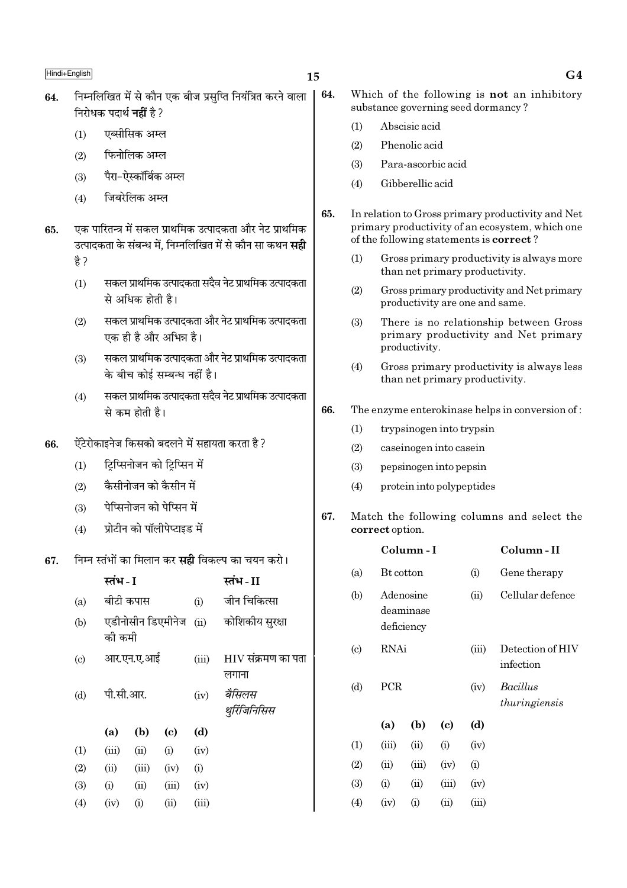64.

- निम्नलिखित में से कौन एक बीज प्रसप्ति नियंत्रित करने वाला 64. निरोधक पदार्थ **नहीं** है ?
	- एब्सीसिक अम्ल  $(1)$
	- फिनोलिक अम्ल  $(2)$
	- पैरा-ऐस्कॉर्बिक अम्ल  $(3)$
	- जिबरेलिक अम्ल  $(4)$
- एक पारितन्त्र में सकल प्राथमिक उत्पादकता और नेट प्राथमिक 65. उत्पादकता के संबन्ध में. निम्नलिखित में से कौन सा कथन **सद्दी** है ?
	- सकल प्राथमिक उत्पादकता सदैव नेट प्राथमिक उत्पादकता  $(1)$ .<br>से अधिक होती है।
	- सकल प्राथमिक उत्पादकता और नेट प्राथमिक उत्पादकता  $(2)$ एक ही है और अभिन्न है।
	- सकल प्राथमिक उत्पादकता और नेट प्राथमिक उत्पादकता  $(3)$ के बीच कोई सम्बन्ध नहीं है।
	- सकल प्राथमिक उत्पादकता सदैव नेट प्राथमिक उत्पादकता  $(4)$ से कम होती है।
- ऐंटेरोकाइनेज किसको बदलने में सहायता करता है ? 66.
	- ट्रिप्सिनोजन को ट्रिप्सिन में  $(1)$
	- .<br>कैसीनोजन को कैसीन में  $(2)$
	- .<br>पेप्सिनोजन को पेप्सिन में  $(3)$
	- प्रोटीन को पॉलीपेप्टाइड में  $(4)$

#### निम्न स्तंभों का मिलान कर **सही** विकल्प का चयन करो। 67.

|                           | स्तभ - 1  |            |                            |       | स्तभ - 11                   |
|---------------------------|-----------|------------|----------------------------|-------|-----------------------------|
| (a)                       |           | बीटी कपास  |                            | (i)   | जीन चिकित्सा                |
| (b)                       | की कमी    |            | एडीनोसीन डिएमीनेज          | (ii)  | कोशिकीय सुरक्षा             |
| $\left( \text{c} \right)$ |           | आर.एन.ए.आई |                            | (iii) | HIV संक्रमण का पता<br>लगाना |
| (d)                       | पी.सी.आर. |            |                            | (iv)  | बैसिलस<br>थुर्रिजिनिसिस     |
|                           | (a)       | (b)        | $\left( \mathrm{e}\right)$ | (d)   |                             |
| (1)                       | (iii)     | (ii)       | (i)                        | (iv)  |                             |
| (2)                       | (ii)      | (iii)      | (iv)                       | (i)   |                             |
| (3)                       | (i)       | (ii)       | (iii)                      | (iv)  |                             |
| (4)                       | (iv)      | (i)        | (ii)                       | (iii) |                             |

- Which of the following is not an inhibitory substance governing seed dormancy?
	- Abscisic acid  $(1)$
	- Phenolic acid  $(2)$
	- Para-ascorbic acid  $(3)$
	- Gibberellic acid  $(4)$
- 65. In relation to Gross primary productivity and Net primary productivity of an ecosystem, which one of the following statements is **correct**?
	- Gross primary productivity is always more  $(1)$ than net primary productivity.
	- $(2)$ Gross primary productivity and Net primary productivity are one and same.
	- $(3)$ There is no relationship between Gross primary productivity and Net primary productivity.
	- Gross primary productivity is always less  $(4)$ than net primary productivity.

#### 66. The enzyme enterokinase helps in conversion of:

- $(1)$ trypsinogen into trypsin
- $(2)$ caseinogen into casein
- $(3)$ pepsinogen into pepsin

 $\sim$   $\cdot$ 

- $(4)$ protein into polypeptides
- 67. Match the following columns and select the correct option.

|                            |                         | Column - 1 |                             |       | Column - 11                      |
|----------------------------|-------------------------|------------|-----------------------------|-------|----------------------------------|
| (a)                        | Bt cotton               |            |                             | (i)   | Gene therapy                     |
| (b)                        | Adenosine<br>deficiency | deaminase  |                             | (ii)  | Cellular defence                 |
| $\left( \mathrm{c}\right)$ | RNAi                    |            |                             | (iii) | Detection of HIV<br>infection    |
| (d)                        | PCR                     |            |                             | (iv)  | <b>Bacillus</b><br>thuringiensis |
|                            | (a)                     | (b)        | $\left( \mathrm{c} \right)$ | (d)   |                                  |
| (1)                        | (iii)                   | (ii)       | (i)                         | (iv)  |                                  |
| (2)                        | (ii)                    | (iii)      | (iv)                        | (i)   |                                  |
| (3)                        | (i)                     | (ii)       | (iii)                       | (iv)  |                                  |
| (4)                        | (iv)                    | (i)        | $\rm (ii)$                  | (iii) |                                  |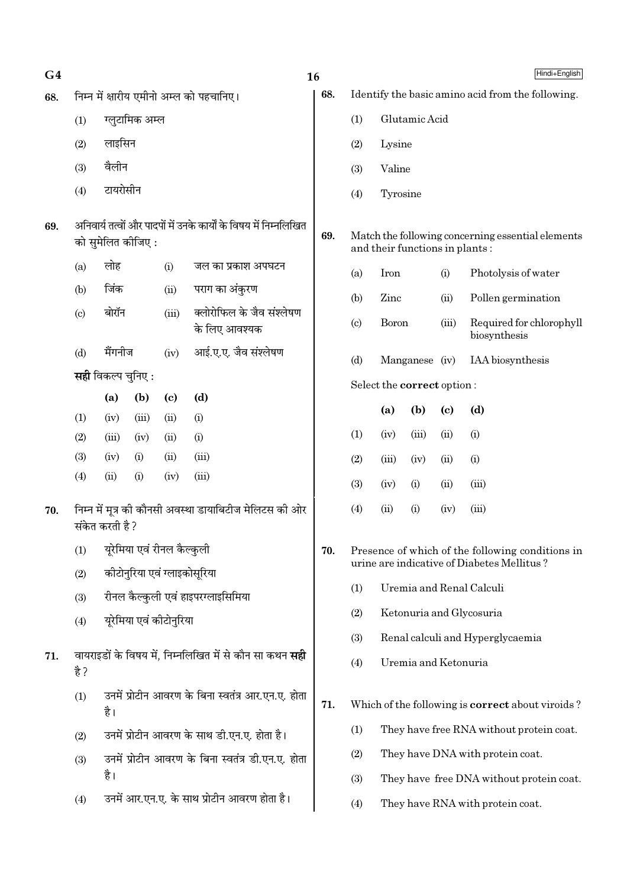| G <sub>4</sub> |                           |                   |                                                     |                             |                                                                   | 16  |                            | Hindi+English              |                                |                            |                                                         |  |
|----------------|---------------------------|-------------------|-----------------------------------------------------|-----------------------------|-------------------------------------------------------------------|-----|----------------------------|----------------------------|--------------------------------|----------------------------|---------------------------------------------------------|--|
| 68.            |                           |                   |                                                     |                             | निम्न में क्षारीय एमीनो अम्ल को पहचानिए।                          | 68. |                            |                            |                                |                            | Identify the basic amino acid from the following.       |  |
|                | (1)                       |                   | ग्लूटामिक अम्ल                                      |                             |                                                                   |     | (1)                        |                            | Glutamic Acid                  |                            |                                                         |  |
|                | (2)                       | लाइसिन            |                                                     |                             |                                                                   |     | (2)                        | Lysine                     |                                |                            |                                                         |  |
|                | (3)                       | वैलीन             |                                                     |                             |                                                                   |     | (3)                        | Valine                     |                                |                            |                                                         |  |
|                | (4)                       | टायरोसीन          |                                                     |                             |                                                                   |     | (4)                        | Tyrosine                   |                                |                            |                                                         |  |
| 69.            |                           |                   | को सुमेलित कीजिए :                                  |                             | अनिवार्य तत्वों और पादपों में उनके कार्यों के विषय में निम्नलिखित | 69. |                            |                            | and their functions in plants: |                            | Match the following concerning essential elements       |  |
|                | (a)                       | लोह               |                                                     | (i)                         | जल का प्रकाश अपघटन                                                |     | (a)                        | Iron<br>(i)                |                                |                            | Photolysis of water                                     |  |
|                | (b)                       | जिंक              | पराग का अंकुरण<br>(ii)                              |                             |                                                                   |     | (b)                        | Zinc                       |                                | (ii)                       | Pollen germination                                      |  |
|                | $\left( \text{c} \right)$ | बोरॉन             | क्लोरोफिल के जैव संश्लेषण<br>(iii)<br>के लिए आवश्यक |                             |                                                                   |     | $\left( \mathrm{c}\right)$ | <b>Boron</b>               |                                | (iii)                      | Required for chlorophyll<br>biosynthesis                |  |
|                | (d)                       | मैंगनीज           |                                                     | (iv)                        | आई.ए.ए. जैव संश्लेषण                                              |     | (d)                        |                            | Manganese (iv)                 |                            | IAA biosynthesis                                        |  |
|                |                           | सही विकल्प चुनिए: |                                                     |                             |                                                                   |     |                            | Select the correct option: |                                |                            |                                                         |  |
|                |                           | (a)               | (b)                                                 | $\left( \mathbf{c} \right)$ | (d)                                                               |     |                            | (a)                        | (b)                            | $\left( \mathrm{c}\right)$ | (d)                                                     |  |
|                | (1)                       | (iv)              | (iii)                                               | (ii)                        | (i)                                                               |     |                            |                            |                                |                            |                                                         |  |
|                | (2)                       | (iii)             | (iv)                                                | (ii)                        | (i)                                                               |     | (1)                        | (iv)                       | (iii)                          | (ii)                       | (i)                                                     |  |
|                | (3)<br>(4)                | (iv)<br>(ii)      | (i)<br>(i)                                          | (ii)<br>(iv)                | (iii)<br>(iii)                                                    |     | (2)                        | (iii)                      | (iv)                           | (ii)                       | (i)                                                     |  |
|                |                           |                   |                                                     |                             |                                                                   |     | (3)                        | (iv)                       | (i)                            | (ii)                       | (iii)                                                   |  |
| 70.            |                           | संकेत करती है ?   |                                                     |                             | निम्न में मूत्र की कौनसी अवस्था डायाबिटीज मेलिटस की ओर            |     | (4)                        | (ii)                       | (i)                            | (iv)                       | (iii)                                                   |  |
|                | (1)                       |                   | यूरेमिया एवं रीनल कैल्कुली                          |                             |                                                                   | 70. |                            |                            |                                |                            | Presence of which of the following conditions in        |  |
|                | (2)                       |                   | कीटोनुरिया एवं ग्लाइकोसूरिया                        |                             |                                                                   |     |                            |                            |                                |                            | urine are indicative of Diabetes Mellitus?              |  |
|                | (3)                       |                   |                                                     |                             | रीनल कैल्कुली एवं हाइपरग्लाइसिमिया                                |     | (1)                        |                            |                                |                            | Uremia and Renal Calculi                                |  |
|                | (4)                       |                   | यूरेमिया एवं कीटोनुरिया                             |                             |                                                                   |     | (2)                        |                            |                                |                            | Ketonuria and Glycosuria                                |  |
|                |                           |                   |                                                     |                             |                                                                   |     | (3)                        |                            |                                |                            | Renal calculi and Hyperglycaemia                        |  |
| 71.            | है ?                      |                   |                                                     |                             | वायराइडों के विषय में, निम्नलिखित में से कौन सा कथन <b>सही</b>    |     | (4)                        |                            | Uremia and Ketonuria           |                            |                                                         |  |
|                | (1)                       | है।               |                                                     |                             | उनमें प्रोटीन आवरण के बिना स्वतंत्र आर.एन.ए. होता                 | 71. |                            |                            |                                |                            | Which of the following is <b>correct</b> about viroids? |  |
|                | (2)                       |                   |                                                     |                             | उनमें प्रोटीन आवरण के साथ डी.एन.ए. होता है।                       |     | (1)                        |                            |                                |                            | They have free RNA without protein coat.                |  |
|                | (3)                       |                   |                                                     |                             | उनमें प्रोटीन आवरण के बिना स्वतंत्र डी.एन.ए. होता                 |     | (2)                        |                            |                                |                            | They have DNA with protein coat.                        |  |
|                |                           | है।               |                                                     |                             |                                                                   |     | (3)                        |                            |                                |                            | They have free DNA without protein coat.                |  |
|                | (4)                       |                   |                                                     |                             | उनमें आर.एन.ए. के साथ प्रोटीन आवरण होता है।                       |     | (4)                        |                            |                                |                            | They have RNA with protein coat.                        |  |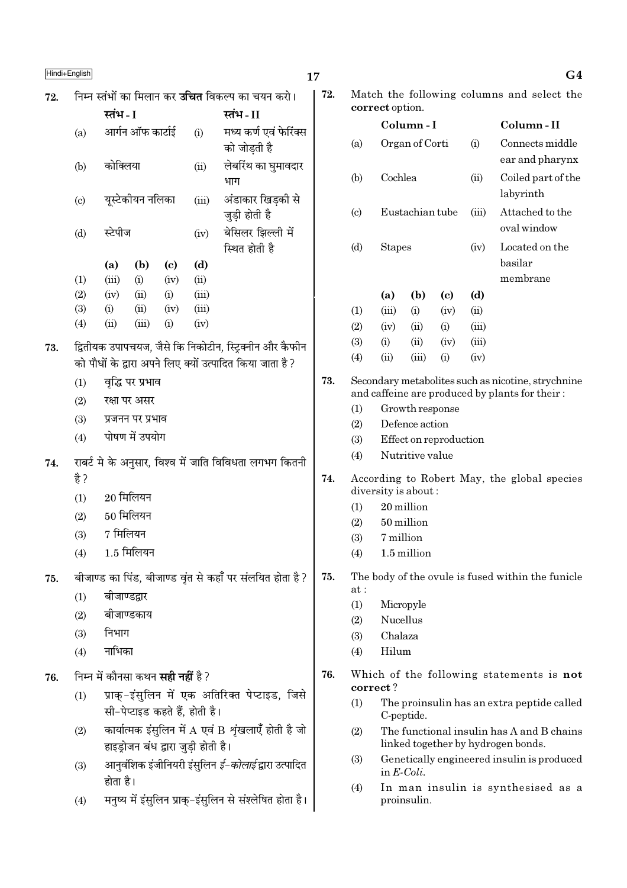| Hindi+English |  |
|---------------|--|
|---------------|--|

|     | Hindi+English                                                                                                                           |                                     |                                     |             |                                                          | 17  |                           |                                                                                  |                                     |                            |                                            | G4                                                 |
|-----|-----------------------------------------------------------------------------------------------------------------------------------------|-------------------------------------|-------------------------------------|-------------|----------------------------------------------------------|-----|---------------------------|----------------------------------------------------------------------------------|-------------------------------------|----------------------------|--------------------------------------------|----------------------------------------------------|
| 72. |                                                                                                                                         |                                     |                                     |             | निम्न स्तंभों का मिलान कर <b>उचित</b> विकल्प का चयन करो। | 72. |                           | correct option.                                                                  |                                     |                            | Match the following columns and select the |                                                    |
|     |                                                                                                                                         | स्तंभ - I                           |                                     |             | स्तंभ-II                                                 |     |                           |                                                                                  | Column-I                            |                            |                                            | Column-II                                          |
|     | (a)                                                                                                                                     | आर्गन ऑफ कार्टाई                    |                                     | (i)         | मध्य कर्ण एवं फेरिंक्स<br>को जोड़ती है                   |     | (a)                       |                                                                                  | Organ of Corti                      |                            | (i)                                        | Connects middle<br>ear and pharynx                 |
|     | (b)                                                                                                                                     | कोक्लिया                            |                                     | (ii)        | लेबरिंथ का घुमावदार<br>भाग                               |     | (b)                       | Cochlea                                                                          |                                     |                            | (ii)                                       | Coiled part of the<br>labyrinth                    |
|     | $\left( \mathrm{c}\right)$                                                                                                              | यूस्टेकीयन नलिका                    |                                     | (iii)       | अंडाकार खिड़की से<br>जुड़ी होती है                       |     | $\left( \text{c} \right)$ |                                                                                  | Eustachian tube                     |                            | (iii)                                      | Attached to the<br>oval window                     |
|     | (d)                                                                                                                                     | स्टेपीज                             |                                     | (iv)        | बेसिलर झिल्ली में<br>स्थित होती है                       |     | (d)                       | <b>Stapes</b>                                                                    |                                     |                            | (iv)                                       | Located on the<br>basilar                          |
|     | (1)                                                                                                                                     | (b)<br>(a)<br>(iii)<br>(i)          | $\left( \mathbf{c} \right)$<br>(iv) | (d)<br>(ii) |                                                          |     |                           |                                                                                  |                                     |                            |                                            | membrane                                           |
|     | (2)                                                                                                                                     | (iv)<br>(ii)                        | (i)                                 | (iii)       |                                                          |     |                           | (a)                                                                              | (b)                                 | $\left( \mathrm{c}\right)$ | (d)                                        |                                                    |
|     | (3)                                                                                                                                     | (ii)<br>(i)                         | (iv)                                | (iii)       |                                                          |     | (1)                       | (iii)                                                                            | (i)                                 | (iv)                       | (ii)                                       |                                                    |
|     | (4)                                                                                                                                     | (iii)<br>(ii)                       | (i)                                 | (iv)        |                                                          |     | (2)                       | (iv)                                                                             | (ii)                                | (i)                        | (iii)                                      |                                                    |
| 73. |                                                                                                                                         |                                     |                                     |             | द्वितीयक उपापचयज, जैसे कि निकोटीन, स्ट्रिक्नीन और कैफीन  |     | (3)                       | (i)                                                                              | (ii)                                | (iv)                       | (iii)                                      |                                                    |
|     |                                                                                                                                         |                                     |                                     |             | को पौधों के द्वारा अपने लिए क्यों उत्पादित किया जाता है? |     | (4)                       | (ii)                                                                             | (iii)                               | (i)                        | (iv)                                       |                                                    |
|     | (1)                                                                                                                                     | वृद्धि पर प्रभाव                    |                                     |             |                                                          | 73. |                           |                                                                                  |                                     |                            |                                            | Secondary metabolites such as nicotine, strychnine |
|     | (2)<br>रक्षा पर असर                                                                                                                     |                                     |                                     |             |                                                          |     | (1)                       |                                                                                  | Growth response                     |                            |                                            | and caffeine are produced by plants for their:     |
|     | (3)<br>प्रजनन पर प्रभाव                                                                                                                 |                                     |                                     |             |                                                          | (2) |                           | Defence action                                                                   |                                     |                            |                                            |                                                    |
|     | (4)                                                                                                                                     | पोषण में उपयोग                      |                                     |             |                                                          |     | (3)                       |                                                                                  |                                     | Effect on reproduction     |                                            |                                                    |
| 74. |                                                                                                                                         |                                     |                                     |             | राबर्ट मे के अनुसार, विश्व में जाति विविधता लगभग कितनी   |     | (4)                       |                                                                                  | Nutritive value                     |                            |                                            |                                                    |
|     | है ?                                                                                                                                    |                                     |                                     |             |                                                          | 74. |                           |                                                                                  |                                     |                            |                                            | According to Robert May, the global species        |
|     | (1)                                                                                                                                     | $20$ मिलियन                         |                                     |             |                                                          |     | (1)                       | diversity is about:                                                              | 20 million                          |                            |                                            |                                                    |
|     | (2)                                                                                                                                     | $50$ मिलियन                         |                                     |             |                                                          |     | (2)                       |                                                                                  | 50 million                          |                            |                                            |                                                    |
|     | (3)                                                                                                                                     | 7 मिलियन                            |                                     |             |                                                          |     | (3)                       | 7 million                                                                        |                                     |                            |                                            |                                                    |
|     | (4)                                                                                                                                     | $1.5$ मिलियन                        |                                     |             |                                                          |     | (4)                       |                                                                                  | 1.5 million                         |                            |                                            |                                                    |
| 75. |                                                                                                                                         |                                     |                                     |             | बीजाण्ड का पिंड, बीजाण्ड वृंत से कहाँ पर संलयित होता है? | 75. |                           |                                                                                  |                                     |                            |                                            | The body of the ovule is fused within the funicle  |
|     | (1)                                                                                                                                     | बीजाण्डद्वार                        |                                     |             |                                                          |     | at:                       |                                                                                  |                                     |                            |                                            |                                                    |
|     | (2)                                                                                                                                     | बीजाण्डकाय                          |                                     |             |                                                          |     | (1)                       | Nucellus                                                                         | Micropyle                           |                            |                                            |                                                    |
|     | (3)                                                                                                                                     | निभाग                               |                                     |             |                                                          |     | (2)<br>(3)                | Chalaza                                                                          |                                     |                            |                                            |                                                    |
|     | (4)                                                                                                                                     | नाभिका                              |                                     |             |                                                          |     | (4)                       | Hilum                                                                            |                                     |                            |                                            |                                                    |
| 76. |                                                                                                                                         |                                     |                                     |             |                                                          | 76. |                           |                                                                                  |                                     |                            |                                            | Which of the following statements is not           |
|     | निम्न में कौनसा कथन <b>सही नहीं</b> है ?<br>प्राक्-इंसुलिन में एक अतिरिक्त पेप्टाइड, जिसे<br>(1)                                        |                                     |                                     |             |                                                          |     | (1)                       | correct?                                                                         |                                     |                            |                                            | The proinsulin has an extra peptide called         |
|     | सी-पेप्टाइड कहते हैं, होती है।<br>कार्यात्मक इंसुलिन में A एवं B शृंखलाएँ होती है जो<br>(2)                                             |                                     |                                     |             |                                                          | (2) |                           | C-peptide.                                                                       |                                     |                            | The functional insulin has A and B chains  |                                                    |
|     | (3)                                                                                                                                     | हाइड्रोजन बंध द्वारा जुड़ी होती है। |                                     |             |                                                          |     | (3)                       | linked together by hydrogen bonds.<br>Genetically engineered insulin is produced |                                     |                            |                                            |                                                    |
|     | आनुवंशिक इंजीनियरी इंसुलिन <i>ई–कोलाई</i> द्वारा उत्पादित<br>होता है।<br>मनुष्य में इंसुलिन प्राक्-इंसुलिन से संश्लेषित होता है।<br>(4) |                                     |                                     |             |                                                          |     | (4)                       |                                                                                  | in $E\text{-}Coli$ .<br>proinsulin. |                            |                                            | In man insulin is synthesised as a                 |
|     |                                                                                                                                         |                                     |                                     |             |                                                          |     |                           |                                                                                  |                                     |                            |                                            |                                                    |

|        | 72. |                        | correct option.     |                 |                            |       | Match the following columns and select the                                                           |
|--------|-----|------------------------|---------------------|-----------------|----------------------------|-------|------------------------------------------------------------------------------------------------------|
|        |     |                        |                     | Column - I      |                            |       | Column - II                                                                                          |
| स<br>र |     | (a)                    |                     | Organ of Corti  |                            | (i)   | Connects middle<br>ear and pharynx                                                                   |
|        |     | (b)                    | Cochlea             |                 |                            | (ii)  | Coiled part of the<br>labyrinth                                                                      |
|        |     | $\left( \circ \right)$ |                     | Eustachian tube |                            | (iii) | Attached to the<br>oval window                                                                       |
|        |     | (d)                    | <b>Stapes</b>       |                 |                            | (iv)  | Located on the<br>basilar<br>membrane                                                                |
|        |     |                        | (a)                 | (b)             | $\left( \mathrm{e}\right)$ | (d)   |                                                                                                      |
|        |     | (1)                    | (iii)               | (i)             | (iv)                       | (ii)  |                                                                                                      |
|        |     | (2)                    | (iv)                | (ii)            | (i)                        | (iii) |                                                                                                      |
| न      |     | (3)                    | (i)                 | (ii)            | (iv)                       | (iii) |                                                                                                      |
|        |     | (4)                    | (ii)                | (iii)           | (i)                        | (iv)  |                                                                                                      |
|        | 73. |                        |                     |                 |                            |       | Secondary metabolites such as nicotine, strychnine<br>and caffeine are produced by plants for their: |
|        |     | (1)                    |                     | Growth response |                            |       |                                                                                                      |
|        |     | (2)                    |                     | Defence action  |                            |       |                                                                                                      |
|        |     | (3)                    |                     |                 | Effect on reproduction     |       |                                                                                                      |
| गी     |     | (4)                    |                     | Nutritive value |                            |       |                                                                                                      |
|        | 74. |                        | diversity is about: |                 |                            |       | According to Robert May, the global species                                                          |
|        |     | (1)                    |                     | 20 million      |                            |       |                                                                                                      |
|        |     | (2)                    |                     | 50 million      |                            |       |                                                                                                      |
|        |     | (3)                    | 7 million           |                 |                            |       |                                                                                                      |
|        |     | (4)                    |                     | 1.5 million     |                            |       |                                                                                                      |
| ?      | 75. | at:                    |                     |                 |                            |       | The body of the ovule is fused within the funicle                                                    |
|        |     | (1)                    |                     | Micropyle       |                            |       |                                                                                                      |
|        |     | (2)                    | Nucellus            |                 |                            |       |                                                                                                      |
|        |     | (3)                    | Chalaza             |                 |                            |       |                                                                                                      |
|        |     | (4)                    | Hilum               |                 |                            |       |                                                                                                      |
|        | 76. |                        | correct?            |                 |                            |       | Which of the following statements is not                                                             |
| से     |     | (1)                    |                     | C-peptide.      |                            |       | The proinsulin has an extra peptide called                                                           |
| गो     |     | (2)                    |                     |                 |                            |       | The functional insulin has A and B chains<br>linked together by hydrogen bonds.                      |
|        |     |                        |                     |                 |                            |       |                                                                                                      |

- (3) Genetically engineered insulin is produced in E-Coli.
- (4) In man insulin is synthesised as a proinsulin.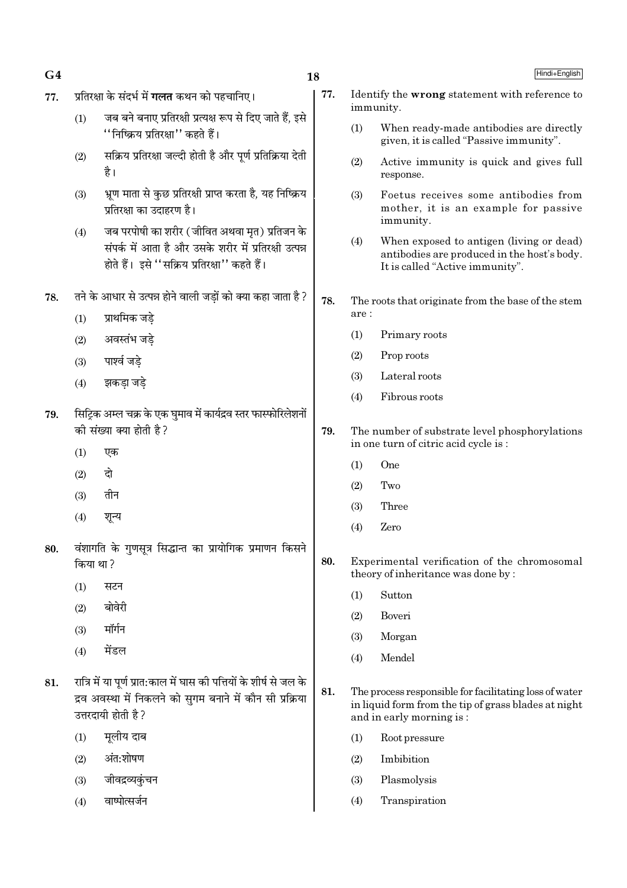| 77. | प्रतिरक्षा के संदर्भ में <b>गलत</b> कथन को पहचानिए।<br>जब बने बनाए प्रतिरक्षी प्रत्यक्ष रूप से दिए जाते हैं, इसे<br>(1)<br>''निष्क्रिय प्रतिरक्षा'' कहते हैं।<br>सक्रिय प्रतिरक्षा जल्दी होती है और पूर्ण प्रतिक्रिया देती<br>(2)<br>है। |                                                                                                                                                         | 77. | Identify the wrong statement with reference to<br>immunity. |                                                                                                                                            |  |  |  |
|-----|------------------------------------------------------------------------------------------------------------------------------------------------------------------------------------------------------------------------------------------|---------------------------------------------------------------------------------------------------------------------------------------------------------|-----|-------------------------------------------------------------|--------------------------------------------------------------------------------------------------------------------------------------------|--|--|--|
|     |                                                                                                                                                                                                                                          |                                                                                                                                                         |     | (1)                                                         | When ready-made antibodies are directly                                                                                                    |  |  |  |
|     |                                                                                                                                                                                                                                          |                                                                                                                                                         |     |                                                             | given, it is called "Passive immunity".                                                                                                    |  |  |  |
|     |                                                                                                                                                                                                                                          |                                                                                                                                                         |     | (2)                                                         | Active immunity is quick and gives full<br>response.                                                                                       |  |  |  |
|     | (3)                                                                                                                                                                                                                                      | भ्रूण माता से कुछ प्रतिरक्षी प्राप्त करता है, यह निष्क्रिय<br>प्रतिरक्षा का उदाहरण है।                                                                  |     | (3)                                                         | Foetus receives some antibodies from<br>mother, it is an example for passive<br>immunity.                                                  |  |  |  |
|     | (4)                                                                                                                                                                                                                                      | जब परपोषी का शरीर (जीवित अथवा मृत) प्रतिजन के<br>संपर्क में आता है और उसके शरीर में प्रतिरक्षी उत्पन्न<br>होते हैं। इसे ''सक्रिय प्रतिरक्षा'' कहते हैं। |     | (4)                                                         | When exposed to antigen (living or dead)<br>antibodies are produced in the host's body.<br>It is called "Active immunity".                 |  |  |  |
| 78. |                                                                                                                                                                                                                                          | तने के आधार से उत्पन्न होने वाली जड़ों को क्या कहा जाता है ?                                                                                            |     |                                                             | The roots that originate from the base of the stem                                                                                         |  |  |  |
|     | (1)                                                                                                                                                                                                                                      | प्राथमिक जडे                                                                                                                                            |     | $are:$                                                      |                                                                                                                                            |  |  |  |
|     | (2)                                                                                                                                                                                                                                      | अवस्तंभ जड़े                                                                                                                                            |     | (1)                                                         | Primary roots                                                                                                                              |  |  |  |
|     | (3)                                                                                                                                                                                                                                      | पार्श्व जड़े                                                                                                                                            |     | (2)                                                         | Prop roots                                                                                                                                 |  |  |  |
| (4) |                                                                                                                                                                                                                                          | झकड़ा जड़े                                                                                                                                              |     | (3)                                                         | Lateral roots                                                                                                                              |  |  |  |
|     |                                                                                                                                                                                                                                          |                                                                                                                                                         |     | (4)                                                         | Fibrous roots                                                                                                                              |  |  |  |
| 79. |                                                                                                                                                                                                                                          | सिट्रिक अम्ल चक्र के एक घुमाव में कार्यद्रव स्तर फास्फोरिलेशनों<br>की संख्या क्या होती है?                                                              | 79. |                                                             | The number of substrate level phosphorylations                                                                                             |  |  |  |
|     | (1)                                                                                                                                                                                                                                      | एक                                                                                                                                                      |     |                                                             | in one turn of citric acid cycle is:                                                                                                       |  |  |  |
|     | (2)                                                                                                                                                                                                                                      | दो                                                                                                                                                      |     | (1)                                                         | One                                                                                                                                        |  |  |  |
|     | (3)                                                                                                                                                                                                                                      | तीन                                                                                                                                                     |     | (2)                                                         | Two                                                                                                                                        |  |  |  |
|     |                                                                                                                                                                                                                                          |                                                                                                                                                         |     | (3)                                                         | Three                                                                                                                                      |  |  |  |
|     | (4)                                                                                                                                                                                                                                      | शून्य                                                                                                                                                   |     | (4)                                                         | Zero                                                                                                                                       |  |  |  |
| 80. | किया था ?                                                                                                                                                                                                                                | वंशागति के गुणसूत्र सिद्धान्त का प्रायोगिक प्रमाणन किसने                                                                                                | 80. |                                                             | Experimental verification of the chromosomal                                                                                               |  |  |  |
|     | (1)                                                                                                                                                                                                                                      | सटन                                                                                                                                                     |     |                                                             | theory of inheritance was done by:                                                                                                         |  |  |  |
|     | (2)                                                                                                                                                                                                                                      | बोवेरी                                                                                                                                                  |     | (1)                                                         | Sutton                                                                                                                                     |  |  |  |
|     | (3)                                                                                                                                                                                                                                      | मॉर्गन                                                                                                                                                  |     | (2)                                                         | Boveri                                                                                                                                     |  |  |  |
|     | (4)                                                                                                                                                                                                                                      | मेंडल                                                                                                                                                   |     | (3)                                                         | Morgan                                                                                                                                     |  |  |  |
|     |                                                                                                                                                                                                                                          |                                                                                                                                                         |     | (4)                                                         | Mendel                                                                                                                                     |  |  |  |
| 81. | रात्रि में या पूर्ण प्रात:काल में घास की पत्तियों के शीर्ष से जल के<br>द्रव अवस्था में निकलने को सुगम बनाने में कौन सी प्रक्रिया<br>उत्तरदायी होती है?                                                                                   |                                                                                                                                                         | 81. |                                                             | The process responsible for facilitating loss of water<br>in liquid form from the tip of grass blades at night<br>and in early morning is: |  |  |  |
|     | (1)                                                                                                                                                                                                                                      | मूलीय दाब                                                                                                                                               |     | (1)                                                         | Root pressure                                                                                                                              |  |  |  |
|     | (2)                                                                                                                                                                                                                                      | अंत:शोषण                                                                                                                                                |     | (2)                                                         | Imbibition                                                                                                                                 |  |  |  |
|     | (3)                                                                                                                                                                                                                                      | जीवद्रव्यकुंचन                                                                                                                                          |     | (3)                                                         | Plasmolysis                                                                                                                                |  |  |  |
|     | (4)                                                                                                                                                                                                                                      | वाष्पोत्सर्जन                                                                                                                                           |     | (4)                                                         | Transpiration                                                                                                                              |  |  |  |

18

 $G<sub>4</sub>$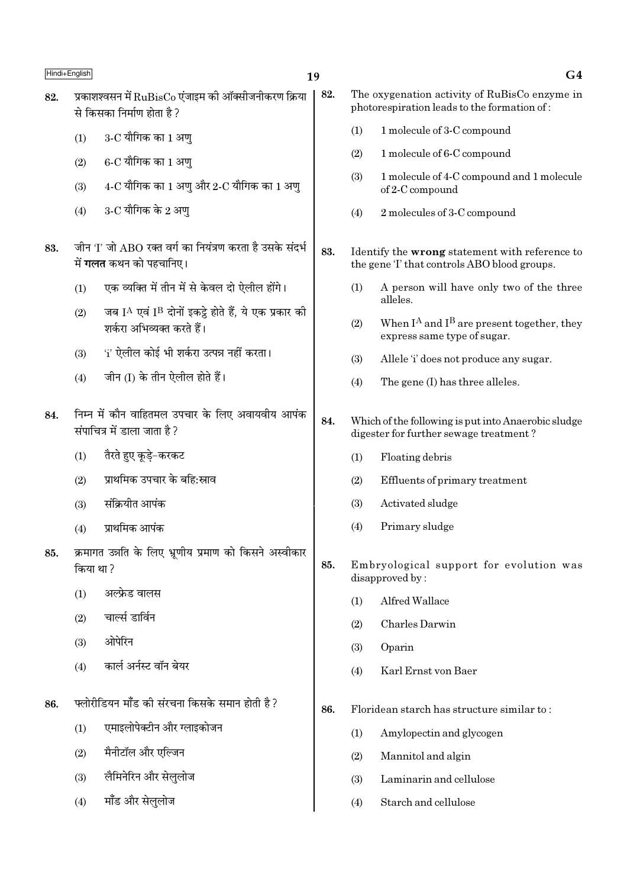# 19

82.

- प्रकाशश्वसन में RuBisCo एंजाइम की ऑक्सीजनीकरण क्रिया 82. से किसका निर्माण होता है ?
	- $3$ -C यौगिक का 1 अण  $(1)$
	- $6$ -C यौगिक का 1 अण्  $(2)$
	- $4$ -C यौगिक का 1 अण और 2-C यौगिक का 1 अण  $(3)$
	- $3$ -C यौगिक के 2 अण  $(4)$
- जीन 'I' जो ABO रक्त वर्ग का नियंत्रण करता है उसके संदर्भ 83. में **गलत** कथन को पहचानिए।
	- एक व्यक्ति में तीन में से केवल दो ऐलील होंगे।  $(1)$
	- जब IA एवं IB दोनों इकट्ठे होते हैं, ये एक प्रकार की  $(2)$ शर्करा अभिव्यक्त करते हैं।
	- 'i' ऐलील कोई भी शर्करा उत्पन्न नहीं करता।  $(3)$
	- जीन (I) के तीन ऐलील होते हैं।  $(4)$
- निम्न में कौन वाहितमल उपचार के लिए अवायवीय आपंक 84. संपाचित्र में डाला जाता है?
	- तैरते हुए कुडे-करकट  $(1)$
	- प्राथमिक उपचार के बहि:स्राव  $(2)$
	- संक्रियीत आपंक  $(3)$
	- प्राथमिक आपंक  $(4)$
- क्रमागत उन्नति के लिए भ्रणीय प्रमाण को किसने अस्वीकार 85. किया था?
	- अल्फ्रेड वालस  $(1)$
	- चार्ल्स डार्विन  $(2)$
	- ओपेरिन  $(3)$
	- कार्ल अर्नस्ट वॉन बेयर  $(4)$
- फ्लोरीडियन मॉॅंड की संरचना किसके समान होती है ? 86.
	- एमाइलोपेक्टीन और ग्लाइकोजन  $(1)$
	- मैनीटॉल और एल्जिन  $(2)$
	- लैमिनेरिन और सेलुलोज  $(3)$
	- मॉंड और सेललोज  $(4)$
- The oxygenation activity of RuBisCo enzyme in photorespiration leads to the formation of:
	- 1 molecule of 3-C compound  $(1)$
	- $(2)$ 1 molecule of 6-C compound
	- 1 molecule of 4-C compound and 1 molecule  $(3)$ of 2-C compound
	- $(4)$ 2 molecules of 3-C compound
- 83. Identify the wrong statement with reference to the gene 'I' that controls ABO blood groups.
	- $(1)$ A person will have only two of the three alleles
	- When  $I^A$  and  $I^B$  are present together, they  $(2)$ express same type of sugar.
	- $(3)$ Allele 'i' does not produce any sugar.
	- The gene (I) has three alleles.  $(4)$
- 84. Which of the following is put into Anaerobic sludge digester for further sewage treatment?
	- Floating debris  $(1)$
	- Effluents of primary treatment  $(2)$
	- $(3)$ Activated sludge
	- Primary sludge  $(4)$
- 85. Embryological support for evolution was disapproved by:
	- $(1)$ Alfred Wallace
	- $(2)$ Charles Darwin
	- $(3)$ Oparin
	- Karl Ernst von Baer  $(4)$
- 86. Floridean starch has structure similar to:
	- Amylopectin and glycogen  $(1)$
	- $(2)$ Mannitol and algin
	- $(3)$ Laminarin and cellulose
	- $(4)$ Starch and cellulose

## $G<sub>4</sub>$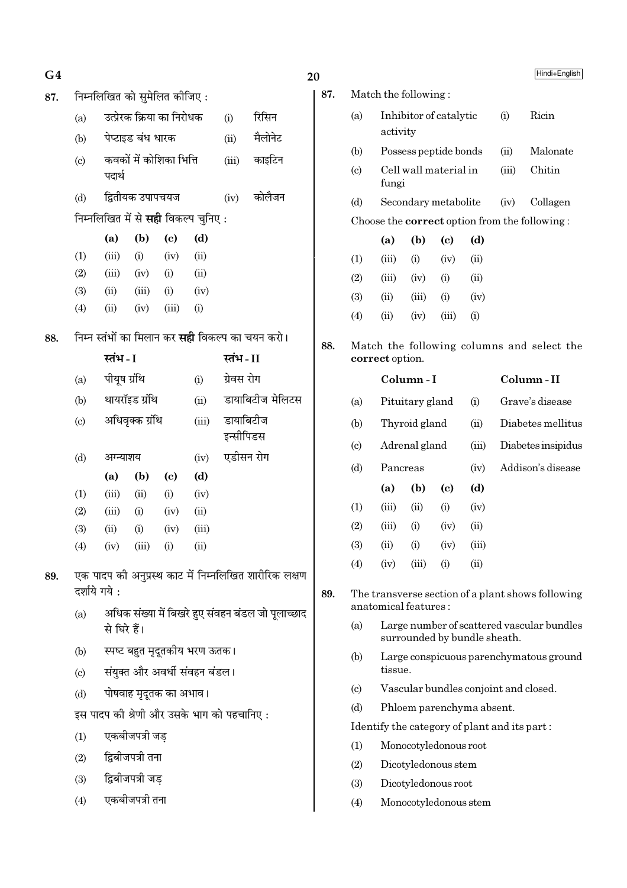| G4  |                             |              |                   |                               |                                             |            |                                                         |
|-----|-----------------------------|--------------|-------------------|-------------------------------|---------------------------------------------|------------|---------------------------------------------------------|
| 87. |                             |              |                   | निम्नलिखित को सुमेलित कीजिए : |                                             |            |                                                         |
|     | (a)                         |              |                   | उत्प्रेरक क्रिया का निरोधक    |                                             | (i)        | रिसिन                                                   |
|     | (b)                         |              | पेप्टाइड बंध धारक |                               |                                             | (ii)       | मैलोनेट                                                 |
|     | (c)                         | पदार्थ       |                   | कवकों में कोशिका भित्ति       |                                             | (iii)      | काइटिन                                                  |
|     | (d)                         |              | द्वितीयक उपापचयज  |                               |                                             | (iv)       | कोलैजन                                                  |
|     |                             |              |                   |                               | निम्नलिखित में से <b>सही</b> विकल्प चुनिए : |            |                                                         |
|     |                             | (a)          | (b)               | $\left( \mathrm{c}\right)$    | (d)                                         |            |                                                         |
|     | (1)                         | (iii)        | (i)               | (iv)                          | (ii)                                        |            |                                                         |
|     | (2)                         | (iii)        | (iv)              | (i)                           | (ii)                                        |            |                                                         |
|     | (3)                         | (ii)         | (iii)             | (i)                           | (iv)                                        |            |                                                         |
|     | (4)                         | (ii)         | (iv)              | (iii)                         | (i)                                         |            |                                                         |
| 88. |                             |              |                   |                               |                                             |            | निम्न स्तंभों का मिलान कर <b>सही</b> विकल्प का चयन करो। |
|     |                             | स्तंभ - I    |                   |                               |                                             | स्तंभ-II   |                                                         |
|     | (a)                         | पीयूष ग्रंथि |                   |                               | (i)                                         | ग्रेवस रोग |                                                         |
|     | (b)                         |              | थायरॉइड ग्रंथि    |                               | डायाबिटीज मेलिटस                            |            |                                                         |
|     | $\left( \mathrm{c} \right)$ |              | अधिवृक्क ग्रंथि   |                               | डायाबिटीज<br>(iii)<br>इन्सीपिडस             |            |                                                         |
|     | (d)                         | अग्न्याशय    |                   |                               | (iv)                                        | एडीसन रोग  |                                                         |
|     |                             | (a)          | (b)               | (c)                           | (d)                                         |            |                                                         |
|     | (1)                         | (iii)        | (ii)              | (i)                           | (iv)                                        |            |                                                         |
|     | (2)                         | (iii)        | (i)               | (iv)                          | (ii)                                        |            |                                                         |
|     | (3)                         | (ii)         | (i)               | (iv)                          | (iii)                                       |            |                                                         |
|     | (4)                         | (iv)         | (iii)             | (i)                           | (ii)                                        |            |                                                         |
| 89. | दर्शाये गये :               |              |                   |                               |                                             |            | एक पादप की अनुप्रस्थ काट में निम्नलिखित शारीरिक लक्षण   |
|     | (a)                         | से घिरे हैं। |                   |                               |                                             |            | अधिक संख्या में बिखरे हुए संवहन बंडल जो पूलाच्छाद       |
|     | (b)                         |              |                   |                               | स्पष्ट बहुत मृदूतकीय भरण ऊतक।               |            |                                                         |
|     | $\left( \mathrm{c}\right)$  |              |                   |                               | संयुक्त और अवर्धी संवहन बंडल।               |            |                                                         |
|     | (d)                         |              |                   | पोषवाह मृदूतक का अभाव।        |                                             |            |                                                         |
|     |                             |              |                   |                               | इस पादप की श्रेणी और उसके भाग को पहचानिए :  |            |                                                         |
|     | (1)                         |              | एकबीजपत्री जड़    |                               |                                             |            |                                                         |
|     | (2)                         |              | द्विबीजपत्री तना  |                               |                                             |            |                                                         |
|     | (3)                         |              | द्विबीजपत्री जड़  |                               |                                             |            |                                                         |
|     | (4)                         |              | एकबीजपत्री तना    |                               |                                             |            |                                                         |
|     |                             |              |                   |                               |                                             |            |                                                         |

|                             |                                                    |                        |       |                              |       | Hindi+English                                        |  |  |  |
|-----------------------------|----------------------------------------------------|------------------------|-------|------------------------------|-------|------------------------------------------------------|--|--|--|
|                             | Match the following:                               |                        |       |                              |       |                                                      |  |  |  |
| (a)                         | activity                                           | Inhibitor of catalytic |       |                              | (i)   | Ricin                                                |  |  |  |
| (b)                         |                                                    | Possess peptide bonds  |       |                              | (ii)  | Malonate                                             |  |  |  |
| $\left( \mathrm{c} \right)$ | fungi                                              | Cell wall material in  |       |                              | (iii) | Chitin                                               |  |  |  |
| (d)                         |                                                    | Secondary metabolite   |       |                              | (iv)  | Collagen                                             |  |  |  |
|                             |                                                    |                        |       |                              |       | Choose the <b>correct</b> option from the following: |  |  |  |
|                             | (a)                                                | (b)                    | (c)   | (d)                          |       |                                                      |  |  |  |
| (1)                         | (iii)                                              | (i)                    | (iv)  | (ii)                         |       |                                                      |  |  |  |
| (2)                         | (iii)                                              | (iv)                   | (i)   | (ii)                         |       |                                                      |  |  |  |
| (3)                         | (ii)                                               | (iii)                  | (i)   | (iv)                         |       |                                                      |  |  |  |
| (4)                         | (ii)                                               | (iv)                   | (iii) | (i)                          |       |                                                      |  |  |  |
|                             | correct option.                                    |                        |       |                              |       | Match the following columns and select the           |  |  |  |
|                             |                                                    | Column - I             |       |                              |       | Column-II                                            |  |  |  |
| (a)                         |                                                    | Pituitary gland        |       | (i)                          |       | Grave's disease                                      |  |  |  |
| (b)                         |                                                    | Thyroid gland          |       | (ii)                         |       | Diabetes mellitus                                    |  |  |  |
| $\left( \mathrm{c} \right)$ |                                                    | Adrenal gland          |       | (iii)                        |       | Diabetes insipidus                                   |  |  |  |
| (d)                         | Pancreas                                           |                        |       | (iv)                         |       | Addison's disease                                    |  |  |  |
|                             | (a)                                                | (b)                    | (c)   | (d)                          |       |                                                      |  |  |  |
| (1)                         | (iii)                                              | (ii)                   | (i)   | (iv)                         |       |                                                      |  |  |  |
| (2)                         | (iii)                                              | (i)                    | (iv)  | (ii)                         |       |                                                      |  |  |  |
| (3)                         | (ii)                                               | (i)                    | (iv)  | (iii)                        |       |                                                      |  |  |  |
| (4)                         | (iv)                                               | (iii)                  | (i)   | (ii)                         |       |                                                      |  |  |  |
|                             | anatomical features:                               |                        |       |                              |       | The transverse section of a plant shows following    |  |  |  |
| (a)                         |                                                    |                        |       | surrounded by bundle sheath. |       | Large number of scattered vascular bundles           |  |  |  |
| (b)                         | Large conspicuous parenchymatous ground<br>tissue. |                        |       |                              |       |                                                      |  |  |  |
| $\left( \circ \right)$      |                                                    |                        |       |                              |       | Vascular bundles conjoint and closed.                |  |  |  |
| (d)                         |                                                    |                        |       | Phloem parenchyma absent.    |       |                                                      |  |  |  |
|                             | Identify the category of plant and its part:       |                        |       |                              |       |                                                      |  |  |  |
| (1)                         |                                                    | Monocotyledonous root  |       |                              |       |                                                      |  |  |  |
| (2)                         | Dicotyledonous stem                                |                        |       |                              |       |                                                      |  |  |  |
| (3)                         |                                                    | Dicotyledonous root    |       |                              |       |                                                      |  |  |  |
| (4)                         |                                                    | Monocotyledonous stem  |       |                              |       |                                                      |  |  |  |

 $20$ 

87.

88.

89.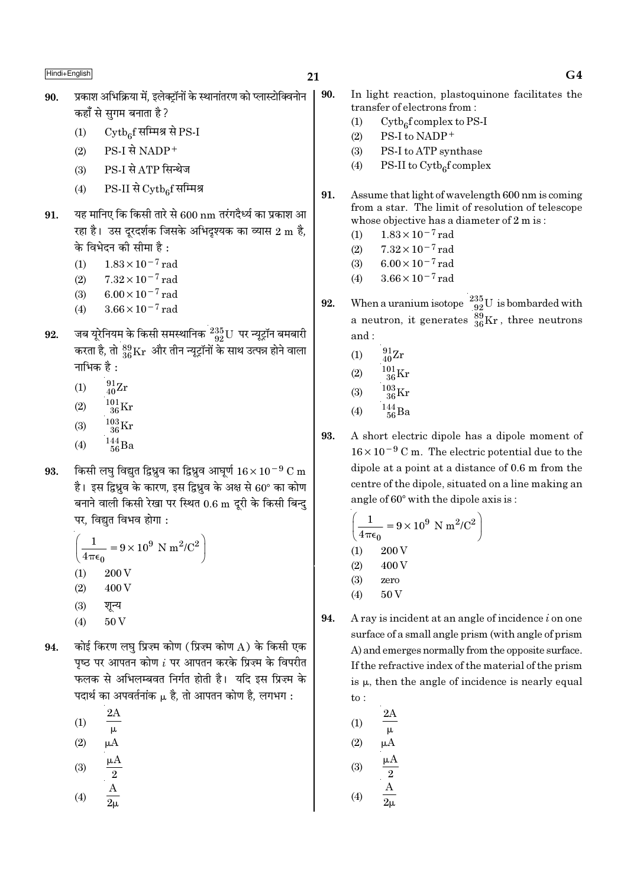90.

- प्रकाश अभिक्रिया में. इलेक्टॉनों के स्थानांतरण को प्लास्टोक्विनोन 90. कहाँ से सगम बनाता है ?
	- $\mathrm{Cytb}_{6}$ f सम्मिश्र से PS-I  $(1)$
	- PS-I से NADP+  $(2)$
	- PS-I से ATP सिन्थेज  $(3)$
	- $PS-II$  से  $\mathrm{Cytb}_{c}$ र्सिमिश्र  $(4)$
- यह मानिए कि किसी तारे से 600 nm तरंगदैर्ध्य का प्रकाश आ 91. रहा है। उस दरदर्शक जिसके अभिदश्यक का व्यास 2 m है. के विभेदन की सीमा है :
	- $1.83 \times 10^{-7}$  rad  $(1)$
	- $7.32 \times 10^{-7}$  rad  $(2)$
	- $6.00 \times 10^{-7}$  rad  $(3)$
	- $3.66 \times 10^{-7}$  rad  $(4)$
- जब यूरेनियम के किसी समस्थानिक  $^{235}_{92}$ U पर न्यूट्रॉन बमबारी 92. करता है, तो  $^{89}_{36}\rm{Kr}$  और तीन न्यूट्रॉनों के साथ उत्पन्न होने वाला नाभिक $\overrightarrow{a}$ :
	- $^{91}_{40}Zr$  $(1)$
	- $^{101}_{36}$ Kr  $(2)$
	- $^{103}_{\,36} \rm{Kr}$  $(3)$
	- $144$ <sub>56</sub>Ba  $(4)$
- किसी लघु विद्युत द्विध्नुव का द्विध्नुव आघूर्ण  $16 \times 10^{-9}$  C m 93. है। इस द्विध्रुव के कारण, इस द्विध्रुव के अक्ष से 60° का कोण बनाने वाली किसी रेखा पर स्थित  $0.6 \text{ m}$  दुरी के किसी बिन्द पर, विद्युत विभव होगा:

$$
\left(\frac{1}{4\pi\epsilon_0} = 9 \times 10^9 \text{ N m}^2/\text{C}^2\right)
$$

- 200 V  $(1)$ 400 V  $(2)$
- $(3)$ शून्य
- $(4)$ 50 V
- कोई किरण लघ प्रिज्म कोण (प्रिज्म कोण A) के किसी एक 94. पृष्ठ पर आपतन कोण  $i$  पर आपतन करके प्रिज़्म के विपरीत फलक से अभिलम्बवत निर्गत होती है। यदि इस प्रिज्म के पदार्थ का अपवर्तनांक µ है. तो आपतन कोण है. लगभग :
	- $2A$  $(1)$
	- $\mu$
	- $(2)$  $\mu A$
	- $(3)$
	- $\frac{2}{\text{A}}$  $(4)$
	-
- In light reaction, plastoquinone facilitates the transfer of electrons from:
- $Cytb<sub>6</sub>f$  complex to PS-I  $(1)$
- $(2)$ PS-I to NADP+
- $(3)$ PS-I to ATP synthase
- $(4)$ PS-II to  $\mathrm{Cytb}_{6}$ f complex
- 91. Assume that light of wavelength 600 nm is coming from a star. The limit of resolution of telescope whose objective has a diameter of 2 m is:
	- $1.83 \times 10^{-7}$  rad  $(1)$
	- $7.32\times10^{-7}\,\mathrm{rad}$  $(2)$
	- $6.00 \times 10^{-7}$  rad  $(3)$
	- $3.66 \times 10^{-7}$  rad  $(4)$
- When a uranium isotope  $^{235}_{92}$ U is bombarded with 92. a neutron, it generates  $\frac{89}{36}$ Kr, three neutrons and:
	- $^{91}_{40}Zr$  $(1)$
	- $^{101}_{36}\mathrm{Kr}$  $(2)$
	- $\frac{103}{36}\mathrm{Kr}$  $(3)$
	- $^{144}_{\ 56}$ Ba  $(4)$
	-
- 93. A short electric dipole has a dipole moment of  $16 \times 10^{-9}$  C m. The electric potential due to the dipole at a point at a distance of 0.6 m from the centre of the dipole, situated on a line making an angle of 60° with the dipole axis is:

$$
\left(\frac{1}{4\pi\epsilon_0} = 9 \times 10^9 \text{ N m}^2/\text{C}^2\right)
$$
  
(1) 200 V  
(2) 400 V  
(3) zero  
(4) 50 V

- 94. A ray is incident at an angle of incidence  $i$  on one surface of a small angle prism (with angle of prism A) and emerges normally from the opposite surface. If the refractive index of the material of the prism is  $\mu$ , then the angle of incidence is nearly equal  $to:$ 
	- 2.A  $(1)$  $\mu$  $(2)$  $\mu A$  $(3)$  $\overline{2}$  $\boldsymbol{A}$  $(4)$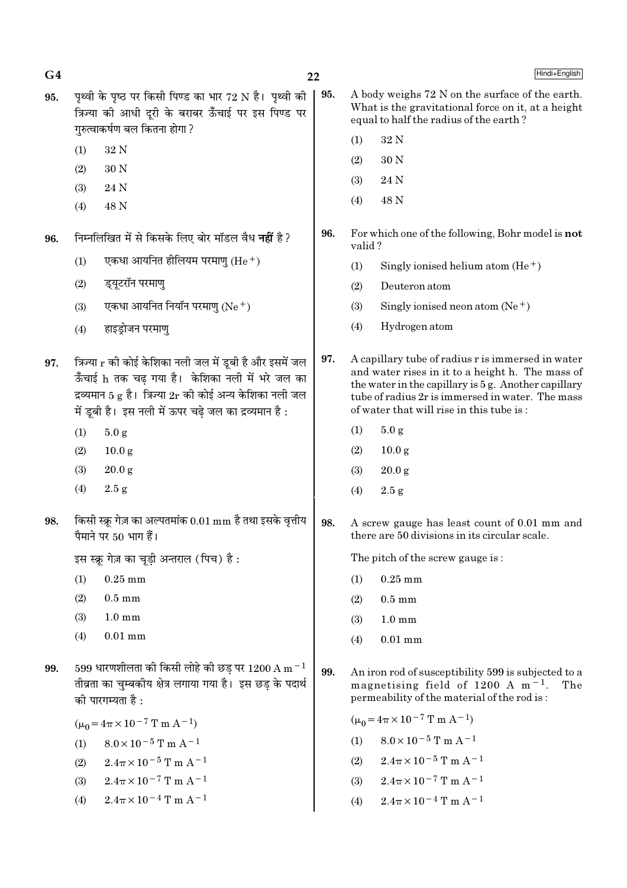| 95. | पृथ्वी के पृष्ठ पर किसी पिण्ड का भार 72 N है। पृथ्वी की<br>त्रिज्या की आधी दूरी के बराबर ऊँचाई पर इस पिण्ड पर<br>गुरुत्वाकर्षण बल कितना होगा ?                                                                                    |                                                       | 95. | A body weighs 72 N on the surface of the earth.<br>What is the gravitational force on it, at a height<br>equal to half the radius of the earth?                                                                                                               |                                                             |  |
|-----|-----------------------------------------------------------------------------------------------------------------------------------------------------------------------------------------------------------------------------------|-------------------------------------------------------|-----|---------------------------------------------------------------------------------------------------------------------------------------------------------------------------------------------------------------------------------------------------------------|-------------------------------------------------------------|--|
|     |                                                                                                                                                                                                                                   |                                                       |     | (1)                                                                                                                                                                                                                                                           | $32\,\mathrm{N}$                                            |  |
|     | (1)                                                                                                                                                                                                                               | 32 N                                                  |     | (2)                                                                                                                                                                                                                                                           | 30 N                                                        |  |
|     | (2)                                                                                                                                                                                                                               | 30 N                                                  |     | (3)                                                                                                                                                                                                                                                           | 24 N                                                        |  |
|     | (3)                                                                                                                                                                                                                               | 24 N                                                  |     | (4)                                                                                                                                                                                                                                                           | 48 N                                                        |  |
|     | (4)                                                                                                                                                                                                                               | 48 N                                                  |     |                                                                                                                                                                                                                                                               |                                                             |  |
| 96. | निम्नलिखित में से किसके लिए बोर मॉडल वैध <b>नहीं</b> है ?                                                                                                                                                                         |                                                       | 96. |                                                                                                                                                                                                                                                               | For which one of the following, Bohr model is not<br>valid? |  |
|     | (1)                                                                                                                                                                                                                               | एकधा आयनित हीलियम परमाणु (He $^+$ )                   |     | (1)                                                                                                                                                                                                                                                           | Singly ionised helium atom $(He+)$                          |  |
|     | (2)                                                                                                                                                                                                                               | ड्यूटरॉन परमाणु                                       |     | (2)                                                                                                                                                                                                                                                           | Deuteron atom                                               |  |
|     | (3)                                                                                                                                                                                                                               | एकधा आयनित नियॉन परमाणु (Ne $^+$ )                    |     | (3)                                                                                                                                                                                                                                                           | Singly ionised neon atom $(Ne^+)$                           |  |
|     | (4)                                                                                                                                                                                                                               | हाइड्रोजन परमाणु                                      |     | (4)                                                                                                                                                                                                                                                           | Hydrogen atom                                               |  |
| 97. | त्रिज्या r की कोई केशिका नली जल में डूबी है और इसमें जल<br>ऊँँचाई h तक चढ़ गया है।  केशिका नली में भरे जल का<br>द्रव्यमान 5 g है। त्रिज्या $2r$ की कोई अन्य केशिका नली जल<br>में डूबी है। इस नली में ऊपर चढ़े जल का द्रव्यमान है: |                                                       | 97. | A capillary tube of radius r is immersed in water<br>and water rises in it to a height h. The mass of<br>the water in the capillary is 5 g. Another capillary<br>tube of radius 2r is immersed in water. The mass<br>of water that will rise in this tube is: |                                                             |  |
|     | (1)                                                                                                                                                                                                                               | 5.0 g                                                 |     | (1)                                                                                                                                                                                                                                                           | 5.0 g                                                       |  |
|     | (2)                                                                                                                                                                                                                               | 10.0 <sub>g</sub>                                     |     | (2)                                                                                                                                                                                                                                                           | 10.0 <sub>g</sub>                                           |  |
|     | (3)                                                                                                                                                                                                                               | 20.0 g                                                |     | (3)                                                                                                                                                                                                                                                           | 20.0 g                                                      |  |
|     | (4)                                                                                                                                                                                                                               | 2.5 g                                                 |     | (4)                                                                                                                                                                                                                                                           | 2.5 g                                                       |  |
| 98. | किसी स्क्रू गेज़ का अल्पतमांक 0.01 mm है तथा इसके वृत्तीय<br>पैमाने पर 50 भाग हैं।                                                                                                                                                |                                                       | 98. | A screw gauge has least count of 0.01 mm and<br>there are 50 divisions in its circular scale.                                                                                                                                                                 |                                                             |  |
|     |                                                                                                                                                                                                                                   | इस स्क्रू गेज़ का चूड़ी अन्तराल (पिच) है :            |     |                                                                                                                                                                                                                                                               | The pitch of the screw gauge is:                            |  |
|     | (1)                                                                                                                                                                                                                               | $0.25$ mm                                             |     | (1)                                                                                                                                                                                                                                                           | $0.25$ mm                                                   |  |
|     | (2)                                                                                                                                                                                                                               | $0.5 \text{ mm}$                                      |     | (2)                                                                                                                                                                                                                                                           | $0.5 \text{ mm}$                                            |  |
|     | (3)                                                                                                                                                                                                                               | $1.0 \text{ mm}$                                      |     | (3)                                                                                                                                                                                                                                                           | $1.0 \text{ mm}$                                            |  |
|     | (4)                                                                                                                                                                                                                               | $0.01$ mm                                             |     | (4)                                                                                                                                                                                                                                                           | $0.01$ mm                                                   |  |
| 99. | 599 धारणशीलता की किसी लोहे की छड़ पर $1200 \text{ A m}^{-1}$<br>तीव्रता का चुम्बकीय क्षेत्र लगाया गया है। इस छड़ के पदार्थ<br>की पारगम्यता है :                                                                                   |                                                       | 99. | An iron rod of susceptibility 599 is subjected to a<br>magnetising field of 1200 A $m^{-1}$ .<br>The<br>permeability of the material of the rod is:                                                                                                           |                                                             |  |
|     |                                                                                                                                                                                                                                   | $(\mu_0 = 4\pi \times 10^{-7} \text{ T m A}^{-1})$    |     |                                                                                                                                                                                                                                                               | $(\mu_0 = 4\pi \times 10^{-7} \text{ T m A}^{-1})$          |  |
|     | (1)                                                                                                                                                                                                                               | $8.0 \times 10^{-5}$ T m A <sup>-1</sup>              |     | (1)                                                                                                                                                                                                                                                           | $8.0 \times 10^{-5}$ T m A <sup>-1</sup>                    |  |
|     | (2)                                                                                                                                                                                                                               | $2.4\pi \times 10^{-5}$ T m A <sup>-1</sup>           |     | (2)                                                                                                                                                                                                                                                           | $2.4\pi \times 10^{-5}$ T m A <sup>-1</sup>                 |  |
|     | (3)                                                                                                                                                                                                                               | $2.4\pi \times 10^{-7}$ T m A <sup>-1</sup>           |     | (3)                                                                                                                                                                                                                                                           | $2.4\pi \times 10^{-7}$ T m A <sup>-1</sup>                 |  |
|     | (4)                                                                                                                                                                                                                               | $2.4\pi\times10^{-4}\mathrm{\,T}$ m $\mathrm{A}^{-1}$ |     | (4)                                                                                                                                                                                                                                                           | $2.4\pi \times 10^{-4}$ T m A <sup>-1</sup>                 |  |

 $22$ 

 $G<sub>4</sub>$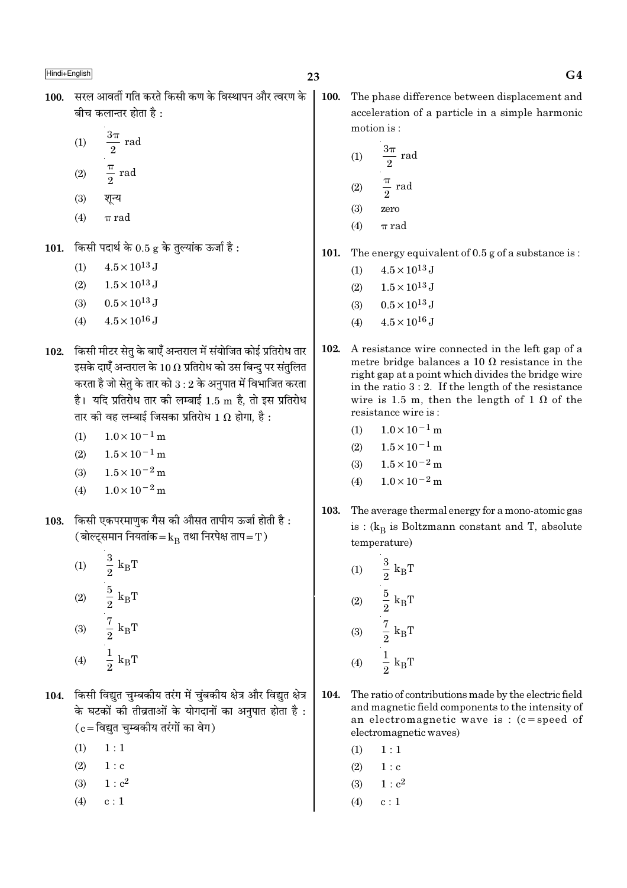- 100. सरल आवर्ती गति करते किसी कण के विस्थापन और त्वरण के बीच कलान्तर होता है $\cdot$ 
	- $\frac{3\pi}{2}$  rad  $(1)$
	- $rac{\pi}{2}$  rad  $(2)$
	- $(3)$ शून्य
	- $\pi$  rad  $(4)$
- 101. किसी पदार्थ के 0.5 g के तुल्यांक ऊर्जा है:
	- $4.5 \times 10^{13}$  J  $(1)$
	- $1.5 \times 10^{13}$  J  $(2)$
	- $0.5 \times 10^{13}$  J  $(3)$
	- $4.5 \times 10^{16}$  J  $(4)$
- 102. किसी मीटर सेत के बाएँ अन्तराल में संयोजित कोई प्रतिरोध तार इसके दाएँ अन्तराल के 10  $\Omega$  प्रतिरोध को उस बिन्द पर संतुलित करता है जो सेतृ के तार को  $3:2$  के अनुपात में विभाजित करता है। यदि प्रतिरोध तार की लम्बाई 1.5 m है, तो इस प्रतिरोध तार की वह लम्बाई जिसका प्रतिरोध 1  $\Omega$  होगा, है :
	- $1.0 \times 10^{-1}$  m  $(1)$
	- $1.5 \times 10^{-1}$  m  $(2)$
	- $1.5 \times 10^{-2}$  m  $(3)$
	- $1.0 \times 10^{-2}$  m  $(4)$
- 103. किसी एकपरमाणक गैस की औसत तापीय ऊर्जा होती है: (बोल्ट्समान नियतांक= $k_B$  तथा निरपेक्ष ताप=T)
	- (1)  $\frac{3}{2} k_B T$ <br>
	(2)  $\frac{5}{2} k_B T$ <br>
	(3)  $\frac{7}{2} k_B T$  $\frac{1}{2}$  k<sub>B</sub>T  $(4)$
- 104. किसी विद्युत चुम्बकीय तरंग में चुंबकीय क्षेत्र और विद्युत क्षेत्र के घटकों की तीव्रताओं के योगदानों का अनुपात होता है :  $(c = \bar{c}$ विद्युत चुम्बकीय तरंगों का वेग)
	- $(1)$  $1:1$
	- $(2)$  $1: c$
	- $(3)$  $1 : c<sup>2</sup>$
	- $(4)$  $c:1$

100. The phase difference between displacement and acceleration of a particle in a simple harmonic motion is:

(1) 
$$
\frac{3\pi}{2} \text{ rad}
$$
  
(2) 
$$
\frac{\pi}{2} \text{ rad}
$$

- $(3)$ zero
- $(4)$  $\pi$  rad
- 101. The energy equivalent of  $0.5$  g of a substance is:
	- $4.5 \times 10^{13}$  J  $(1)$
	- $1.5 \times 10^{13}$  J  $(2)$
	- $0.5 \times 10^{13}$  J  $(3)$
	- $4.5 \times 10^{16}$  J  $(4)$
- 102. A resistance wire connected in the left gap of a metre bridge balances a 10  $\Omega$  resistance in the right gap at a point which divides the bridge wire in the ratio  $3:2$ . If the length of the resistance wire is 1.5 m, then the length of 1  $\Omega$  of the resistance wire is:
	- $1.0 \times 10^{-1}$  m  $(1)$
	- $1.5 \times 10^{-1}$  m  $(2)$
	- $1.5 \times 10^{-2}$  m  $(3)$
	- $1.0 \times 10^{-2}$  m  $(4)$
- 103. The average thermal energy for a mono-atomic gas is :  $(k_B$  is Boltzmann constant and T, absolute temperature)

(1) 
$$
\frac{3}{2} k_B T
$$
  
\n(2)  $\frac{5}{2} k_B T$   
\n(3)  $\frac{7}{2} k_B T$   
\n(4)  $\frac{1}{2} k_B T$ 

- 104. The ratio of contributions made by the electric field and magnetic field components to the intensity of an electromagnetic wave is :  $(c = speed of$ electromagnetic waves)
	- $1:1$  $(1)$
	- $(2)$  $1 : c$
	- $1 : c<sup>2</sup>$  $(3)$
	- $(4)$  $c:1$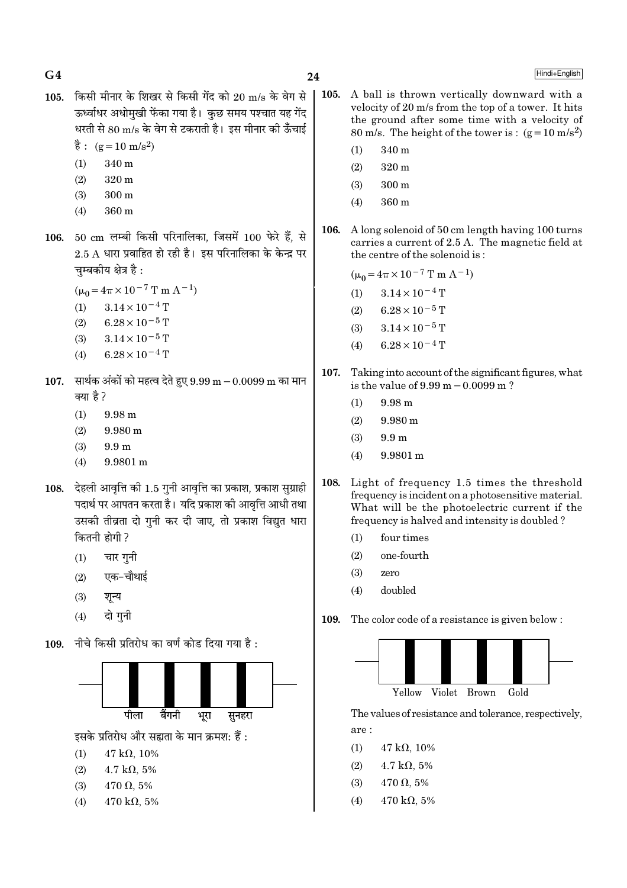$G<sub>4</sub>$ 

Hindi+English

- 105. किसी मीनार के शिखर से किसी गेंद को 20 m/s के वेग से ऊर्ध्वाधर अधोमखी फेंका गया है। कछ समय पश्चात यह गेंद धरती से 80 m/s के वेग से टकराती है। इस मीनार की ऊँचाई  $\dot{\vec{g}}$ : (g = 10 m/s<sup>2</sup>)
	- $340<sub>m</sub>$
	- $(1)$  $(2)$  $320<sub>m</sub>$
	- $300 \text{ m}$  $(3)$
	- 360 m  $(4)$
- 106. 50 cm लम्बी किसी परिनालिका, जिसमें 100 फेरे हैं, से  $2.5$  A धारा प्रवाहित हो रही है। इस परिनालिका के केन्द्र पर चम्बकीय क्षेत्र है :
	- $(\mu_0 = 4\pi \times 10^{-7} \text{ T m A}^{-1})$
	- $3.14 \times 10^{-4}$  T  $(1)$
	- $6.28 \times 10^{-5}$  T  $(2)$
	- $3.14 \times 10^{-5}$  T  $(3)$
	- $6.28 \times 10^{-4}$  T  $(4)$
- 107. सार्थक अंकों को महत्व देते हुए  $9.99 \text{ m} 0.0099 \text{ m}$  का मान क्या है ?
	- $(1)$ 9.98 m
	- $(2)$  $9.980 \text{ m}$
	- $(3)$  $9.9<sub>m</sub>$
	- $(4)$ 9.9801 m
- 108. देहली आवृत्ति की 1.5 गुनी आवृत्ति का प्रकाश, प्रकाश सुग्राही पदार्थ पर आपतन करता है। यदि प्रकाश की आवत्ति आधी तथा उसकी तीव्रता दो गुनी कर दी जाए, तो प्रकाश विद्युत धारा कितनी होगी ?
	- $(1)$ चार गुनी
	- एक-चौथाई  $(2)$
	- $(3)$ शून्य
	- दो गनी  $(4)$
- 109. नीचे किसी प्रतिरोध का वर्ण कोड दिया गया है:



इसके प्रतिरोध और सह्यता के मान क्रमश: हैं :

- $(1)$  $47 k\Omega$ , 10%
- $(2)$  $4.7 \text{ k}\Omega$ , 5%
- $(3)$  $470 \Omega, 5\%$
- $470 \text{ k}\Omega, 5\%$  $(4)$
- 105. A ball is thrown vertically downward with a velocity of 20 m/s from the top of a tower. It hits the ground after some time with a velocity of 80 m/s. The height of the tower is:  $(g=10 \text{ m/s}^2)$ 
	- $(1)$  $340<sub>m</sub>$
	- $320 \text{ m}$  $(2)$
	- $(3)$  $300 \text{ m}$
	- $(4)$ 360 m
- A long solenoid of 50 cm length having 100 turns 106. carries a current of 2.5 A. The magnetic field at the centre of the solenoid is:

 $(\mu_0 = 4\pi \times 10^{-7} \text{ T m A}^{-1})$ 

- $(1)$  $3.14 \times 10^{-4}$  T
- $6.28 \times 10^{-5}$  T  $(2)$
- $(3)$  $3.14 \times 10^{-5}$  T
- $6.28 \times 10^{-4}$  T  $(4)$
- 107. Taking into account of the significant figures, what is the value of  $9.99 \text{ m} - 0.0099 \text{ m}$ ?
	- $(1)$ 9.98 m
	- $(2)$  $9.980 \text{ m}$
	- $(3)$  $9.9<sub>m</sub>$
	- $(4)$ 9.9801 m
- 108. Light of frequency 1.5 times the threshold frequency is incident on a photosensitive material. What will be the photoelectric current if the frequency is halved and intensity is doubled?
	- four times  $(1)$
	- $(2)$ one-fourth
	- $(3)$ zero
	- $(4)$ helduoh
- The color code of a resistance is given below: 109.



The values of resistance and tolerance, respectively, are:

- $(1)$  $47 k\Omega, 10\%$
- $(2)$  $4.7 \text{ k}\Omega, 5\%$
- $470 \Omega, 5\%$  $(3)$
- $(4)$  $470 \text{ k}\Omega, 5\%$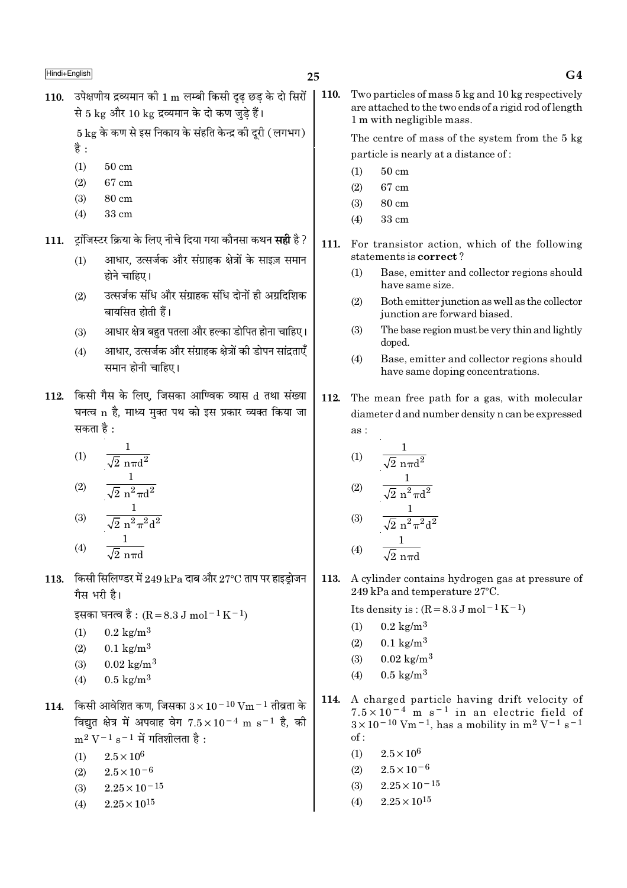110. उपेक्षणीय द्रव्यमान की 1 m लम्बी किसी दृढ छड के दो सिरों से 5 kg और 10 kg द्रव्यमान के दो कण जड़े हैं।

 $5 \text{ kg}$  के कण से इस निकाय के संहति केन्द्र की दूरी (लगभग)

- है :
- $(1)$  $50 \text{ cm}$
- $(2)$ 67 cm
- $(3)$  $80 \text{ cm}$
- $(4)$  $33 \text{ cm}$
- 111. ट्रांजिस्टर क्रिया के लिए नीचे दिया गया कौनसा कथन **सही** है ?
	- आधार, उत्सर्जक और संग्राहक क्षेत्रों के साइज़ समान  $(1)$ होने चाहिए।
	- उत्सर्जक संधि और संग्राहक संधि दोनों ही अग्रदिशिक  $(2)$ बायसित होती हैं।
	- आधार क्षेत्र बहुत पतला और हल्का डोपित होना चाहिए।  $(3)$
	- आधार, उत्सर्जक और संग्राहक क्षेत्रों की डोपन सांद्रताएँ  $(4)$ समान होनी चाहिए।
- 112. किसी गैस के लिए, जिसका आण्विक व्यास d तथा संख्या घनत्व n है, माध्य मुक्त पथ को इस प्रकार व्यक्त किया जा सकता है :

$$
(1) \qquad \frac{1}{\sqrt{2} \pi \pi d^2}
$$

(2) 
$$
\frac{\sqrt{2} \pi^2 \pi d^2}{\sqrt{2} \pi^2 \pi^2 d^2}
$$
  
(3) 
$$
\frac{1}{\sqrt{2} \pi^2 \pi^2 d^2}
$$

$$
(4) \qquad \frac{1}{\sqrt{2} \text{ n} \pi d}
$$

113. किसी सिलिण्डर में 249 kPa दाब और 27°C ताप पर हाइड़ोजन गैस भरी है।

इसका घनत्व है : (R = 8.3 J mol<sup>-1</sup> K<sup>-1</sup>)

- $0.2 \text{ kg/m}^3$  $(1)$
- $(2)$  $0.1 \text{ kg/m}^3$
- $(3)$  $0.02 \text{ kg/m}^3$
- $0.5 \text{ kg/m}^3$  $(4)$
- 114. किसी आवेशित कण, जिसका  $3 \times 10^{-10}$  Vm  $^{-1}$  तीव्रता के विद्युत क्षेत्र में अपवाह वेग  $7.5 \times 10^{-4}$  m s<sup>-1</sup> है, की  $m^2 V^{-1} s^{-1}$  में गतिशीलता है:
	- $2.5 \times 10^6$  $(1)$
	- $2.5 \times 10^{-6}$  $(2)$
	- $2.25 \times 10^{-15}$  $(3)$
	- $2.25 \times 10^{15}$  $(4)$

 $\vert$  110. Two particles of mass 5 kg and 10 kg respectively are attached to the two ends of a rigid rod of length 1 m with negligible mass.

> The centre of mass of the system from the 5 kg particle is nearly at a distance of:

- $50 \text{ cm}$  $(1)$
- 67 cm  $(2)$
- 80 cm  $(3)$
- 33 cm  $(4)$
- 111. For transistor action, which of the following statements is correct?
	- $(1)$ Base, emitter and collector regions should have same size.
	- $(2)$ Both emitter junction as well as the collector junction are forward biased.
	- $(3)$ The base region must be very thin and lightly doped.
	- Base, emitter and collector regions should  $(4)$ have same doping concentrations.
- 112. The mean free path for a gas, with molecular diameter d and number density n can be expressed  $\overline{as}$ :

(1) 
$$
\frac{1}{\sqrt{2} \text{ n} \pi d^2}
$$
  
\n(2)  $\frac{1}{\sqrt{2} \text{ n}^2 \pi d^2}$   
\n(3)  $\frac{1}{\sqrt{2} \text{ n}^2 \pi^2 d^2}$   
\n(4)  $\frac{1}{\sqrt{2} \text{ n} \pi d}$ 

113. A cylinder contains hydrogen gas at pressure of 249 kPa and temperature 27°C.

Its density is:  $(R = 8.3 J \text{ mol}^{-1} \text{K}^{-1})$ 

- $0.2 \text{ kg/m}^3$  $(1)$
- $0.1 \text{ kg/m}^3$  $(2)$
- $0.02 \text{ kg/m}^3$  $(3)$
- $0.5 \text{ kg/m}^3$  $(4)$
- 114. A charged particle having drift velocity of  $7.5 \times 10^{-4}$  m s<sup>-1</sup> in an electric field of  $3 \times 10^{-10}$  Vm<sup>-1</sup>, has a mobility in m<sup>2</sup> V<sup>-1</sup> s<sup>-1</sup>  $of:$ 
	- $(1)$  $2.5\times10^6$
	- $2.5 \times 10^{-6}$  $(2)$
	- $2.25 \times 10^{-15}$  $(3)$
	- $2.25\times10^{15}$  $(4)$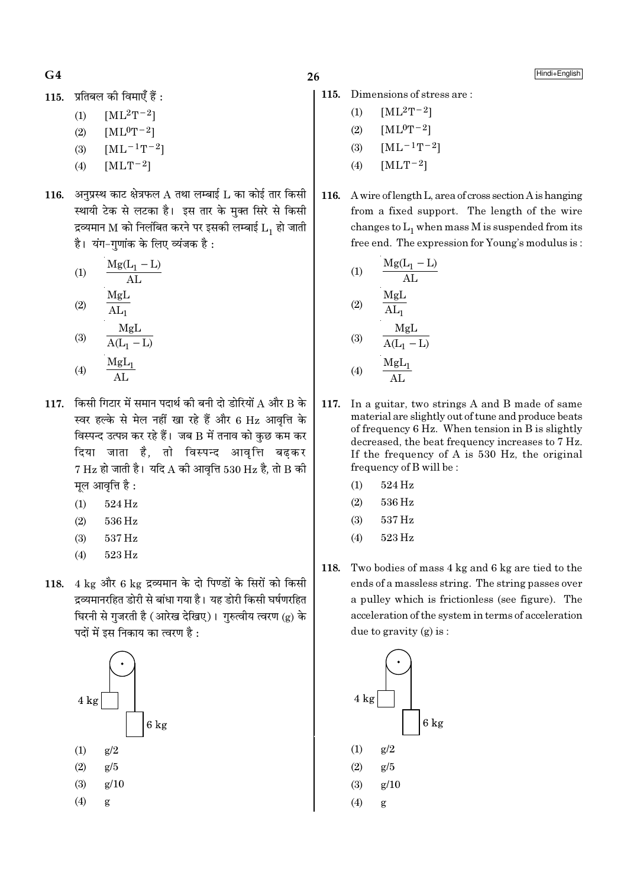$G<sub>4</sub>$ 

115. प्रतिबल की विमाएँ हैं :

- $[ML^2T^{-2}]$  $(1)$
- $(2)$  $[ML^0T^{-2}]$
- $[ML^{-1}T^{-2}]$  $(3)$
- $(4)$  $[MLT-2]$
- 116. अनप्रस्थ काट क्षेत्रफल A तथा लम्बाई L का कोई तार किसी स्थायी टेक से लटका है। इस तार के मुक्त सिरे से किसी द्रव्यमान M को निलंबित करने पर इसकी लम्बाई  $L_1$  हो जाती है। यंग-गणांक के लिए व्यंजक है:

(1) 
$$
\frac{Mg(L_1 - L)}{AL}
$$
  
\n(2)  $\frac{MgL}{AL_1}$   
\n(3)  $\frac{MgL}{A(L_1 - L)}$ 

- $(4)$  $\overline{AI}$
- 117 किसी गिटार में समान पदार्थ की बनी दो डोरियों A और B के स्वर हल्के से मेल नहीं खा रहे हैं और 6 Hz आवृत्ति के विस्पन्द उत्पन्न कर रहे हैं। जब B में तनाव को कुछ कम कर दिया जाता है, तो विस्पन्द आवृत्ति बढकर  $7\,\mathrm{Hz}$  हो जाती है। यदि A की आवृत्ति  $530\,\mathrm{Hz}$  है, तो B की मूल आवृत्ति है :
	- 524 Hz  $(1)$
	- $(2)$ 536 Hz
	- $(3)$ 537 Hz
	- 523 Hz  $(4)$
- 118. 4 kg और 6 kg द्रव्यमान के दो पिण्डों के सिरों को किसी द्रव्यमानरहित डोरी से बांधा गया है। यह डोरी किसी घर्षणरहित घिरनी से गुजरती है (आरेख देखिए)। गुरुत्वीय त्वरण (g) के पदों में इस निकाय का त्वरण है :



- 115. Dimensions of stress are:
	- $[ML^2T^{-2}]$  $(1)$
	- $[ML^0T^{-2}]$  $(2)$
	- $[ML^{-1}T^{-2}]$  $(3)$
	- $[MLT^{-2}]$  $(4)$
- 116. A wire of length L, area of cross section A is hanging from a fixed support. The length of the wire changes to  $L_1$  when mass M is suspended from its free end. The expression for Young's modulus is:

(1)  
\n
$$
\frac{Mg(L_1 - L)}{AL}
$$
\n(2)  
\n
$$
\frac{MgL}{AL_1}
$$
\n(3)  
\n
$$
\frac{MgL}{A(L_1 - L)}
$$
\n(4)  
\n
$$
\frac{MgL_1}{AL}
$$

- 117. In a guitar, two strings A and B made of same material are slightly out of tune and produce beats of frequency 6 Hz. When tension in B is slightly decreased, the beat frequency increases to 7 Hz. If the frequency of A is  $530$  Hz, the original frequency of B will be:
	- $524\,\mathrm{Hz}$  $(1)$
	- $(2)$ 536 Hz
	- $(3)$ 537 Hz
	- $(4)$ 523 Hz
- 118. Two bodies of mass 4 kg and 6 kg are tied to the ends of a massless string. The string passes over a pulley which is frictionless (see figure). The acceleration of the system in terms of acceleration due to gravity (g) is :

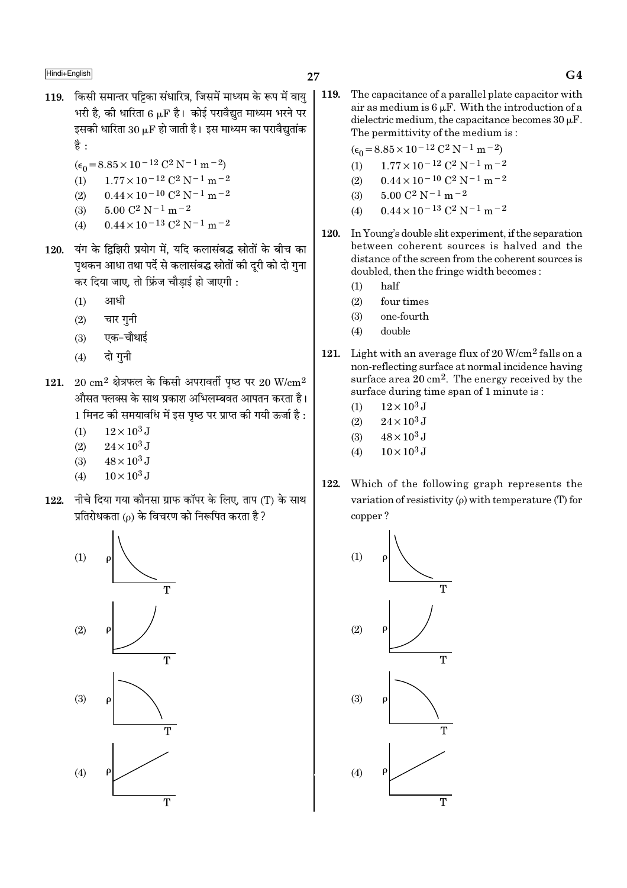- 119. किसी समान्तर पट्टिका संधारित्र, जिसमें माध्यम के रूप में वाय भरी है. की धारिता 6 uF है। कोई परावैद्यत माध्यम भरने पर इसकी धारिता  $30 \mu$ F हो जाती है। इस माध्यम का परावैद्युतांक है $\cdot$ 
	- $(\epsilon_0 = 8.85 \times 10^{-12} \text{ C}^2 \text{ N}^{-1} \text{ m}^{-2})$
	- (1)  $1.77 \times 10^{-12}$  C<sup>2</sup> N<sup>-1</sup> m<sup>-2</sup>
	- $0.44 \times 10^{-10}$  C<sup>2</sup> N<sup>-1</sup> m<sup>-2</sup>  $(2)$
	- $(3)$  $5.00 \text{ C}^2 \text{ N}^{-1} \text{ m}^{-2}$
	- $0.44 \times 10^{-13}$  C<sup>2</sup> N<sup>-1</sup> m<sup>-2</sup>  $(4)$
- 120. यंग के दिझिरी प्रयोग में. यदि कलासंबद्ध स्रोतों के बीच का पृथकन आधा तथा पर्दे से कलासंबद्ध स्रोतों की दुरी को दो गुना कर दिया जाए, तो फ्रिंज चौड़ाई हो जाएगी :
	- आधी  $(1)$
	- चार गनी  $(2)$
	- $(3)$  एक-चौथाई
	- $(4)$ दो गनी
- 121. 20  $\rm cm^2$  क्षेत्रफल के किसी अपरावर्ती पृष्ठ पर 20 W/ $\rm cm^2$ औसत फ्लक्स के साथ प्रकाश अभिलम्बवत आपतन करता है। 1 मिनट की समयावधि में इस पष्ठ पर प्राप्त की गयी ऊर्जा है :
	- $12 \times 10^3$  J  $(1)$
	- $24 \times 10^3$  J  $(2)$
	- $48 \times 10^3$  J  $(3)$
	- $10 \times 10^3$  J  $(4)$
- 122. नीचे दिया गया कौनसा ग्राफ कॉपर के लिए, ताप (T) के साथ प्रतिरोधकता (p) के विचरण को निरूपित करता है ?



119. The capacitance of a parallel plate capacitor with air as medium is  $6 \mu$ F. With the introduction of a dielectric medium, the capacitance becomes  $30 \mu$ F. The permittivity of the medium is:

$$
(\epsilon_0 = 8.85 \times 10^{-12} \text{ C}^2 \text{ N}^{-1} \text{ m}^{-2})
$$

- $1.77 \times 10^{-12}$  C<sup>2</sup> N<sup>-1</sup> m<sup>-2</sup>  $(1)$
- $0.44 \times 10^{-10}$  C<sup>2</sup> N<sup>-1</sup> m<sup>-2</sup>  $(2)$
- $5.00 C^2 N^{-1} m^{-2}$  $(3)$
- $0.44 \times 10^{-13}$  C<sup>2</sup> N<sup>-1</sup> m<sup>-2</sup>  $(4)$
- 120. In Young's double slit experiment, if the separation between coherent sources is halved and the distance of the screen from the coherent sources is doubled, then the fringe width becomes:
	- half  $(1)$
	- $(2)$ four times
	- $(3)$ one-fourth
	- double  $(4)$
- 121. Light with an average flux of  $20 \text{ W/cm}^2$  falls on a non-reflecting surface at normal incidence having surface area 20 cm<sup>2</sup>. The energy received by the surface during time span of 1 minute is:
	- $12 \times 10^3$  J  $(1)$
	- $24 \times 10^3$  J  $(2)$
	- $48 \times 10^3$  J  $(3)$
	- $10 \times 10^3$  J  $(4)$
- 122. Which of the following graph represents the variation of resistivity  $(\rho)$  with temperature (T) for copper?

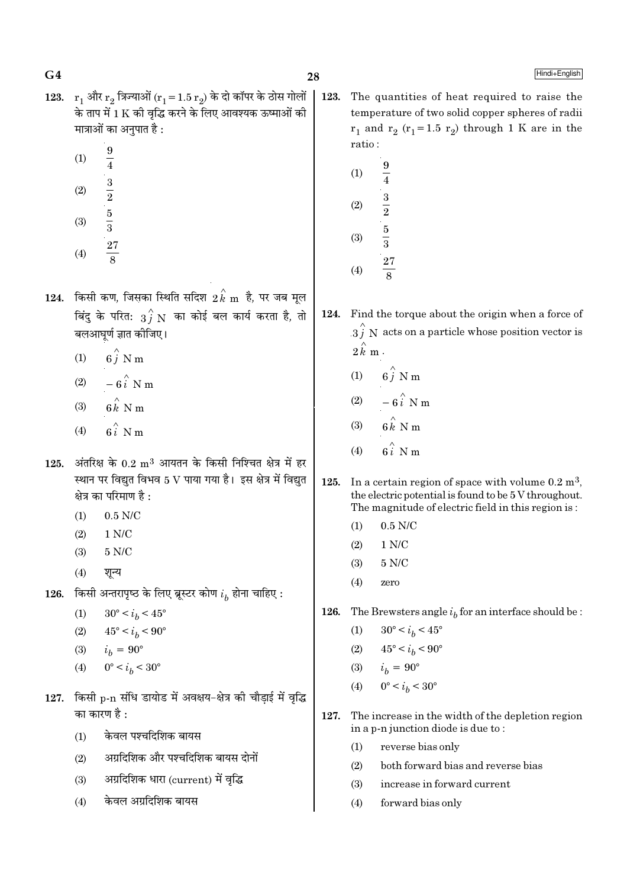- 123.  $r_1$  और  $r_2$  त्रिज्याओं  $(r_1 = 1.5 r_2)$  के दो कॉपर के ठोस गोलों के ताप में 1 K की वद्धि करने के लिए आवश्यक ऊष्माओं की मात्राओं का अनुपात है :
	- 9  $(1)$  $\overline{4}$  $\frac{3}{2}$ <br> $\frac{5}{3}$  $(2)$  $(3)$
	- $\frac{27}{8}$  $(4)$
- $124.$  किसी कण, जिसका स्थिति सदिश  $2 \, \overset{\wedge}{k} \, \text{m}$  है, पर जब मूल बिंदु के परित:  $\overrightarrow{3j}$  N का कोई बल कार्य करता है, तो बलआघूर्ण ज्ञात कीजिए।
	- $6\hat{i}$  N m  $(1)$
	- $-6\hat{i}$  N m  $(2)$
	- $6k$  N m  $(3)$
	- $(4)$
- 125. अंतरिक्ष के  $0.2 \text{ m}^3$  आयतन के किसी निश्चित क्षेत्र में हर स्थान पर विद्युत विभव 5 V पाया गया है। इस क्षेत्र में विद्युत क्षेत्र का परिमाण है :
	- $0.5$  N/C  $(1)$
	- $(2)$  $1 N/C$
	- $5 N/C$  $(3)$
	- $(4)$ शून्य
- 126. किसी अन्तरापृष्ठ के लिए ब्रूस्टर कोण  $i_h$  होना चाहिए :
	- $(1)$  $30^{\circ} < i_h < 45^{\circ}$
	- $(2)$  $45^{\circ} < i_h < 90^{\circ}$
	- $i_h = 90^\circ$  $(3)$
	- $0^{\circ} < i_h < 30^{\circ}$  $(4)$
- 127. किसी p-n संधि डायोड में अवक्षय-क्षेत्र की चौडाई में वृद्धि का कारण है :
	- केवल पश्चदिशिक बायस  $(1)$
	- अग्रदिशिक और पश्चदिशिक बायस दोनों  $(2)$
	- अग्रदिशिक धारा (current) में वृद्धि  $(3)$
	- केवल अग्रदिशिक बायस  $(4)$
- 123. The quantities of heat required to raise the temperature of two solid copper spheres of radii  $r_1$  and  $r_2$  ( $r_1$ =1.5  $r_2$ ) through 1 K are in the ratio:
	- 9  $(1)$  $\overline{4}$  $(2)$  $\frac{1}{2}$  $\frac{5}{3}$  $(3)$  $\overline{27}$  $(4)$
- 124. Find the torque about the origin when a force of  $3i$  N acts on a particle whose position vector is  $2k \text{ m}$ .
	- $6\stackrel{\frown}{i}$  N m  $(1)$
	- $(2)$  $-6\hat{i}$  N m
	- $(3)$
	- $(4)$
- $125.$ In a certain region of space with volume  $0.2 \text{ m}^3$ . the electric potential is found to be 5 V throughout. The magnitude of electric field in this region is:
	- $(1)$  $0.5$  N/C
	- $(2)$  $1 N/C$
	- $5 N/C$  $(3)$
	- $(4)$ zero
- 126. The Brewsters angle  $i_b$  for an interface should be :
	- $30^{\circ} < i_b < 45^{\circ}$  $(1)$
	- $(2)$  $45^{\circ} < i_h < 90^{\circ}$
	- $i_h = 90^{\circ}$  $(3)$
	- $0^{\circ} < i_b < 30^{\circ}$  $(4)$
- 127. The increase in the width of the depletion region in a p-n junction diode is due to:
	- $(1)$ reverse bias only
	- $(2)$ both forward bias and reverse bias
	- increase in forward current  $(3)$
	- $(4)$ forward bias only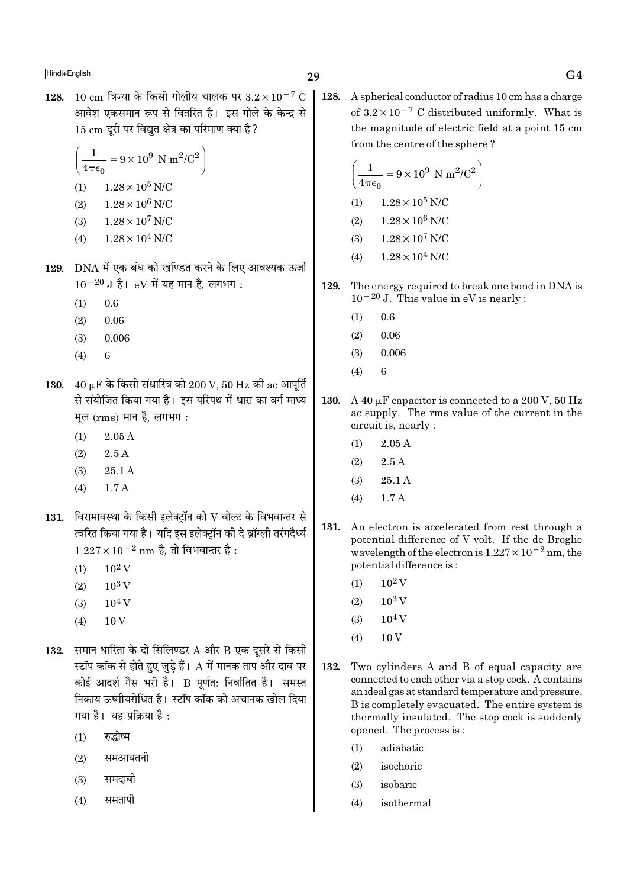128. 10 cm त्रिज्या के किसी गोलीय चालक पर  $3.2 \times 10^{-7}$  C | 128. आवेश एकसमान रूप से वितरित है। इस गोले के केन्द्र से 15 cm दूरी पर विद्युत क्षेत्र का परिमाण क्या है ?

$$
\left(\frac{1}{4\pi\epsilon_0} = 9 \times 10^9 \text{ N m}^2/\text{C}^2\right)
$$
  
(1) 1.28 × 10<sup>5</sup> N/C  
(2) 1.28 × 10<sup>6</sup> N/C

- $1.28 \times 10^7$  N/C  $(3)$
- $1.28 \times 10^4$  N/C  $(4)$
- 129. DNA में एक बंध को खण्डित करने के लिए आवश्यक ऊर्जा  $10^{-20}$  J है। eV में यह मान है. लगभग:
	- $0.6$  $(1)$
	- $(2)$  $0.06$
	- $(3)$ 0.006
	- $(4)$  $\mathbf{6}$
- 130.  $40 \mu$ F के किसी संधारित्र को 200 V, 50 Hz की ac आपूर्ति से संयोजित किया गया है। इस परिपथ में धारा का वर्ग माध्य मूल (rms) मान है, लगभग:
	- $2.05A$  $(1)$
	- $(2)$  $2.5A$
	- $(3)$  $25.1A$
	- $1.7A$  $(4)$
- $131.$  विरामावस्था के किसी इलेक्टॉन को  $\rm V$  वोल्ट के विभवान्तर से त्वरित किया गया है। यदि इस इलेक्ट्रॉन की दे ब्रॉग्ली तरंगदैर्ध्य  $1.227 \times 10^{-2}$  nm है. तो विभवान्तर है :
	- $10^2$  V  $(1)$
	- $10^3$  V  $(2)$
	- $10<sup>4</sup>$  V  $(3)$
	- $(4)$  $10V$
- 132. समान धारिता के दो सिलिण्डर  $A$  और  $B$  एक दूसरे से किसी स्टॉप कॉक से होते हुए जुडे हैं।  ${\rm A}$  में मानक ताप और दाब पर कोई आदर्श गैस भरी है। B पूर्णत: निर्वातित है। समस्त निकाय ऊष्मीयरोधित है। स्टॉप कॉक को अचानक खोल दिया गया है। यह प्रक्रिया है:
	- रुद्धोष्म  $(1)$
	- समआयतनी  $(2)$
	- समदाबी  $(3)$
	- समतापी  $(4)$

A spherical conductor of radius 10 cm has a charge of  $3.2 \times 10^{-7}$  C distributed uniformly. What is the magnitude of electric field at a point 15 cm from the centre of the sphere?

$$
\left(\frac{1}{4\pi\epsilon_0} = 9 \times 10^9 \text{ N m}^2/\text{C}^2\right)
$$
  
(1) 1.28×10<sup>5</sup> N/C

- $1.28 \times 10^6$  N/C  $(2)$
- $1.28 \times 10^7$  N/C  $(3)$
- $1.28 \times 10^4$  N/C  $(4)$
- 129. The energy required to break one bond in DNA is  $10^{-20}$  J. This value in eV is nearly :
	- $(1)$ 0.6
	- $0.06$  $(2)$
	- $0.006$  $(3)$  $\mathbf{6}$
	- $(4)$
- 130. A 40  $\mu$ F capacitor is connected to a 200 V, 50 Hz ac supply. The rms value of the current in the circuit is, nearly :
	- $2.05A$  $(1)$
	- $(2)$  $2.5A$
	- $25.1A$  $(3)$
	- $17A$  $(4)$
- 131. An electron is accelerated from rest through a potential difference of V volt. If the de Broglie wavelength of the electron is  $1.227 \times 10^{-2}$  nm, the potential difference is:
	- $10^2\,\mathrm{V}$  $(1)$
	- $(2)$  $10^3$  V
	- $10<sup>4</sup>$  V  $(3)$
	- $10V$  $(4)$
- 132. Two cylinders A and B of equal capacity are connected to each other via a stop cock. A contains an ideal gas at standard temperature and pressure. B is completely evacuated. The entire system is thermally insulated. The stop cock is suddenly opened. The process is:
	- adiabatic  $(1)$
	- $(2)$ isochoric
	- $(3)$ isobaric
	- $(4)$ isothermal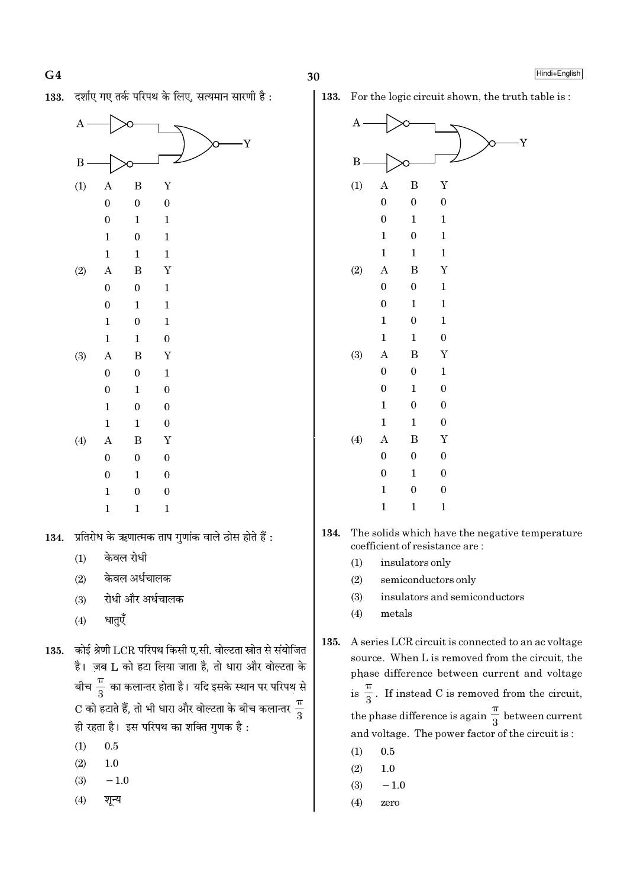$G<sub>4</sub>$ 





- केवल रोधी  $(1)$
- केवल अर्धचालक  $(2)$
- रोधी और अर्धचालक  $(3)$
- धातुएँ  $(4)$

कोई श्रेणी LCR परिपथ किसी ए.सी. वोल्टता स्रोत से संयोजित 135. है। जब L को हटा लिया जाता है, तो धारा और वोल्टता के बीच $\frac{\pi}{3}$  का कलान्तर होता है। यदि इसके स्थान पर परिपथ से C को हटाते हैं, तो भी धारा और वोल्टता के बीच कलान्तर  $\frac{\pi}{3}$ ही रहता है। इस परिपथ का शक्ति गुणक है :

- $(1)$  $0.5$
- $(2)$  $1.0$
- $-1.0$  $(3)$
- $(4)$ शून्य

133. For the logic circuit shown, the truth table is:



- 134. The solids which have the negative temperature coefficient of resistance are:
	- $(1)$ insulators only
	- $(2)$ semiconductors only
	- insulators and semiconductors  $(3)$
	- $(4)$ metals

135. A series LCR circuit is connected to an ac voltage source. When L is removed from the circuit, the phase difference between current and voltage is  $\frac{\pi}{3}$ . If instead C is removed from the circuit, the phase difference is again  $\frac{\pi}{3}$  between current and voltage. The power factor of the circuit is:

- $0.5$  $(1)$
- $(2)$  $1.0$
- $(3)$  $-1.0$
- $(4)$ zero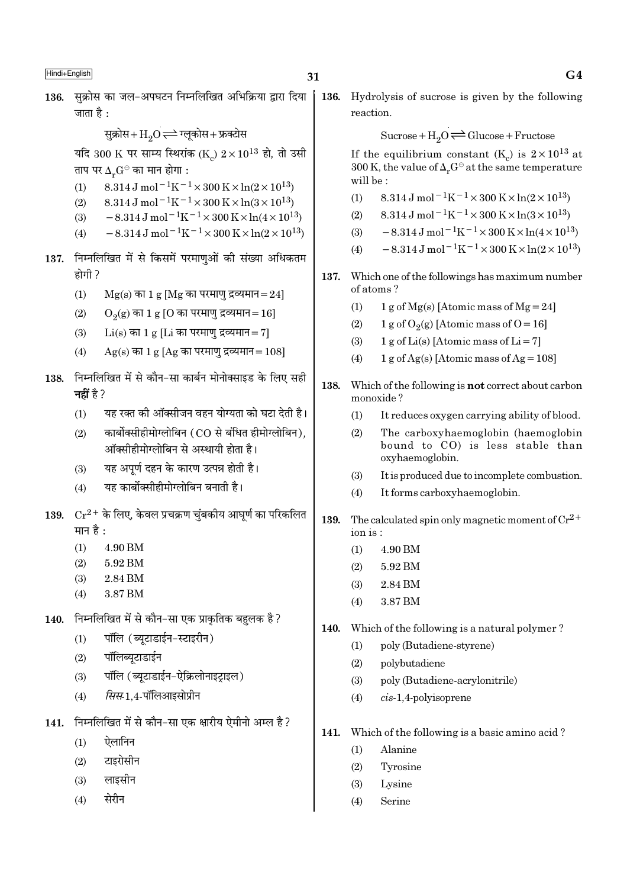सुक्रोस+ $H_2O \rightleftharpoons H_2O$ स्येस यदि 300 K पर साम्य स्थिरांक (K)  $2 \times 10^{13}$  हो, तो उसी ताप पर  $\Delta_r G^{\ominus}$  का मान होगा :

- 8.314 J mol<sup>-1</sup>K<sup>-1</sup> × 300 K × ln(2 × 10<sup>13</sup>)  $(1)$
- 8.314 J mol<sup>-1</sup>K<sup>-1</sup> × 300 K × ln(3 × 10<sup>13</sup>)  $(2)$
- $-8.314 \,\mathrm{J} \,\mathrm{mol}^{-1} \mathrm{K}^{-1} \times 300 \,\mathrm{K} \times \ln(4 \times 10^{13})$  $(3)$
- $-8.314 \,\mathrm{J}$  mol<sup>-1</sup>K<sup>-1</sup>×300 K×ln(2×10<sup>13</sup>)  $(4)$
- 137. निम्नलिखित में से किसमें परमाणओं की संख्या अधिकतम होगी ?
	- $(1)$  $Mg(s)$  का 1 g [Mg का परमाणु द्रव्यमान=24]
	- $(2)$  $O<sub>2</sub>(g)$  का 1 g [O का परमाणु द्रव्यमान = 16]
	- $Li(s)$  का 1 g [Li का परमाण द्रव्यमान = 7]  $(3)$
	- $Ag(s)$  का 1 g [Ag का परमाणु द्रव्यमान=108]  $(4)$
- 138. निम्नलिखित में से कौन-सा कार्बन मोनोक्साइड के लिए सही नहीं है  $>$ 
	- यह रक्त की ऑक्सीजन वहन योग्यता को घटा देती है।  $(1)$
	- कार्बोक्सीहीमोग्लोबिन (CO से बंधित हीमोग्लोबिन),  $(2)$ ऑक्सीहीमोग्लोबिन से अस्थायी होता है।
	- यह अपर्ण दहन के कारण उत्पन्न होती है।  $(3)$
	- यह कार्बोक्सीहीमोग्लोबिन बनाती है।  $(4)$
- 139.  $Cr^{2+}$  के लिए, केवल प्रचक्रण चुंबकीय आघुर्ण का परिकलित मान है :
	- $(1)$ 4.90 BM
	- 5.92 BM  $(2)$
	- 2.84 BM  $(3)$
	- 3.87 BM  $(4)$
- 140. निम्नलिखित में से कौन-सा एक प्राकतिक बहलक है ?
	- पॉलि (ब्यूटाडाईन-स्टाइरीन)  $(1)$
	- पॉलिब्युटाडाईन  $(2)$
	- पॉलि (ब्युटाडाईन-ऐक्रिलोनाइटाइल)  $(3)$
	- सिस 1.4-पॉलिआइसोप्रीन  $(4)$
- 141. निम्नलिखित में से कौन-सा एक क्षारीय ऐमीनो अम्ल है ?
	- ऐलानिन  $(1)$
	- टाइरोसीन  $(2)$
	- लाइसीन  $(3)$
	- सेरीन  $(4)$

136. Hydrolysis of sucrose is given by the following reaction.

Sucrose +  $H_2O \rightleftharpoons Glucose + Fructose$ 

If the equilibrium constant  $(K_c)$  is  $2 \times 10^{13}$  at 300 K, the value of  $\Delta_{n}G^{\ominus}$  at the same temperature will be:

- 8.314 J mol<sup>-1</sup>K<sup>-1</sup> × 300 K × ln(2 × 10<sup>13</sup>)  $(1)$
- $8.314\,\mathrm{J} \, \mathrm{mol}^{-1} \mathrm{K}^{-1} \times 300\,\mathrm{K} \! \times \ln(3\!\times\!10^{13})$  $(2)$
- $\, 8.314 \, \mathrm{J} \, \mathrm{mol}^{-\, 1} \mathrm{K}^{-\, 1} \times 300 \, \mathrm{K} \! \times \! \ln (4 \times 10^{13})$  $(3)$
- $-8.314 \,\mathrm{J}$  mol<sup>-1</sup>K<sup>-1</sup>×300 K×ln(2×10<sup>13</sup>)  $(4)$
- 137. Which one of the followings has maximum number of atoms?
	- $1 g$  of Mg(s) [Atomic mass of Mg = 24]  $(1)$
	- $(2)$ 1 g of  $O_2(g)$  [Atomic mass of  $O = 16$ ]
	- $1 g$  of Li(s) [Atomic mass of Li = 7]  $(3)$
	- 1 g of Ag(s) [Atomic mass of Ag =  $108$ ]  $(4)$
- 138. Which of the following is **not** correct about carbon monoxide?
	- It reduces oxygen carrying ability of blood.  $(1)$
	- The carboxyhaemoglobin (haemoglobin  $(2)$ bound to CO) is less stable than oxyhaemoglobin.
	- It is produced due to incomplete combustion.  $(3)$
	- $(4)$ It forms carboxyhaemoglobin.
- 139. The calculated spin only magnetic moment of  $Cr^{2+}$  $ion is:$ 
	- $(1)$ 4.90 BM
	- $(2)$ 5.92 BM
	- 2.84 BM  $(3)$
	- 3.87 BM  $(4)$
- 140. Which of the following is a natural polymer?
	- poly (Butadiene-styrene)  $(1)$
	- $(2)$ polybutadiene
	- $(3)$ poly (Butadiene-acrylonitrile)
	- $cis-1,4$ -polyisoprene  $(4)$
- 141. Which of the following is a basic amino acid?
	- Alanine  $(1)$
	- $(2)$ Tyrosine
	- Lysine  $(3)$
	- Serine  $(4)$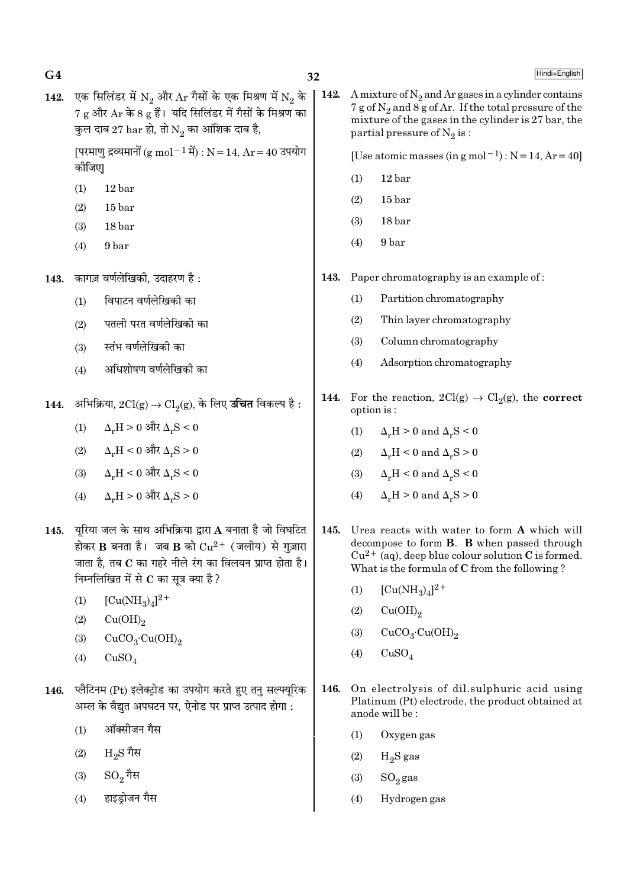| G <sub>4</sub> |                                                                                                                                                                                                                                                                                        | 32   | Hindi+English                                                                                                                                                                                                                     |  |
|----------------|----------------------------------------------------------------------------------------------------------------------------------------------------------------------------------------------------------------------------------------------------------------------------------------|------|-----------------------------------------------------------------------------------------------------------------------------------------------------------------------------------------------------------------------------------|--|
| 142.           | एक सिलिंडर में $N_2$ और $Ar$ गैसों के एक मिश्रण में $N_2$ के<br>$7 g$ और $Ar$ के 8 $g$ हैं। यदि सिलिंडर में गैसों के मिश्रण का<br>कुल दाब 27 bar हो, तो $\mathrm{N}_2$ का आंशिक दाब है,<br>[परमाणु द्रव्यमानों (g mol <sup>-1</sup> में) : N = 14, Ar = 40 उपयोग<br>कीजिए              |      | A mixture of $N_2$ and Ar gases in a cylinder contains<br>$7 g$ of $N_2$ and 8 g of Ar. If the total pressure of the<br>mixture of the gases in the cylinder is 27 bar, the<br>partial pressure of $N_2$ is:                      |  |
|                |                                                                                                                                                                                                                                                                                        |      | [Use atomic masses (in $g$ mol <sup>-1</sup> ) : $N = 14$ , $Ar = 40$ ]                                                                                                                                                           |  |
|                | 12 <sub>bar</sub><br>(1)                                                                                                                                                                                                                                                               |      | (1)<br>12 bar                                                                                                                                                                                                                     |  |
|                | 15 bar<br>(2)                                                                                                                                                                                                                                                                          |      | 15 <sub>bar</sub><br>(2)                                                                                                                                                                                                          |  |
|                | 18 bar<br>(3)                                                                                                                                                                                                                                                                          |      | 18 bar<br>(3)                                                                                                                                                                                                                     |  |
|                | (4)<br>9 bar                                                                                                                                                                                                                                                                           |      | (4)<br>9 bar                                                                                                                                                                                                                      |  |
| 143.           | कागज़ वर्णलेखिकी, उदाहरण है :                                                                                                                                                                                                                                                          | 143. | Paper chromatography is an example of:                                                                                                                                                                                            |  |
|                | विपाटन वर्णलेखिकी का<br>(1)                                                                                                                                                                                                                                                            |      | (1)<br>Partition chromatography                                                                                                                                                                                                   |  |
|                | पतली परत वर्णलेखिकी का<br>(2)                                                                                                                                                                                                                                                          |      | (2)<br>Thin layer chromatography                                                                                                                                                                                                  |  |
|                | स्तंभ वर्णलेखिकी का<br>(3)                                                                                                                                                                                                                                                             |      | Column chromatography<br>(3)                                                                                                                                                                                                      |  |
|                | अधिशोषण वर्णलेखिकी का<br>(4)                                                                                                                                                                                                                                                           |      | (4)<br>Adsorption chromatography                                                                                                                                                                                                  |  |
| 144.           | अभिक्रिया, $2Cl(g) \rightarrow Cl_2(g)$ , के लिए <b>उचित</b> विकल्प है :                                                                                                                                                                                                               |      | For the reaction, $2Cl(g) \rightarrow Cl_2(g)$ , the <b>correct</b><br>option is:                                                                                                                                                 |  |
|                | $\Delta_r H > 0$ और $\Delta_r S < 0$<br>(1)                                                                                                                                                                                                                                            |      | $\Delta_r H > 0$ and $\Delta_r S < 0$<br>(1)                                                                                                                                                                                      |  |
|                | $\Delta_r H < 0$ और $\Delta_r S > 0$<br>(2)                                                                                                                                                                                                                                            |      | $\Delta_r H < 0$ and $\Delta_r S > 0$<br>(2)                                                                                                                                                                                      |  |
|                | $\Delta_r H < 0$ और $\Delta_r S < 0$<br>(3)                                                                                                                                                                                                                                            |      | $\Delta_r H < 0$ and $\Delta_r S < 0$<br>(3)                                                                                                                                                                                      |  |
|                | $\Delta_r H > 0$ और $\Delta_r S > 0$<br>(4)                                                                                                                                                                                                                                            |      | $\Delta_r H > 0$ and $\Delta_r S > 0$<br>(4)                                                                                                                                                                                      |  |
|                | 145. यूरिया जल के साथ अभिक्रिया द्वारा A बनाता है जो विघटित<br>होकर B बनता है। जब B को $Cu^{2+}$ (जलीय) से गुज़ारा<br>जाता है, तब C का गहरे नीले रंग का विलयन प्राप्त होता है।<br>निम्नलिखित में से $C$ का सूत्र क्या है ?<br>$[Cu(NH_3)_4]^{2+}$<br>(1)<br>Cu(OH) <sub>2</sub><br>(2) |      | Urea reacts with water to form A which will<br>decompose to form B. B when passed through<br>$Cu^{2+}$ (aq), deep blue colour solution C is formed.<br>What is the formula of C from the following?<br>$[Cu(NH_3)_4]^{2+}$<br>(1) |  |
|                |                                                                                                                                                                                                                                                                                        |      | Cu(OH) <sub>2</sub><br>(2)                                                                                                                                                                                                        |  |
|                | CuCO <sub>3</sub> ·Cu(OH) <sub>2</sub><br>(3)                                                                                                                                                                                                                                          |      | CuCO <sub>3</sub> ·Cu(OH) <sub>2</sub><br>(3)                                                                                                                                                                                     |  |
|                | CuSO <sub>4</sub><br>(4)                                                                                                                                                                                                                                                               |      | CuSO <sub>4</sub><br>(4)                                                                                                                                                                                                          |  |
| 146.           | प्लैटिनम (Pt) इलेक्ट्रोड का उपयोग करते हुए तनु सल्फ्यूरिक<br>अम्ल के वैद्युत अपघटन पर, ऐनोड पर प्राप्त उत्पाद होगा :                                                                                                                                                                   | 146. | On electrolysis of dil.sulphuric acid using<br>Platinum (Pt) electrode, the product obtained at<br>anode will be:                                                                                                                 |  |

Oxygen gas

 $\rm H_2S$ gas

 $\mathrm{SO}_2\mathrm{gas}$ 

Hydrogen gas

 $(1)$ 

 $(2)$ 

 $(3)$ 

 $\left( 4\right)$ 

- ऑक्सीजन गैस  $(1)$
- $\rm H_2S$ गैस  $(2)$
- $\mathrm{SO}_2$ गैस  $(3)$
- हाइड्रोजन गैस  $(4)$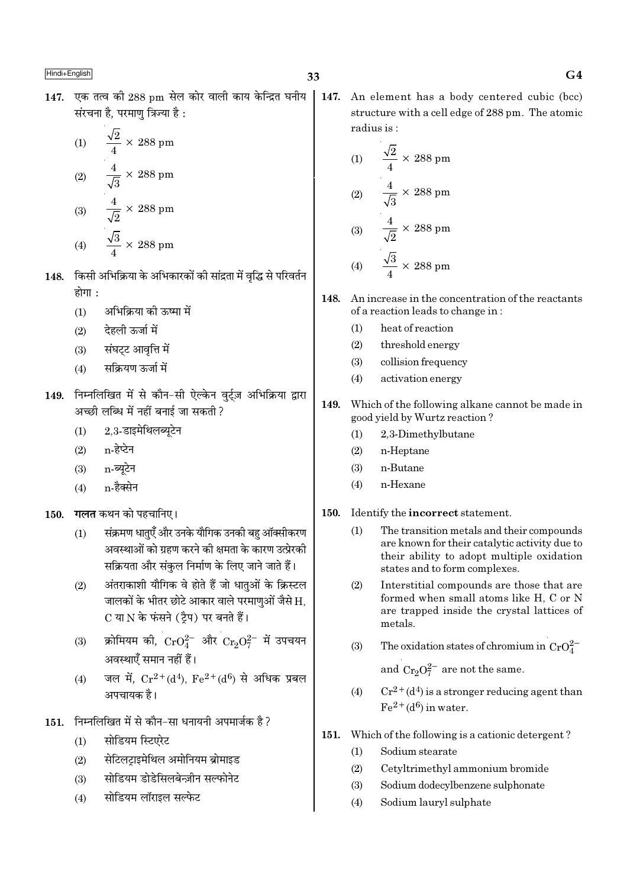147. एक तत्व की 288 pm सेल कोर वाली काय केन्द्रित घनीय संरचना है. परमाण त्रिज्या है :

(1) 
$$
\frac{\sqrt{2}}{4} \times 288 \text{ pm}
$$
  
(2) 
$$
\frac{4}{\sqrt{3}} \times 288 \text{ pm}
$$
  
(3) 
$$
\frac{4}{\sqrt{2}} \times 288 \text{ pm}
$$
  
(4) 
$$
\frac{\sqrt{3}}{4} \times 288 \text{ pm}
$$

- 148. किसी अभिक्रिया के अभिकारकों की सांद्रता में वृद्धि से परिवर्तन होगा :
	- अभिक्रिया को ऊष्मा में  $(1)$
	- देहली ऊर्जा में  $(2)$
	- संघट्ट आवृत्ति में  $(3)$
	- सक्रियण ऊर्जा में  $(4)$
- 149. निम्नलिखित में से कौन-सी ऐल्केन वुर्ट्ज़ अभिक्रिया द्वारा अच्छी लब्धि में नहीं बनाई जा सकती ?
	- 2,3-डाइमेथिलब्यूटेन  $(1)$
	- n-हेप्टेन  $(2)$
	- n-ब्यूटेन  $(3)$
	- n-हैक्सेन  $(4)$
- **गलत** कथन को पहचानिए।  $150.$ 
	- संक्रमण धातएँ और उनके यौगिक उनकी बहु ऑक्सीकरण  $(1)$ अवस्थाओं को ग्रहण करने की क्षमता के कारण उत्प्रेरकी सक्रियता और संकुल निर्माण के लिए जाने जाते हैं।
	- अंतराकाशी यौगिक वे होते हैं जो धातुओं के क्रिस्टल  $(2)$ जालकों के भीतर छोटे आकार वाले परमाणुओं जैसे H, C या N के फंसने (टैप) पर बनते हैं।
	- क्रोमियम की,  $CrO_4^{2-}$  और  $Cr_2O_7^{2-}$  में उपचयन  $(3)$ अवस्थाएँ समान नहीं हैं।
	- जल में,  $Cr^{2+}(d^4)$ ,  $Fe^{2+}(d^6)$  से अधिक प्रबल  $(4)$ अपचायक है।
- 151. निम्नलिखित में से कौन-सा धनायनी अपमार्जक है ?
	- सोडियम स्टिएरेट  $(1)$
	- सेटिलटाइमेथिल अमोनियम ब्रोमाइड  $(2)$
	- सोडियम डोडेसिलबेन्ज़ीन सल्फोनेट  $(3)$
	- सोडियम लॉराइल सल्फेट  $(4)$

147. An element has a body centered cubic (bcc) structure with a cell edge of 288 pm. The atomic radius is:

(1) 
$$
\frac{\sqrt{2}}{4} \times 288 \text{ pm}
$$
  
(2) 
$$
\frac{4}{\sqrt{3}} \times 288 \text{ pm}
$$
  
(3) 
$$
\frac{4}{\sqrt{2}} \times 288 \text{ pm}
$$
  
(4) 
$$
\frac{\sqrt{3}}{2} \times 288 \text{ nm}
$$

- 148. An increase in the concentration of the reactants of a reaction leads to change in:
	- $(1)$ heat of reaction
	- $(2)$ threshold energy
	- $(3)$ collision frequency
	- activation energy  $(4)$
- 149. Which of the following alkane cannot be made in good yield by Wurtz reaction?
	- 2.3-Dimethylbutane  $(1)$
	- n-Heptane  $(2)$
	- $(3)$ n-Butane
	- n-Hexane  $(4)$
- Identify the **incorrect** statement. 150.
	- $(1)$ The transition metals and their compounds are known for their catalytic activity due to their ability to adopt multiple oxidation states and to form complexes.
	- $(2)$ Interstitial compounds are those that are formed when small atoms like H. C or N are trapped inside the crystal lattices of metals.
	- The oxidation states of chromium in  $CrO_4^{2-}$  $(3)$

and  $Cr_2O_7^{2-}$  are not the same.

- $Cr^{2+}(d^4)$  is a stronger reducing agent than  $(4)$  $Fe<sup>2+</sup>(d<sup>6</sup>)$  in water.
- 151. Which of the following is a cationic detergent?
	- $(1)$ Sodium stearate
	- $(2)$ Cetyltrimethyl ammonium bromide
	- $(3)$ Sodium dodecylbenzene sulphonate
	- $(4)$ Sodium lauryl sulphate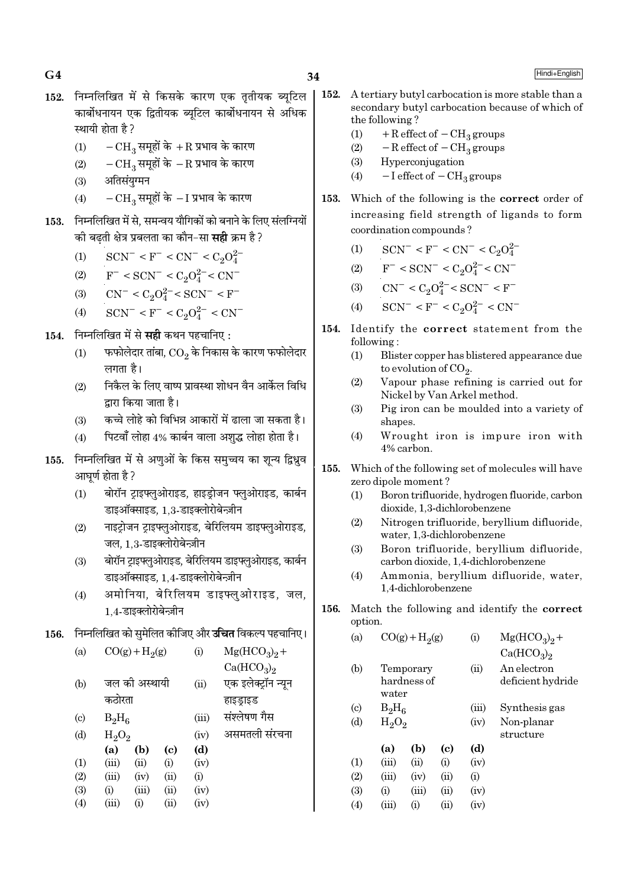- 152. निम्नलिखित में से किसके कारण एक ततीयक ब्यटिल ्कार्बोधनायन एक द्वितीयक ब्यटिल कार्बोधनायन से अधिक स्थायी होता है ?
	- (1)  $-CH_3$  समूहों के +R प्रभाव के कारण
	- (2)  $-CH_3$  समूहों के −R प्रभाव के कारण
	- $(3)$  अंतिसंयग्मन
	- $(4)$  −  $CH<sub>3</sub>$  समूहों के − I प्रभाव के कारण
- 153. निम्नलिखित में से, समन्वय यौगिकों को बनाने के लिए संलग्नियों \_<br>को बढती क्षेत्र प्रबलता का कौन−सा **सही** क्रम है ?
	- (1)  $\text{SCN}^- \leq F^- \leq \text{CN}^- \leq C_2 O_4^{2-}$
	- (2)  $F^-$  < SCN<sup>-</sup> < C<sub>2</sub>O<sup>2</sup><sup>-</sup> < CN<sup>-</sup>
	- (3)  $CN^- < C_2O_4^{2-} < SCN^- < F^-$
	- (4)  $\text{SCN}^-$  < F<sup>-</sup> < C<sub>2</sub>O<sub>4</sub><sup>2</sup><sup>-</sup> < CN<sup>-</sup>
- 154. निम्नलिखित में से सही कथन पहचानिए :
	- $\left( 1\right)$   $\equiv$  फफोलेदार तांबा,  $\overline{\text{CO}_{2}}$  के निकास के कारण फफोलेदार लगता है।
	- (2) निकैल के लिए वाष्प प्रावस्था शोधन वैन आर्केल विधि द्वारा किया जाता है।
	- (3) ∑ कच्चे लोहे को विभिन्न आकारों में ढाला जा सकता है।
	- $(4)$  पिटवाँ लोहा 4% कार्बन वाला अशुद्ध लोहा होता है।
- 155. निम्नलिखित में से अणुओं के किस समुच्चय का शून्य द्विध्नुव आघूर्ण होता है ?
	- (1) बोरॉन ट्राइफ्लुओराइड, हाइड़ोजन फ्लूओराइड, कार्बन डाइऑक्साइड, 1,3-डाइक्लोरोबेन्ज़ीन
	- (2) नाइट्रोजन ट्राइफ्लुओराइड, बेरिलियम डाइफ्लुओराइड, जल. 1.3-डाइक्लोरोबेन्ज़ीन
	- (3) बोरॉन ट्राइफ्लूओराइड, बेरिलियम डाइफ्लूओराइड, कार्बन डाइऑक्साइड, 1,4-डाइक्लोरोबेन्ज़ीन
	- (4) अमोनिया, बेरिलियम डाइफ्लुओराइड, जल, 1.4-डाइक्लोरोबेन्ज़ीन
- 156. निम्नलिखित को सुमेलित कीजिए और **उचित** विकल्प पहचानिए।

| (a)                       |          | $CO(g) + H2(g)$ |      | (i)   | $Mg(HCO3)2 +$                      |
|---------------------------|----------|-----------------|------|-------|------------------------------------|
|                           |          |                 |      |       | Ca(HCO <sub>3</sub> ) <sub>2</sub> |
| (b)                       |          | जल की अस्थायी   |      | (ii)  | एक इलेक्ट्रॉन न्यून                |
|                           | कठोरता   |                 |      |       | हाइड्राइड                          |
| $\left( \text{c} \right)$ | $B_2H_6$ |                 |      | (iii) | संश्लेषण गैस                       |
| (d)                       | $H_2O_2$ |                 |      | (iv)  | असमतली संरचना                      |
|                           | (a)      | (b)             | (c)  | (d)   |                                    |
| (1)                       | (iii)    | (ii)            | (i)  | (iv)  |                                    |
| (2)                       | (iii)    | (iv)            | (ii) | (i)   |                                    |
| (3)                       | (i)      | (iii)           | (ii) | (iv)  |                                    |
| (4)                       | (iii)    | (i)             | (ii) | (iv)  |                                    |

- 152. A tertiary butyl carbocation is more stable than a secondary butyl carbocation because of which of the following ?
	- (1) + R effect of  $-CH_3$  groups
	- (2)  $-$  R effect of  $-$  CH<sub>3</sub> groups
	- (3) Hyperconjugation
	- (4)  $-I$  effect of  $-CH_3$  groups
- 153. Which of the following is the correct order of increasing field strength of ligands to form coordination compounds ?
	- (1)  $\text{SCN}^-$  < F<sup>-</sup> < CN<sup>-</sup> < C<sub>2</sub>O<sub>4</sub><sup>2</sup>-
	- (2)  $F^- < \text{SCN}^- < C_2 O_4^{2-} < \text{CN}^-$
	- (3)  $CN^- < C_2O_4^{2-} < SCN^- < F^-$
	- (4)  $\text{SCN}^-$  < F<sup>-</sup> < C<sub>2</sub>O<sup>2-</sup> < CN<sup>-</sup>
- 154. Identify the correct statement from the following :
	- (1) Blister copper has blistered appearance due to evolution of  $\mathrm{CO}_2$ .
	- (2) Vapour phase refining is carried out for Nickel by Van Arkel method.
	- (3) Pig iron can be moulded into a variety of shapes.
	- (4) Wrought iron is impure iron with 4% carbon.
- 155. Which of the following set of molecules will have zero dipole moment ?
	- (1) Boron trifluoride, hydrogen fluoride, carbon dioxide, 1,3-dichlorobenzene
	- (2) Nitrogen trifluoride, beryllium difluoride, water, 1,3-dichlorobenzene
	- (3) Boron trifluoride, beryllium difluoride, carbon dioxide, 1,4-dichlorobenzene
	- (4) Ammonia, beryllium difluoride, water, 1,4-dichlorobenzene
- 156. Match the following and identify the correct option.

 $(\alpha)$   $CO(\alpha)$   $H_2(\alpha)$ 

| (a)                      | $CO(g) + H2(g)$          |                        |            | $\rm(i)$ | $Mg(HCO3)2 +$                      |
|--------------------------|--------------------------|------------------------|------------|----------|------------------------------------|
|                          |                          |                        |            |          | Ca(HCO <sub>3</sub> ) <sub>2</sub> |
| (b)                      | Temporary<br>hardness of |                        |            | (ii)     | An electron                        |
|                          | water                    |                        |            |          | deficient hydride                  |
| $\left( \text{c}\right)$ | $B_2H_6$                 |                        |            | (iii)    | Synthesis gas                      |
| (d)                      | $H_2O_2$                 |                        |            | (iv)     | Non-planar<br>structure            |
|                          | (a)                      | (b)                    | (c)        | (d)      |                                    |
| $\left(1\right)$         | (iii)                    | (ii)                   | (i)        | (iv)     |                                    |
| (2)                      | (iii)                    | (iv)                   | (ii)       | (i)      |                                    |
| (3)                      | (i)                      | (iii)                  | (ii)       | (iv)     |                                    |
| (4)                      | (iii)                    | $\rm \scriptstyle (i)$ | $\rm (ii)$ | (iv)     |                                    |
|                          |                          |                        |            |          |                                    |

 $G4$  Hindi+English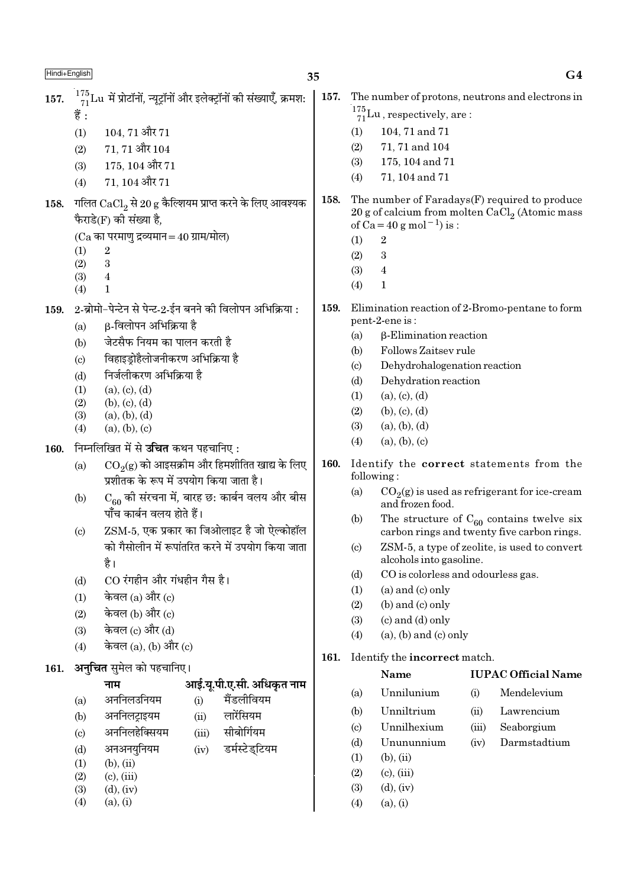$G4$ 

| 157.<br>158. | $^{175}_{71}$ Lu में प्रोटॉनों, न्यूट्रॉनों और इलेक्ट्रॉनों की संख्याएँ, क्रमश:<br>हैं :<br>$104, 71$ और $71$<br>(1)<br>$71, 71$ और $104$<br>(2)<br>$175, 104$ और $71$<br>(3)<br>$71, 104$ और $71$<br>(4)<br>गलित $CaCl2$ से 20 g कैल्शियम प्राप्त करने के लिए आवश्यक<br>फैराडे(F) की संख्या है,<br>$(Ca$ का परमाणु द्रव्यमान = 40 ग्राम/मोल)<br>(1)<br>$\sqrt{2}$<br>$\sqrt{3}$<br>(2)<br>$\boldsymbol{4}$<br>(3)<br>$\mathbf{1}$<br>(4)                                                                        | 157.<br>158. | The number of protons, neutrons and electrons in<br>$\frac{175}{71}$ Lu, respectively, are:<br>104, 71 and 71<br>(1)<br>71, 71 and 104<br>(2)<br>175, 104 and 71<br>(3)<br>71, 104 and 71<br>(4)<br>The number of Faradays(F) required to produce<br>20 g of calcium from molten $CaCl2$ (Atomic mass<br>of $Ca = 40 g$ mol <sup>-1</sup> ) is :<br>(1)<br>$\boldsymbol{2}$<br>$\boldsymbol{3}$<br>(2)<br>$\overline{\mathbf{4}}$<br>(3)<br>$\mathbf{1}$<br>(4)                                                        |
|--------------|------------------------------------------------------------------------------------------------------------------------------------------------------------------------------------------------------------------------------------------------------------------------------------------------------------------------------------------------------------------------------------------------------------------------------------------------------------------------------------------------------------------|--------------|------------------------------------------------------------------------------------------------------------------------------------------------------------------------------------------------------------------------------------------------------------------------------------------------------------------------------------------------------------------------------------------------------------------------------------------------------------------------------------------------------------------------|
| 159.<br>160. | 2-ब्रोमो-पेन्टेन से पेन्ट-2-ईन बनने की विलोपन अभिक्रिया :<br>β-विलोपन अभिक्रिया है<br>(a)<br>जेटसैफ नियम का पालन करती है<br>(b)<br>विहाइड्रोहैलोजनीकरण अभिक्रिया है<br>$\left( \mathrm{c} \right)$<br>निर्जलीकरण अभिक्रिया है<br>(d)<br>(1)<br>(a), (c), (d)<br>(2)<br>(b), (c), (d)<br>(3)<br>(a), (b), (d)<br>(a), (b), (c)<br>(4)<br>निम्नलिखित में से <b>उचित</b> कथन पहचानिए :                                                                                                                              | 159.         | Elimination reaction of 2-Bromo-pentane to form<br>pent-2-ene is:<br>$\beta$ -Elimination reaction<br>(a)<br>Follows Zaitsev rule<br>(b)<br>Dehydrohalogenation reaction<br>$\left( \circ \right)$<br>Dehydration reaction<br>(d)<br>(a), (c), (d)<br>(1)<br>(b), (c), (d)<br>(2)<br>(3)<br>(a), (b), (d)<br>(a), (b), (c)<br>(4)                                                                                                                                                                                      |
|              | $\mathrm{CO}_2(\mathrm{g})$ को आइसक्रीम और हिमशीतित खाद्य के लिए<br>(a)<br>प्रशीतक के रूप में उपयोग किया जाता है।<br>$C_{60}$ की संरचना में, बारह छ: कार्बन वलय और बीस<br>(b)<br>पाँच कार्बन वलय होते हैं।<br>ZSM-5, एक प्रकार का जिओलाइट है जो ऐल्कोहॉल<br>$\left( \mathrm{c}\right)$<br>को गैसोलीन में रूपांतरित करने में उपयोग किया जाता<br>है।<br>CO रंगहीन और गंधहीन गैस है।<br>(d)<br>केवल $(a)$ और $(c)$<br>(1)<br>केवल (b) और (c)<br>(2)<br>केवल (c) और (d)<br>(3)<br>केवल $(a)$ , $(b)$ और $(c)$<br>(4) | <b>160.</b>  | Identify the correct statements from the<br>following:<br>$CO2(g)$ is used as refrigerant for ice-cream<br>(a)<br>and frozen food.<br>The structure of $C_{60}$ contains twelve six<br>(b)<br>carbon rings and twenty five carbon rings.<br>ZSM-5, a type of zeolite, is used to convert<br>$\left( \circ \right)$<br>alcohols into gasoline.<br>CO is colorless and odourless gas.<br>(d)<br>(a) and (c) only<br>(1)<br>(b) and (c) only<br>(2)<br>$(c)$ and $(d)$ only<br>(3)<br>$(a)$ , $(b)$ and $(c)$ only<br>(4) |
| 161.         | <b>अनुचित</b> सुमेल को पहचानिए।<br>आई.यू.पी.ए.सी. अधिकृत नाम<br>नाम<br>मैंडलीवियम<br>अननिलउनियम<br>(i)<br>(a)<br>लारेंसियम<br>अननिलट्राइयम<br>(b)<br>(ii)<br>अननिलहेक्सियम<br>सीबोर्गियम<br>(iii)<br>$\left( \mathrm{c}\right)$<br>अनअनयुनियम<br>डर्मस्टेडुटियम<br>(iv)<br>(d)<br>$(b)$ , $(ii)$<br>(1)<br>$(c)$ , $(iii)$<br>(2)<br>$(d)$ , $(iv)$<br>(3)<br>(a), (i)<br>(4)                                                                                                                                    | 161.         | Identify the incorrect match.<br>Name<br><b>IUPAC Official Name</b><br>Unnilunium<br>Mendelevium<br>(a)<br>(i)<br>Unniltrium<br>Lawrencium<br>(b)<br>(ii)<br>Unnilhexium<br>Seaborgium<br>$\left( \mathrm{c}\right)$<br>(iii)<br>Darmstadtium<br>Unununnium<br>(d)<br>(iv)<br>$(b)$ , $(ii)$<br>(1)<br>(2)<br>$(c)$ , $(iii)$<br>$(d)$ , $(iv)$<br>(3)<br>(a), (i)<br>(4)                                                                                                                                              |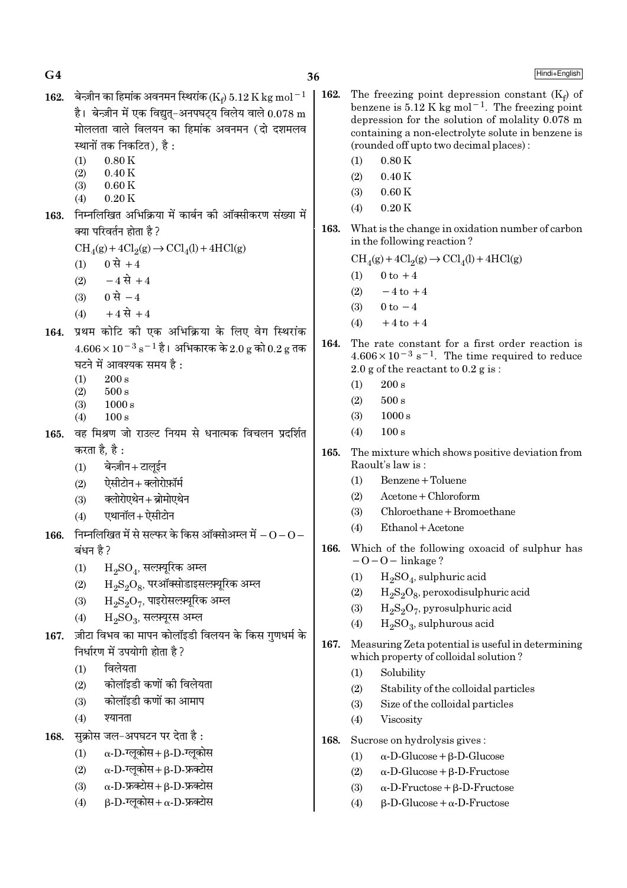$G<sub>4</sub>$ 

Hindi+English

- 162. बेन्ज़ीन का हिमांक अवनमन स्थिरांक (Ke) 5.12 K kg mol<sup>-1</sup> है। बेन्ज़ीन में एक विद्यत-अनपघटय विलेय वाले  $0.078 \text{ m}$ मोललता वाले विलयन का हिमांक अवनमन (दो दशमलव स्थानों तक निकटित), है :
	- $0.80K$  $(1)$  $(2)$  $0.40K$
	- $0.60K$  $(3)$
	- $(4)$  $0.20K$
- 163. निम्नलिखित अभिक्रिया में कार्बन की ऑक्सीकरण संख्या में क्या परिवर्तन होता है ?
	- $CH<sub>4</sub>(g) + 4Cl<sub>2</sub>(g) \rightarrow CCl<sub>4</sub>(l) + 4HCl(g)$
	- 0 से +4  $(1)$
	- $-4\overrightarrow{R}+4$  $(2)$
	- (3) 0 से  $-4$
	- $+4 \vec{R} + 4$  $(4)$
- 164. प्रथम कोटि की एक अभिक्रिया के लिए वेग स्थिरांक  $4.606 \times 10^{-3}$  s<sup>-1</sup> है। अभिकारक के 2.0 g को 0.2 g तक घटने में आवश्यक समय है:
	- $200 s$  $(1)$
	- $(2)$  $500 s$
	- $1000 s$  $(3)$
	- $(4)$  $100 s$
- वह मिश्रण जो राउल्ट नियम से धनात्मक विचलन प्रदर्शित 165. करता है. है :
	- बेन्ज़ीन+टालईन  $(1)$
	- ऐसीटोन+क्लोरोफ़ॉर्म  $(2)$
	- क्लोरोएथेन+ब्रोमोएथेन  $(3)$
	- एथानॉल+ ऐसीटोन  $(4)$
- 166. निम्नलिखित में से सल्फर के किस ऑक्सोअम्ल में  $-0-0-$ बंधन है ?
	- $H_2SO_4$ , सल्फ़्यूरिक अम्ल  $(1)$
	- $\rm H_2S_2O_8$ , परऑक्सोडाइसल्फ़्यूरिक अम्ल  $(2)$
	- $\mathrm{H}_{2}\mathrm{S}_{2}\mathrm{O}_{7}$ , पाइरोसल्फ़्यूरिक अम्ल  $(3)$
	- $H_2SO_3$ , सल्फ़्यूरस अम्ल  $(4)$
- ज़ीटा विभव का मापन कोलॉइडी विलयन के किस गणधर्म के 167. निर्धारण में उपयोगी होता है?
	- विलेयता  $(1)$
	- कोलॉइडी कणों की विलेयता  $(2)$
	- कोलॉइडी कणों का आमाप  $(3)$
	- श्यानता  $(4)$

सक्रोस जल-अपघटन पर देता है: 168.

- $\alpha$ -D-ग्लूकोस+ $\beta$ -D-ग्लूकोस  $(1)$
- $\alpha$ -D-ग्लुकोस+  $\beta$ -D-फ्रक्टोस  $(2)$
- $\alpha$ -D-फ्रक्टोस+ $\beta$ -D-फ्रक्टोस  $(3)$
- $B-D$ -ग्लकोस+ $\alpha$ -D-फ्रक्टोस  $(4)$
- 162. The freezing point depression constant  $(K_f)$  of benzene is 5.12 K kg mol<sup>-1</sup>. The freezing point depression for the solution of molality 0.078 m containing a non-electrolyte solute in benzene is (rounded off up to two decimal places):
	- $0.80K$  $(1)$
	- $(2)$  $0.40K$
	- $0.60K$  $(3)$
	- $0.20K$  $(4)$
- 163. What is the change in oxidation number of carbon in the following reaction?

 $\mathrm{CH}_4(g) + 4\mathrm{Cl}_2(g) \rightarrow \mathrm{CCl}_4(l) + 4\mathrm{HCl}(g)$ 

- $0 \text{ to } +4$  $(1)$
- $(2)$  $-4$  to  $+4$
- $0 \text{ to } -4$  $(3)$
- $+4$  to  $+4$  $(4)$
- 164. The rate constant for a first order reaction is  $4.606 \times 10^{-3}$  s<sup>-1</sup>. The time required to reduce 2.0 g of the reactant to  $0.2$  g is:
	- $(1)$  $200 s$
	- $500 s$  $(2)$
	- $(3)$  $1000 s$
	- $(4)$  $100 s$
- 165. The mixture which shows positive deviation from Raoult's law is:
	- Benzene + Toluene  $(1)$
	- $A$ cetone + Chloroform  $(2)$
	- $(3)$ Chloroethane + Bromoethane
	- $(4)$  $Ethanol + Acetone$
- Which of the following oxoacid of sulphur has 166.  $-0-0$  – linkage?
	- $(1)$  $H_2SO_4$ , sulphuric acid
	- $(2)$  $H_2S_2O_8$ , peroxodisulphuric acid
	- $(3)$  $H_2S_2O_7$ , pyrosulphuric acid
	- $H_2SO_3$ , sulphurous acid  $(4)$
- 167. Measuring Zeta potential is useful in determining which property of colloidal solution?
	- Solubility  $(1)$
	- $(2)$ Stability of the colloidal particles
	- Size of the colloidal particles  $(3)$
	- $(4)$ Viscosity
- Sucrose on hydrolysis gives: 168.
	- $\alpha$ -D-Glucose +  $\beta$ -D-Glucose  $(1)$
	- $\alpha$ -D-Glucose +  $\beta$ -D-Fructose  $(2)$
	- $(3)$  $\alpha$ -D-Fructose + B-D-Fructose
	- $(4)$  $\beta$ -D-Glucose +  $\alpha$ -D-Fructose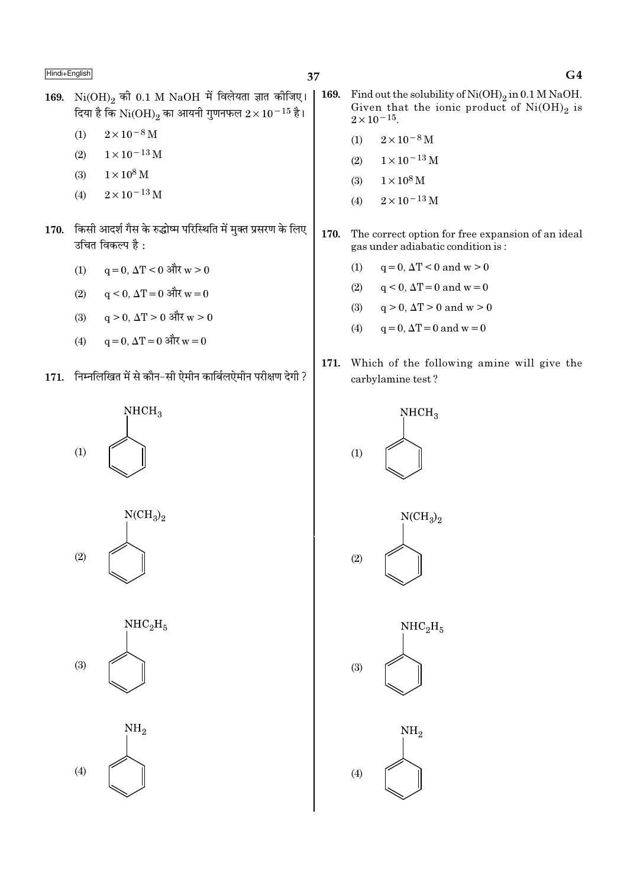- 169.  $Ni(OH)_{2}$  की 0.1 M NaOH में विलेयता ज्ञात कीजिए। दिया है कि  $\rm{Ni(OH)_2}$  का आयनी गुणनफल  $2\times10^{-15}$  है।
	- $2 \times 10^{-8}$  M  $(1)$
	- $1 \times 10^{-13}$  M  $(2)$
	- $1 \times 10^8$  M  $(3)$
	- $2 \times 10^{-13}$  M  $(4)$
- 170. किसी आदर्श गैस के रुद्धोष्म परिस्थिति में मुक्त प्रसरण के लिए उचित विकल्प है:
	- $q = 0$ ,  $\Delta T < 0$  और  $w > 0$  $(1)$
	- $(2)$  $q \le 0$ ,  $\Delta T = 0$  और  $w = 0$
	- $(3)$  $q > 0$ ,  $\Delta T > 0$  और  $w > 0$
	- $q = 0$ ,  $\Delta T = 0$  और  $w = 0$  $(4)$
- 171. निम्नलिखित में से कौन-सी ऐमीन कार्बिलऐमीन परीक्षण देगी ?









- $\vert$  169. Find out the solubility of  $Ni(OH)_2$  in 0.1 M NaOH. Given that the ionic product of  $Ni(OH)_2$  is  $2 \times 10^{-15}$ .
	- $2\times10^{-8}\,\mathrm{M}$  $(1)$
	- $1 \times 10^{-13}$  M  $(2)$
	- $1 \times 10^8$  M  $(3)$
	- $2\times10^{-13}\,\mathrm{M}$  $(4)$
- 170. The correct option for free expansion of an ideal gas under adiabatic condition is:
	- $(1)$  $q = 0$ ,  $\Delta T < 0$  and  $w > 0$
	- $q < 0$ ,  $\Delta T = 0$  and  $w = 0$  $(2)$
	- $q > 0$ ,  $\Delta T > 0$  and  $w > 0$  $(3)$
	- $(4)$  $q = 0$ ,  $\Delta T = 0$  and  $w = 0$
- 171. Which of the following amine will give the carbylamine test?

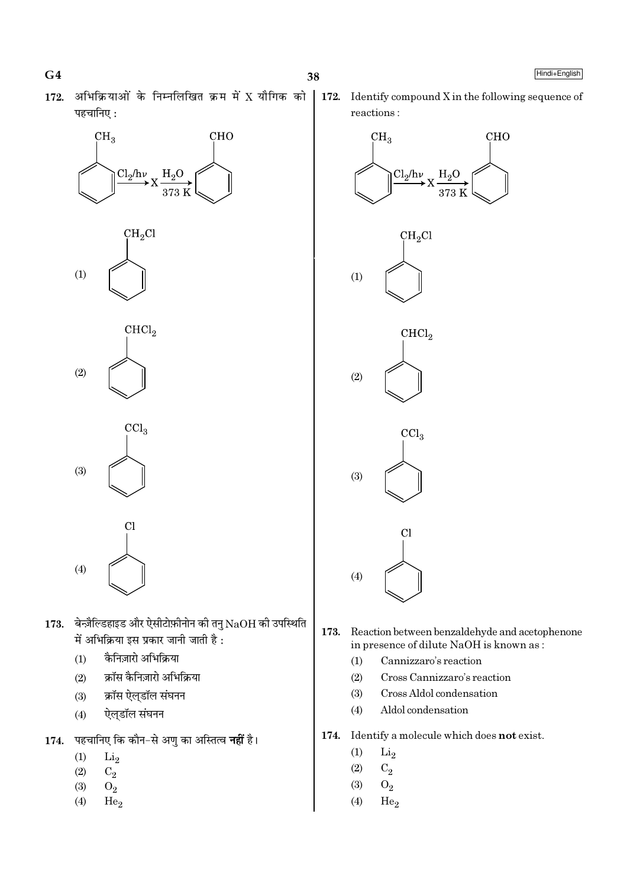- 
- $172.$  अभिक्रियाओं के निम्नलिखित क्रम में X यौगिक को पहचानिए :











- $173.$  बेन्ज़ैल्डिहाइड और ऐसीटोफ़ीनोन की तनु $\rm NaOH$  की उपस्थिति में अभिक्रिया इस प्रकार जानी जाती है :
	- $(1)$  कैनिज़ारो अभिक्रिया
	- (2) क्रॉस कैनिज़ारो अभिक्रिया
	- (3) क्रॉस ऐल्डॉल संघनन
	- (4) ऐल्डॉल संघनन
- 1**74.** पहचानिए कि कौन−से अणु का अस्तित्व **नहीं** है।
	- $(1)$   $Li<sub>2</sub>$
	- $(2)$   $C_2$
	- (3)  $O_2$
	- $(4)$  He<sub>2</sub>

172. Identify compound X in the following sequence of reactions :



- 173. Reaction between benzaldehyde and acetophenone in presence of dilute NaOH is known as :
	- (1) Cannizzaro's reaction
	- (2) Cross Cannizzaro's reaction
	- (3) Cross Aldol condensation
	- (4) Aldol condensation
- 174. Identify a molecule which does not exist.
	- $(1)$   $Li<sub>2</sub>$
	- $(2)$   $C_2$
	- (3)  $O_2$
	- $(4)$  He<sub>2</sub>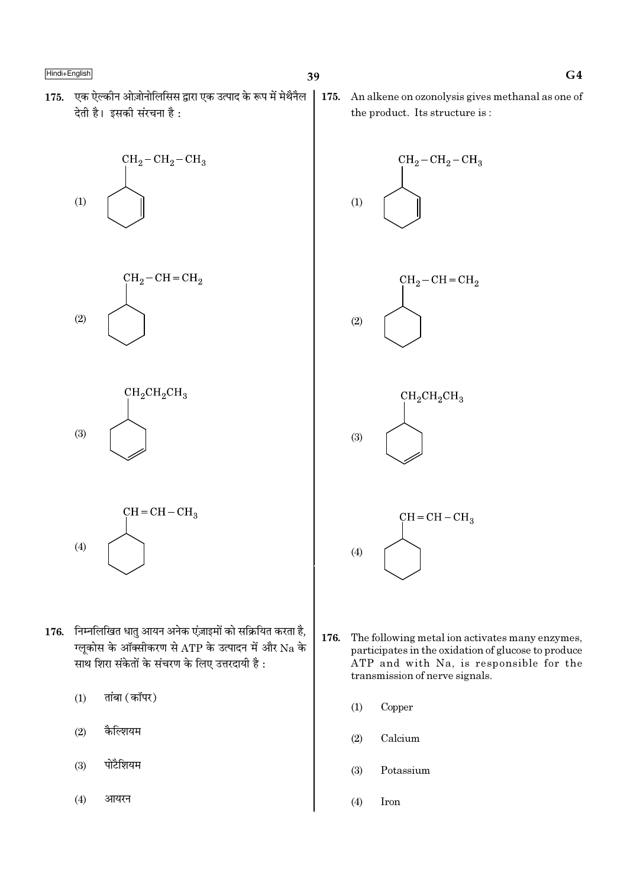175. एक ऐल्कीन ओज़ोनोलिसिस द्वारा एक उत्पाद के रूप में मेथैनैल देती है। इसकी संरचना है:







$$
CH = CH - CH3
$$
\n
$$
(4)
$$

- 176. निम्नलिखित धातु आयन अनेक एंज़ाइमों को सक्रियित करता है, ग्लूकोस के ऑक्सीकरण से ATP के उत्पादन में और Na के साथ शिरा संकेतों के संचरण के लिए उत्तरदायी है:
	- तांबा (कॉपर)  $(1)$
	- $(2)$ कैल्शियम
	- पोटैशियम  $(3)$

 $(4)$ आयरन 175. An alkene on ozonolysis gives methanal as one of the product. Its structure is:



- 176. The following metal ion activates many enzymes, participates in the oxidation of glucose to produce ATP and with Na, is responsible for the transmission of nerve signals.
	- $(1)$ Copper
	- $(2)$ Calcium
	- $(3)$ Potassium
	- $(4)$ Iron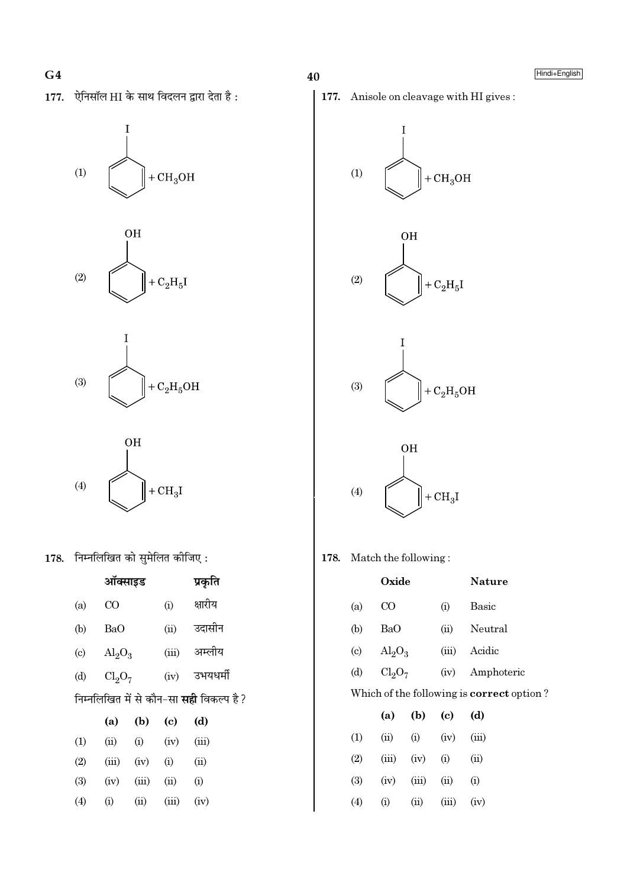177. ऐनिसॉल HI के साथ विदलन द्वारा देता है:









178. निम्नलिखित को सुमेलित कीजिए:

|                                                 | ऑक्साइड                 |       |                            | प्रकृति  |  |  |
|-------------------------------------------------|-------------------------|-------|----------------------------|----------|--|--|
| (a)                                             | CO                      |       | (i)                        | क्षारीय  |  |  |
| (b)                                             | BaO                     |       | (ii)                       | उदासीन   |  |  |
| $\left( \mathrm{c}\right)$                      | $\text{Al}_2\text{O}_3$ |       | (iii)                      | अम्लीय   |  |  |
| (d)                                             | $Cl_2O_7$               |       | (iv)                       | उभयधर्मी |  |  |
| निम्नलिखित में से कौन-सा <b>सही</b> विकल्प है ? |                         |       |                            |          |  |  |
|                                                 | (a)                     | (b)   | $\left( \mathrm{e}\right)$ | (d)      |  |  |
| (1)                                             |                         |       |                            |          |  |  |
|                                                 | (ii)                    | (i)   | (iv)                       | (iii)    |  |  |
| (2)                                             | (iii)                   | (iv)  | (i)                        | (ii)     |  |  |
| (3)                                             | (iv)                    | (iii) | (ii)                       | (i)      |  |  |











178. Match the following:

|                                                  |                            | Oxide                          |            |       | Nature       |
|--------------------------------------------------|----------------------------|--------------------------------|------------|-------|--------------|
|                                                  | (a)                        | $_{\rm CO}$                    |            | (i)   | <b>Basic</b> |
|                                                  | (b)                        | BaO                            |            | (ii)  | Neutral      |
|                                                  | $\left( \mathrm{c}\right)$ | $\text{Al}_2\text{O}_3$        |            | (iii) | Acidic       |
|                                                  | (d)                        | Cl <sub>2</sub> O <sub>7</sub> |            | (iv)  | Amphoteric   |
| Which of the following is <b>correct</b> option? |                            |                                |            |       |              |
|                                                  |                            | (a)                            | (b)        | (c)   | (d)          |
|                                                  | (1)                        | (ii)                           | (i)        | (iv)  | (iii)        |
|                                                  | (2)                        | (iii)                          | (iv)       | (i)   | (ii)         |
|                                                  | (3)                        | (iv)                           | (iii)      | (ii)  | (i)          |
|                                                  | (4)                        | (i)                            | $\rm (ii)$ | (iii) | (iv)         |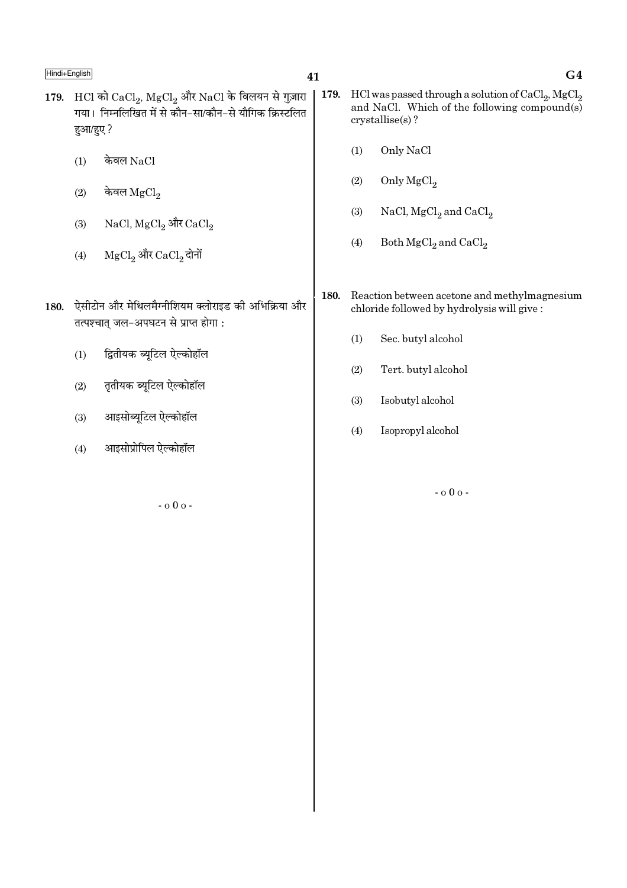- 41
- 179. HCl को  $CaCl<sub>2</sub>$ ,  $MgCl<sub>2</sub>$  और NaCl के विलयन से गुज़ारा गया। निम्नलिखित में से कौन-सा/कौन-से यौगिक क्रिस्टलित हुआ/हुए ?
	- केवल NaCl  $(1)$
	- केवल $_{\rm MgCl_2}$  $(2)$
	- NaCl, MgCl<sub>2</sub> और CaCl<sub>2</sub>  $(3)$
	- ${ {\rm MgCl}_2}$  और  ${ {\rm CaCl}_2}$  दोनों  $(4)$
- 180. ऐसीटोन और मेथिलमैग्नीशियम क्लोराइड की अभिक्रिया और तत्पश्चात् जल-अपघटन से प्राप्त होगा:
	- द्वितीयक ब्यूटिल ऐल्कोहॉल  $(1)$
	- तृतीयक ब्यूटिल ऐल्कोहॉल  $(2)$
	- आइसोब्यूटिल ऐल्कोहॉल  $(3)$
	- आइसोप्रोपिल ऐल्कोहॉल  $(4)$

 $-000 -$ 

- $|179.$ HCl was passed through a solution of  $\mathrm{CaCl}_2$ ,  $\mathrm{MgCl}_2$ and NaCl. Which of the following compound(s) crystallise(s)?
	- $(1)$ Only NaCl
	- $(2)$ Only  $MgCl<sub>2</sub>$
	- $(3)$ NaCl,  $MgCl<sub>2</sub>$  and  $CaCl<sub>2</sub>$
	- $(4)$ Both  $MgCl<sub>2</sub>$  and  $CaCl<sub>2</sub>$
	- 180. Reaction between acetone and methylmagnesium chloride followed by hydrolysis will give:
		- $(1)$ Sec. butyl alcohol
		- $(2)$ Tert. butyl alcohol
		- $(3)$ Isobutyl alcohol
		- $(4)$ Isopropyl alcohol

 $-000 -$ 

 $G<sub>4</sub>$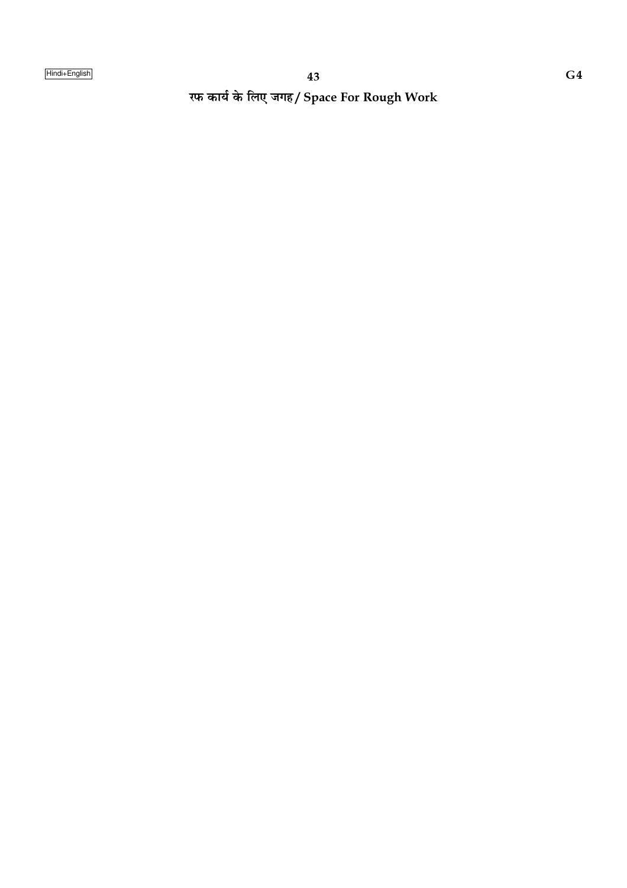रफ कार्य के लिए जगह/ Space For Rough Work